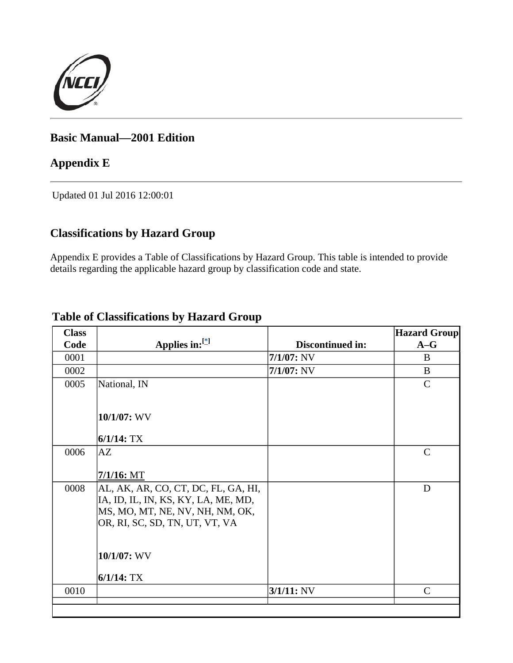

## **Basic Manual—2001 Edition**

## **Appendix E**

Updated 01 Jul 2016 12:00:01

## **Classifications by Hazard Group**

Appendix E provides a Table of Classifications by Hazard Group. This table is intended to provide details regarding the applicable hazard group by classification code and state.

| <b>Class</b> |                                     |                  | <b>Hazard Group</b> |
|--------------|-------------------------------------|------------------|---------------------|
| Code         | Applies in:[*]                      | Discontinued in: | $A-G$               |
| 0001         |                                     | $7/1/07$ : NV    | B                   |
| 0002         |                                     | $7/1/07$ : NV    | B                   |
| 0005         | National, IN                        |                  | $\mathcal{C}$       |
|              |                                     |                  |                     |
|              | $10/1/07$ : WV                      |                  |                     |
|              | $6/1/14$ : TX                       |                  |                     |
| 0006         | AZ                                  |                  | $\mathcal{C}$       |
|              |                                     |                  |                     |
|              | $7/1/16$ : MT                       |                  |                     |
| 0008         | AL, AK, AR, CO, CT, DC, FL, GA, HI, |                  | D                   |
|              | IA, ID, IL, IN, KS, KY, LA, ME, MD, |                  |                     |
|              | MS, MO, MT, NE, NV, NH, NM, OK,     |                  |                     |
|              | OR, RI, SC, SD, TN, UT, VT, VA      |                  |                     |
|              |                                     |                  |                     |
|              | $10/1/07$ : WV                      |                  |                     |
|              | $6/1/14$ : TX                       |                  |                     |
| 0010         |                                     | $3/1/11$ : NV    | $\mathcal{C}$       |
|              |                                     |                  |                     |

## **Table of Classifications by Hazard Group**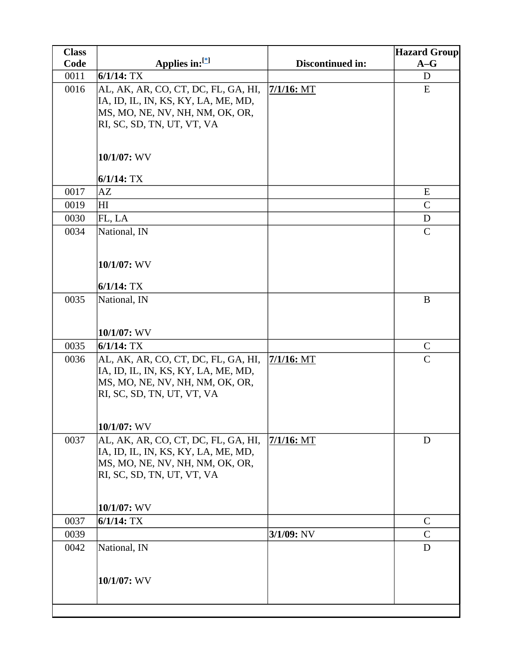| <b>Class</b> |                                                                        |                  | <b>Hazard Group</b> |
|--------------|------------------------------------------------------------------------|------------------|---------------------|
| Code         | Applies in: $[{}^*]$                                                   | Discontinued in: | $A-G$               |
| 0011         | $6/1/14$ : TX                                                          |                  | D                   |
| 0016         | AL, AK, AR, CO, CT, DC, FL, GA, HI,                                    | $7/1/16$ : MT    | E                   |
|              | IA, ID, IL, IN, KS, KY, LA, ME, MD,                                    |                  |                     |
|              | MS, MO, NE, NV, NH, NM, OK, OR,                                        |                  |                     |
|              | RI, SC, SD, TN, UT, VT, VA                                             |                  |                     |
|              |                                                                        |                  |                     |
|              | 10/1/07: WV                                                            |                  |                     |
|              | $6/1/14$ : TX                                                          |                  |                     |
| 0017         | AZ                                                                     |                  | E                   |
| 0019         | H I                                                                    |                  | $\mathsf{C}$        |
| 0030         | FL, LA                                                                 |                  | D                   |
| 0034         | National, IN                                                           |                  | $\mathsf{C}$        |
|              |                                                                        |                  |                     |
|              |                                                                        |                  |                     |
|              | 10/1/07: WV                                                            |                  |                     |
|              | $6/1/14$ : TX                                                          |                  |                     |
| 0035         | National, IN                                                           |                  | B                   |
|              |                                                                        |                  |                     |
|              |                                                                        |                  |                     |
|              | 10/1/07: WV                                                            |                  |                     |
| 0035         | $6/1/14$ : TX                                                          |                  | $\mathbf C$         |
| 0036         | AL, AK, AR, CO, CT, DC, FL, GA, HI,                                    | $7/1/16$ : MT    | $\mathcal{C}$       |
|              | IA, ID, IL, IN, KS, KY, LA, ME, MD,<br>MS, MO, NE, NV, NH, NM, OK, OR, |                  |                     |
|              | RI, SC, SD, TN, UT, VT, VA                                             |                  |                     |
|              |                                                                        |                  |                     |
|              |                                                                        |                  |                     |
|              | 10/1/07: WV                                                            |                  |                     |
| 0037         | AL, AK, AR, CO, CT, DC, FL, GA, HI,                                    | $7/1/16$ : MT    | D                   |
|              | IA, ID, IL, IN, KS, KY, LA, ME, MD,                                    |                  |                     |
|              | MS, MO, NE, NV, NH, NM, OK, OR,<br>RI, SC, SD, TN, UT, VT, VA          |                  |                     |
|              |                                                                        |                  |                     |
|              |                                                                        |                  |                     |
|              | $10/1/07$ : WV                                                         |                  |                     |
| 0037         | $6/1/14$ : TX                                                          |                  | $\mathsf{C}$        |
| 0039         |                                                                        | $3/1/09$ : NV    | $\mathsf{C}$        |
| 0042         | National, IN                                                           |                  | D                   |
|              |                                                                        |                  |                     |
|              | 10/1/07: WV                                                            |                  |                     |
|              |                                                                        |                  |                     |
|              |                                                                        |                  |                     |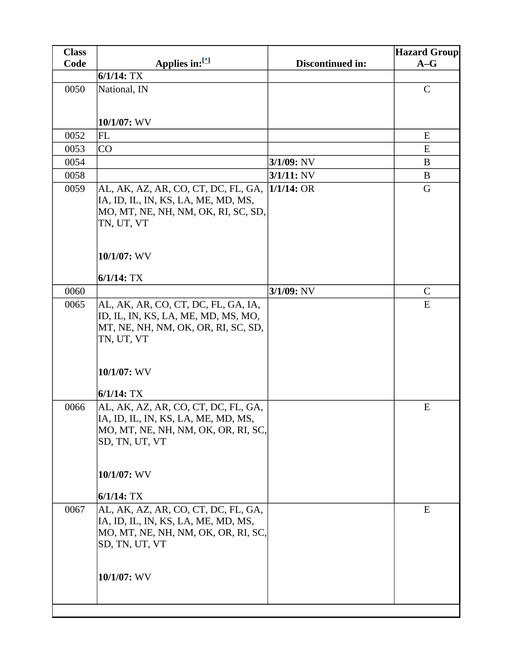| <b>Class</b> |                                                 |                  | <b>Hazard Group</b> |
|--------------|-------------------------------------------------|------------------|---------------------|
| Code         | Applies in: $[$                                 | Discontinued in: | $A-G$               |
|              | $6/1/14$ : TX                                   |                  |                     |
| 0050         | National, IN                                    |                  | $\mathbf C$         |
|              |                                                 |                  |                     |
|              |                                                 |                  |                     |
|              | 10/1/07: WV                                     |                  |                     |
| 0052         | FL                                              |                  | E                   |
| 0053         | CO                                              |                  | E                   |
| 0054         |                                                 | $3/1/09$ : NV    | B                   |
| 0058         |                                                 | $3/1/11$ : NV    | B                   |
| 0059         | AL, AK, AZ, AR, CO, CT, DC, FL, GA,  1/1/14: OR |                  | G                   |
|              | IA, ID, IL, IN, KS, LA, ME, MD, MS,             |                  |                     |
|              | MO, MT, NE, NH, NM, OK, RI, SC, SD,             |                  |                     |
|              | TN, UT, VT                                      |                  |                     |
|              |                                                 |                  |                     |
|              | 10/1/07: WV                                     |                  |                     |
|              |                                                 |                  |                     |
|              | $6/1/14$ : TX                                   |                  |                     |
| 0060         |                                                 | 3/1/09: NV       | $\mathcal{C}$       |
| 0065         | AL, AK, AR, CO, CT, DC, FL, GA, IA,             |                  | E                   |
|              | ID, IL, IN, KS, LA, ME, MD, MS, MO,             |                  |                     |
|              | MT, NE, NH, NM, OK, OR, RI, SC, SD,             |                  |                     |
|              | TN, UT, VT                                      |                  |                     |
|              |                                                 |                  |                     |
|              | 10/1/07: WV                                     |                  |                     |
|              |                                                 |                  |                     |
|              | $6/1/14$ : TX                                   |                  |                     |
| 0066         | AL, AK, AZ, AR, CO, CT, DC, FL, GA,             |                  | E                   |
|              | IA, ID, IL, IN, KS, LA, ME, MD, MS              |                  |                     |
|              | MO, MT, NE, NH, NM, OK, OR, RI, SC,             |                  |                     |
|              | SD, TN, UT, VT                                  |                  |                     |
|              |                                                 |                  |                     |
|              | 10/1/07: WV                                     |                  |                     |
|              |                                                 |                  |                     |
|              | $6/1/14$ : TX                                   |                  |                     |
| 0067         | AL, AK, AZ, AR, CO, CT, DC, FL, GA,             |                  | Ε                   |
|              | IA, ID, IL, IN, KS, LA, ME, MD, MS,             |                  |                     |
|              | MO, MT, NE, NH, NM, OK, OR, RI, SC,             |                  |                     |
|              | SD, TN, UT, VT                                  |                  |                     |
|              |                                                 |                  |                     |
|              | 10/1/07: WV                                     |                  |                     |
|              |                                                 |                  |                     |
|              |                                                 |                  |                     |
|              |                                                 |                  |                     |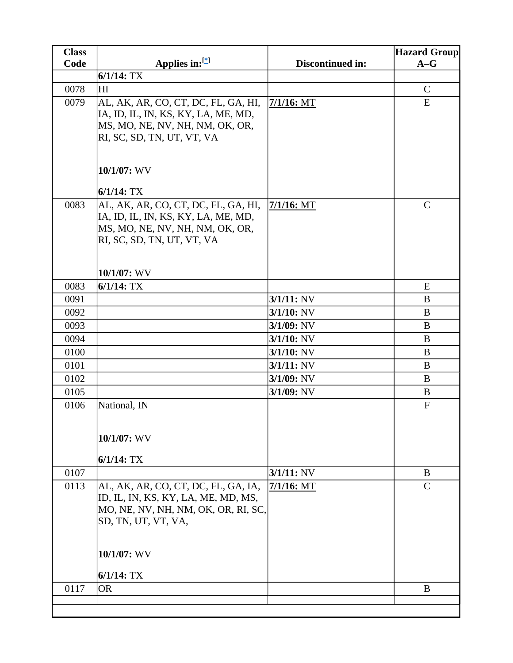| <b>Class</b> |                                                                                                                                                                             |                  | <b>Hazard Group</b> |
|--------------|-----------------------------------------------------------------------------------------------------------------------------------------------------------------------------|------------------|---------------------|
| Code         | Applies in: $[$                                                                                                                                                             | Discontinued in: | $A-G$               |
|              | $6/1/14$ : TX                                                                                                                                                               |                  |                     |
| 0078         | HI                                                                                                                                                                          |                  | $\mathcal{C}$       |
| 0079         | AL, AK, AR, CO, CT, DC, FL, GA, HI,<br>IA, ID, IL, IN, KS, KY, LA, ME, MD,<br>MS, MO, NE, NV, NH, NM, OK, OR,<br>RI, SC, SD, TN, UT, VT, VA                                 | 7/1/16: MT       | E                   |
|              | 10/1/07: WV                                                                                                                                                                 |                  |                     |
| 0083         | $6/1/14$ : TX<br>AL, AK, AR, CO, CT, DC, FL, GA, HI,<br>IA, ID, IL, IN, KS, KY, LA, ME, MD,<br>MS, MO, NE, NV, NH, NM, OK, OR,<br>RI, SC, SD, TN, UT, VT, VA<br>10/1/07: WV | $7/1/16$ : MT    | $\mathcal{C}$       |
| 0083         | $6/1/14$ : TX                                                                                                                                                               |                  | ${\bf E}$           |
| 0091         |                                                                                                                                                                             | $3/1/11$ : NV    | B                   |
| 0092         |                                                                                                                                                                             | $3/1/10$ : NV    | B                   |
| 0093         |                                                                                                                                                                             | $3/1/09$ : NV    | B                   |
| 0094         |                                                                                                                                                                             | $3/1/10$ : NV    | B                   |
| 0100         |                                                                                                                                                                             | $3/1/10$ : NV    | B                   |
| 0101         |                                                                                                                                                                             | $3/1/11$ : NV    | B                   |
| 0102         |                                                                                                                                                                             | $3/1/09$ : NV    | B                   |
| 0105         |                                                                                                                                                                             | $3/1/09$ : NV    | B                   |
| 0106         | National, IN<br>10/1/07: WV<br>$6/1/14$ : TX                                                                                                                                |                  | ${\bf F}$           |
| 0107         |                                                                                                                                                                             | $3/1/11$ : NV    | B                   |
| 0113         | AL, AK, AR, CO, CT, DC, FL, GA, IA,<br>ID, IL, IN, KS, KY, LA, ME, MD, MS,<br>MO, NE, NV, NH, NM, OK, OR, RI, SC,<br>SD, TN, UT, VT, VA,<br>10/1/07: WV                     | $7/1/16$ : MT    | $\overline{C}$      |
|              | $6/1/14$ : TX                                                                                                                                                               |                  |                     |
| 0117         | <b>OR</b>                                                                                                                                                                   |                  | B                   |
|              |                                                                                                                                                                             |                  |                     |
|              |                                                                                                                                                                             |                  |                     |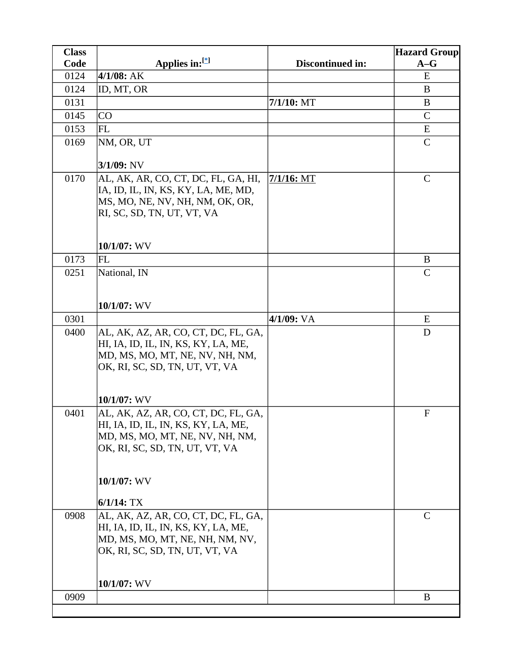| <b>Class</b> |                                                                                                                                                                |                  | <b>Hazard Group</b> |
|--------------|----------------------------------------------------------------------------------------------------------------------------------------------------------------|------------------|---------------------|
| Code         | Applies in: $[$                                                                                                                                                | Discontinued in: | $A-G$               |
| 0124         | $4/1/08$ : AK                                                                                                                                                  |                  | E                   |
| 0124         | ID, MT, OR                                                                                                                                                     |                  | B                   |
| 0131         |                                                                                                                                                                | $7/1/10$ : MT    | B                   |
| 0145         | CO                                                                                                                                                             |                  | $\mathsf{C}$        |
| 0153         | <b>FL</b>                                                                                                                                                      |                  | E                   |
| 0169         | NM, OR, UT                                                                                                                                                     |                  | $\mathcal{C}$       |
|              | 3/1/09: NV                                                                                                                                                     |                  |                     |
| 0170         | AL, AK, AR, CO, CT, DC, FL, GA, HI,<br>IA, ID, IL, IN, KS, KY, LA, ME, MD,<br>MS, MO, NE, NV, NH, NM, OK, OR,<br>RI, SC, SD, TN, UT, VT, VA                    | $7/1/16$ : MT    | $\mathcal{C}$       |
|              | 10/1/07: WV                                                                                                                                                    |                  |                     |
| 0173         | <b>FL</b>                                                                                                                                                      |                  | B                   |
| 0251         | National, IN                                                                                                                                                   |                  | $\mathcal{C}$       |
|              | 10/1/07: WV                                                                                                                                                    |                  |                     |
| 0301         |                                                                                                                                                                | 4/1/09: VA       | E                   |
| 0400         | AL, AK, AZ, AR, CO, CT, DC, FL, GA,<br>HI, IA, ID, IL, IN, KS, KY, LA, ME,<br>MD, MS, MO, MT, NE, NV, NH, NM,<br>OK, RI, SC, SD, TN, UT, VT, VA<br>10/1/07: WV |                  | D                   |
| 0401         | AL, AK, AZ, AR, CO, CT, DC, FL, GA,                                                                                                                            |                  | $\mathbf{F}$        |
|              | HI, IA, ID, IL, IN, KS, KY, LA, ME,<br>MD, MS, MO, MT, NE, NV, NH, NM,<br>OK, RI, SC, SD, TN, UT, VT, VA                                                       |                  |                     |
|              | 10/1/07: WV                                                                                                                                                    |                  |                     |
|              | $6/1/14$ : TX                                                                                                                                                  |                  |                     |
| 0908         | AL, AK, AZ, AR, CO, CT, DC, FL, GA,<br>HI, IA, ID, IL, IN, KS, KY, LA, ME,<br>MD, MS, MO, MT, NE, NH, NM, NV,<br>OK, RI, SC, SD, TN, UT, VT, VA<br>10/1/07: WV |                  | $\mathcal{C}$       |
| 0909         |                                                                                                                                                                |                  | B                   |
|              |                                                                                                                                                                |                  |                     |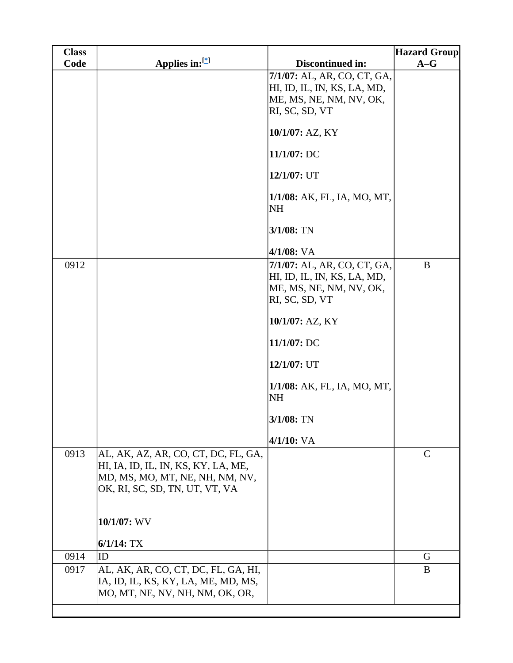| <b>Class</b> |                                                                                                                                                 |                                                                                                         | <b>Hazard Group</b> |
|--------------|-------------------------------------------------------------------------------------------------------------------------------------------------|---------------------------------------------------------------------------------------------------------|---------------------|
| Code         | Applies in:[*]                                                                                                                                  | Discontinued in:                                                                                        | $A-G$               |
|              |                                                                                                                                                 | 7/1/07: AL, AR, CO, CT, GA,<br>HI, ID, IL, IN, KS, LA, MD,<br>ME, MS, NE, NM, NV, OK,<br>RI, SC, SD, VT |                     |
|              |                                                                                                                                                 | 10/1/07: AZ, KY                                                                                         |                     |
|              |                                                                                                                                                 | 11/1/07: DC                                                                                             |                     |
|              |                                                                                                                                                 | 12/1/07: UT                                                                                             |                     |
|              |                                                                                                                                                 | 1/1/08: AK, FL, IA, MO, MT,<br><b>NH</b>                                                                |                     |
|              |                                                                                                                                                 | 3/1/08: TN                                                                                              |                     |
|              |                                                                                                                                                 | $4/1/08$ : VA                                                                                           |                     |
| 0912         |                                                                                                                                                 | 7/1/07: AL, AR, CO, CT, GA,<br>HI, ID, IL, IN, KS, LA, MD,<br>ME, MS, NE, NM, NV, OK,<br>RI, SC, SD, VT | $\bf{B}$            |
|              |                                                                                                                                                 | 10/1/07: AZ, KY                                                                                         |                     |
|              |                                                                                                                                                 | 11/1/07: DC                                                                                             |                     |
|              |                                                                                                                                                 | 12/1/07: UT                                                                                             |                     |
|              |                                                                                                                                                 | 1/1/08: AK, FL, IA, MO, MT,<br><b>NH</b>                                                                |                     |
|              |                                                                                                                                                 | $3/1/08$ : TN                                                                                           |                     |
|              |                                                                                                                                                 | $4/1/10$ : VA                                                                                           |                     |
| 0913         | AL, AK, AZ, AR, CO, CT, DC, FL, GA,<br>HI, IA, ID, IL, IN, KS, KY, LA, ME,<br>MD, MS, MO, MT, NE, NH, NM, NV,<br>OK, RI, SC, SD, TN, UT, VT, VA |                                                                                                         | $\mathcal{C}$       |
|              | 10/1/07: WV                                                                                                                                     |                                                                                                         |                     |
|              | $6/1/14$ : TX                                                                                                                                   |                                                                                                         |                     |
| 0914         | ID                                                                                                                                              |                                                                                                         | G                   |
| 0917         | AL, AK, AR, CO, CT, DC, FL, GA, HI,<br>IA, ID, IL, KS, KY, LA, ME, MD, MS,<br>MO, MT, NE, NV, NH, NM, OK, OR,                                   |                                                                                                         | B                   |
|              |                                                                                                                                                 |                                                                                                         |                     |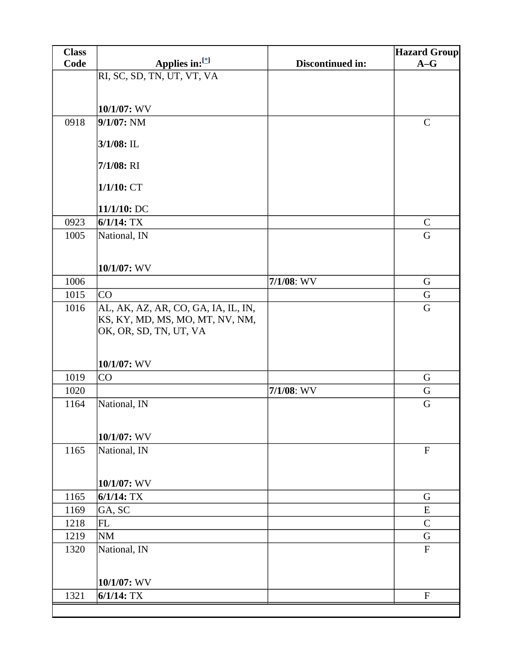| <b>Class</b> |                                     |                  | <b>Hazard Group</b>       |
|--------------|-------------------------------------|------------------|---------------------------|
| Code         | Applies in:[*]                      | Discontinued in: | $A-G$                     |
|              | RI, SC, SD, TN, UT, VT, VA          |                  |                           |
|              |                                     |                  |                           |
|              | 10/1/07: WV                         |                  |                           |
| 0918         | $9/1/07$ : NM                       |                  | $\mathbf C$               |
|              |                                     |                  |                           |
|              | 3/1/08: IL                          |                  |                           |
|              | $7/1/08$ : RI                       |                  |                           |
|              |                                     |                  |                           |
|              | 1/1/10:CT                           |                  |                           |
|              |                                     |                  |                           |
|              | 11/1/10: DC                         |                  |                           |
| 0923         | $6/1/14$ : TX                       |                  | $\mathsf{C}$              |
| 1005         | National, IN                        |                  | $\mathbf G$               |
|              |                                     |                  |                           |
|              | 10/1/07: WV                         |                  |                           |
| 1006         |                                     | $7/1/08$ : WV    | G                         |
| 1015         | CO                                  |                  | G                         |
| 1016         | AL, AK, AZ, AR, CO, GA, IA, IL, IN, |                  | G                         |
|              | KS, KY, MD, MS, MO, MT, NV, NM,     |                  |                           |
|              | OK, OR, SD, TN, UT, VA              |                  |                           |
|              |                                     |                  |                           |
|              | 10/1/07: WV                         |                  |                           |
| 1019         | <b>CO</b>                           |                  | G                         |
| 1020         |                                     | $7/1/08$ : WV    | G                         |
| 1164         | National, IN                        |                  | G                         |
|              |                                     |                  |                           |
|              | 10/1/07: WV                         |                  |                           |
| 1165         | National, IN                        |                  | ${\bf F}$                 |
|              |                                     |                  |                           |
|              |                                     |                  |                           |
|              | 10/1/07: WV                         |                  |                           |
| 1165         | $6/1/14$ : TX                       |                  | G                         |
| 1169         | GA, SC                              |                  | E                         |
| 1218         | FL                                  |                  | $\mathcal{C}$             |
| 1219         | <b>NM</b>                           |                  | G                         |
| 1320         | National, IN                        |                  | ${\bf F}$                 |
|              |                                     |                  |                           |
|              | 10/1/07: WV                         |                  |                           |
| 1321         | $6/1/14$ : TX                       |                  | $\boldsymbol{\mathrm{F}}$ |
|              |                                     |                  |                           |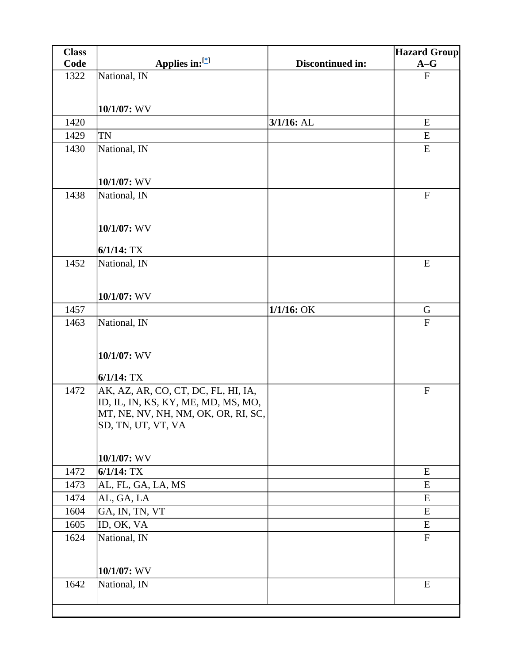| <b>Class</b> |                                                                            |                  | <b>Hazard Group</b> |
|--------------|----------------------------------------------------------------------------|------------------|---------------------|
| Code         | Applies in:[*]                                                             | Discontinued in: | $A-G$               |
| 1322         | National, IN                                                               |                  | ${\bf F}$           |
|              |                                                                            |                  |                     |
|              | 10/1/07: WV                                                                |                  |                     |
| 1420         |                                                                            | $3/1/16$ : AL    | E                   |
| 1429         | TN                                                                         |                  | E                   |
| 1430         | National, IN                                                               |                  | ${\bf E}$           |
|              |                                                                            |                  |                     |
|              | 10/1/07: WV                                                                |                  |                     |
| 1438         | National, IN                                                               |                  | $\mathbf F$         |
|              |                                                                            |                  |                     |
|              |                                                                            |                  |                     |
|              | 10/1/07: WV                                                                |                  |                     |
|              | $6/1/14$ : TX                                                              |                  |                     |
| 1452         | National, IN                                                               |                  | E                   |
|              |                                                                            |                  |                     |
|              |                                                                            |                  |                     |
|              | 10/1/07: WV                                                                |                  |                     |
| 1457         |                                                                            | $1/1/16$ : OK    | G                   |
| 1463         | National, IN                                                               |                  | ${\bf F}$           |
|              |                                                                            |                  |                     |
|              | 10/1/07: WV                                                                |                  |                     |
|              |                                                                            |                  |                     |
|              | $6/1/14$ : TX                                                              |                  |                     |
| 1472         | AK, AZ, AR, CO, CT, DC, FL, HI, IA,                                        |                  | $\mathbf F$         |
|              | ID, IL, IN, KS, KY, ME, MD, MS, MO,<br>MT, NE, NV, NH, NM, OK, OR, RI, SC, |                  |                     |
|              | SD, TN, UT, VT, VA                                                         |                  |                     |
|              |                                                                            |                  |                     |
|              |                                                                            |                  |                     |
|              | 10/1/07: WV                                                                |                  |                     |
| 1472         | $6/1/14$ : TX                                                              |                  | ${\bf E}$           |
| 1473         | AL, FL, GA, LA, MS                                                         |                  | ${\bf E}$           |
| 1474         | AL, GA, LA                                                                 |                  | E                   |
| 1604         | GA, IN, TN, VT                                                             |                  | ${\bf E}$           |
| 1605         | ID, OK, VA                                                                 |                  | E<br>${\bf F}$      |
| 1624         | National, IN                                                               |                  |                     |
|              |                                                                            |                  |                     |
|              | 10/1/07: WV                                                                |                  |                     |
| 1642         | National, IN                                                               |                  | E                   |
|              |                                                                            |                  |                     |
|              |                                                                            |                  |                     |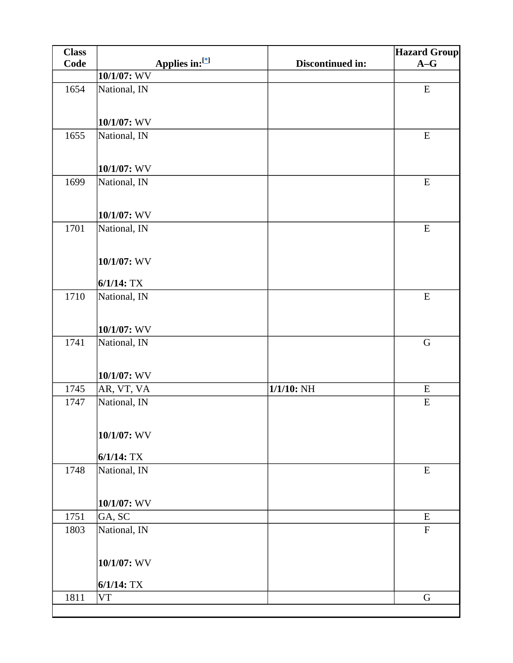| <b>Class</b> |                |                  | <b>Hazard Group</b> |
|--------------|----------------|------------------|---------------------|
| Code         | Applies in:[*] | Discontinued in: | $A-G$               |
|              | 10/1/07: WV    |                  |                     |
| 1654         | National, IN   |                  | ${\bf E}$           |
|              |                |                  |                     |
|              | 10/1/07: WV    |                  |                     |
| 1655         | National, IN   |                  | ${\bf E}$           |
|              | 10/1/07: WV    |                  |                     |
| 1699         | National, IN   |                  | ${\bf E}$           |
|              |                |                  |                     |
|              | 10/1/07: WV    |                  |                     |
| 1701         | National, IN   |                  | ${\bf E}$           |
|              |                |                  |                     |
|              | 10/1/07: WV    |                  |                     |
|              | $6/1/14$ : TX  |                  |                     |
| 1710         | National, IN   |                  | ${\bf E}$           |
|              |                |                  |                     |
|              | 10/1/07: WV    |                  |                     |
| 1741         | National, IN   |                  | ${\bf G}$           |
|              |                |                  |                     |
|              | 10/1/07: WV    |                  |                     |
| 1745         | AR, VT, VA     | $1/1/10$ : NH    | ${\bf E}$           |
| 1747         | National, IN   |                  | ${\bf E}$           |
|              |                |                  |                     |
|              | 10/1/07: WV    |                  |                     |
|              |                |                  |                     |
|              | $6/1/14$ : TX  |                  |                     |
| 1748         | National, IN   |                  | ${\bf E}$           |
|              | $10/1/07$ : WV |                  |                     |
| 1751         | GA, SC         |                  | ${\bf E}$           |
| 1803         | National, IN   |                  | $\mathbf F$         |
|              |                |                  |                     |
|              | 10/1/07: WV    |                  |                     |
|              |                |                  |                     |
|              | $6/1/14$ : TX  |                  |                     |
| 1811         | <b>VT</b>      |                  | $\mathbf G$         |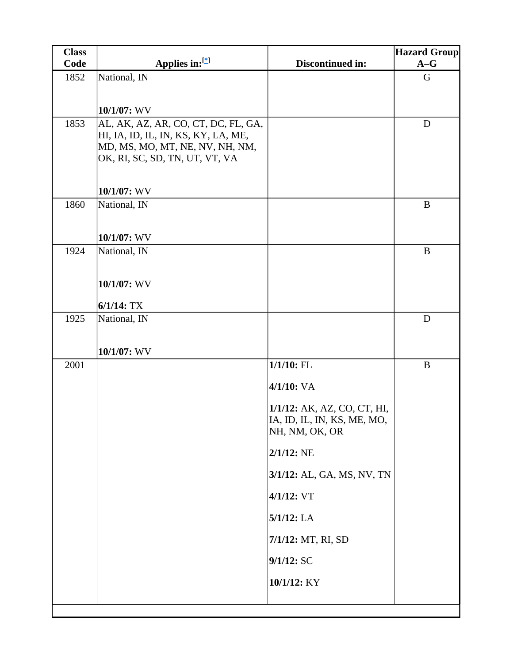| <b>Class</b> |                                                                   |                             | <b>Hazard Group</b> |
|--------------|-------------------------------------------------------------------|-----------------------------|---------------------|
| Code         | Applies in:[*]                                                    | Discontinued in:            | $A-G$               |
| 1852         | National, IN                                                      |                             | G                   |
|              |                                                                   |                             |                     |
|              | 10/1/07: WV                                                       |                             |                     |
| 1853         | AL, AK, AZ, AR, CO, CT, DC, FL, GA,                               |                             | $\mathbf D$         |
|              | HI, IA, ID, IL, IN, KS, KY, LA, ME,                               |                             |                     |
|              | MD, MS, MO, MT, NE, NV, NH, NM,<br>OK, RI, SC, SD, TN, UT, VT, VA |                             |                     |
|              |                                                                   |                             |                     |
|              |                                                                   |                             |                     |
|              | 10/1/07: WV                                                       |                             |                     |
| 1860         | National, IN                                                      |                             | $\bf{B}$            |
|              |                                                                   |                             |                     |
|              | 10/1/07: WV                                                       |                             |                     |
| 1924         | National, IN                                                      |                             | $\bf{B}$            |
|              |                                                                   |                             |                     |
|              | 10/1/07: WV                                                       |                             |                     |
|              | $6/1/14$ : TX                                                     |                             |                     |
| 1925         | National, IN                                                      |                             | D                   |
|              |                                                                   |                             |                     |
|              |                                                                   |                             |                     |
| 2001         | 10/1/07: WV                                                       | $1/1/10$ : FL               | $\bf{B}$            |
|              |                                                                   |                             |                     |
|              |                                                                   | $4/1/10$ : VA               |                     |
|              |                                                                   | 1/1/12: AK, AZ, CO, CT, HI, |                     |
|              |                                                                   | IA, ID, IL, IN, KS, ME, MO, |                     |
|              |                                                                   | NH, NM, OK, OR              |                     |
|              |                                                                   | $2/1/12$ : NE               |                     |
|              |                                                                   | 3/1/12: AL, GA, MS, NV, TN  |                     |
|              |                                                                   | 4/1/12: VT                  |                     |
|              |                                                                   | 5/1/12: LA                  |                     |
|              |                                                                   | 7/1/12: MT, RI, SD          |                     |
|              |                                                                   | $9/1/12$ : SC               |                     |
|              |                                                                   | 10/1/12: KY                 |                     |
|              |                                                                   |                             |                     |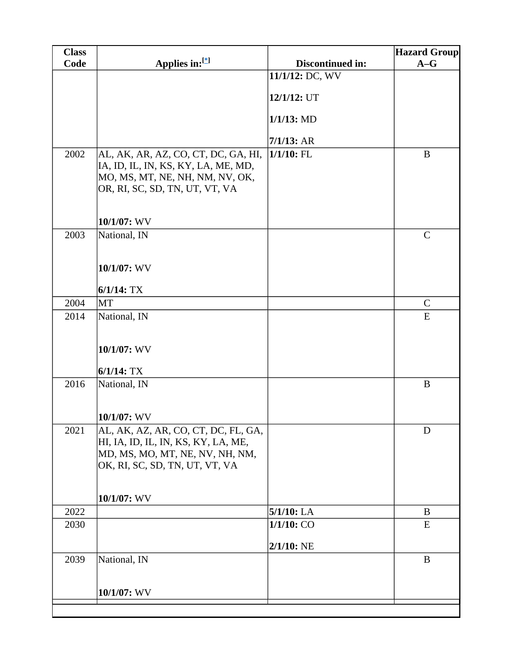| <b>Class</b> |                                                                            |                  | <b>Hazard Group</b> |
|--------------|----------------------------------------------------------------------------|------------------|---------------------|
| Code         | Applies in:[*]                                                             | Discontinued in: | $A-G$               |
|              |                                                                            | 11/1/12: DC, WV  |                     |
|              |                                                                            | 12/1/12: UT      |                     |
|              |                                                                            |                  |                     |
|              |                                                                            | $1/1/13$ : MD    |                     |
|              |                                                                            | $7/1/13$ : AR    |                     |
| 2002         | AL, AK, AR, AZ, CO, CT, DC, GA, HI,                                        | $1/1/10$ : FL    | B                   |
|              | IA, ID, IL, IN, KS, KY, LA, ME, MD,                                        |                  |                     |
|              | MO, MS, MT, NE, NH, NM, NV, OK,                                            |                  |                     |
|              | OR, RI, SC, SD, TN, UT, VT, VA                                             |                  |                     |
|              |                                                                            |                  |                     |
|              | 10/1/07: WV                                                                |                  |                     |
| 2003         | National, IN                                                               |                  | $\mathbf C$         |
|              |                                                                            |                  |                     |
|              | 10/1/07: WV                                                                |                  |                     |
|              |                                                                            |                  |                     |
|              | $6/1/14$ : TX                                                              |                  |                     |
| 2004         | <b>MT</b>                                                                  |                  | $\mathsf{C}$        |
| 2014         | National, IN                                                               |                  | E                   |
|              |                                                                            |                  |                     |
|              | 10/1/07: WV                                                                |                  |                     |
|              | $6/1/14$ : TX                                                              |                  |                     |
| 2016         | National, IN                                                               |                  | $\bf{B}$            |
|              |                                                                            |                  |                     |
|              |                                                                            |                  |                     |
|              | 10/1/07: WV                                                                |                  |                     |
| 2021         | AL, AK, AZ, AR, CO, CT, DC, FL, GA,<br>HI, IA, ID, IL, IN, KS, KY, LA, ME, |                  | D                   |
|              | MD, MS, MO, MT, NE, NV, NH, NM,                                            |                  |                     |
|              | OK, RI, SC, SD, TN, UT, VT, VA                                             |                  |                     |
|              |                                                                            |                  |                     |
|              | 10/1/07: WV                                                                |                  |                     |
| 2022         |                                                                            | $5/1/10$ : LA    | B                   |
| 2030         |                                                                            | 1/1/10: CO       | E                   |
|              |                                                                            |                  |                     |
|              |                                                                            | $2/1/10$ : NE    |                     |
| 2039         | National, IN                                                               |                  | $\, {\bf B}$        |
|              |                                                                            |                  |                     |
|              | 10/1/07: WV                                                                |                  |                     |
|              |                                                                            |                  |                     |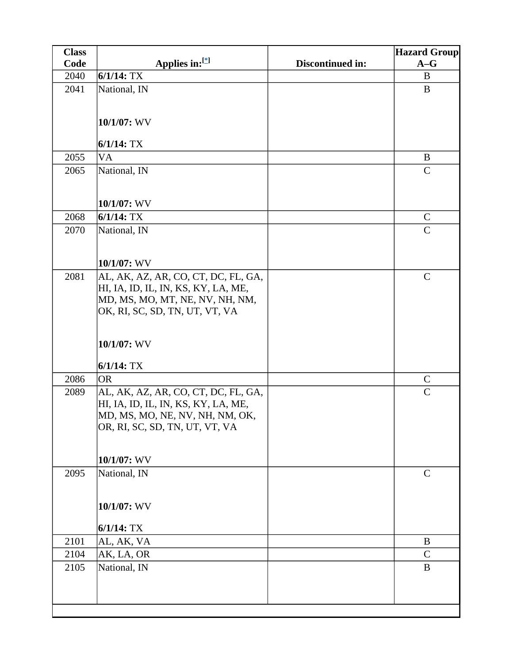| <b>Class</b> |                                     |                  | <b>Hazard Group</b> |
|--------------|-------------------------------------|------------------|---------------------|
| Code         | Applies in: $[$                     | Discontinued in: | $A-G$               |
| 2040         | $6/1/14$ : TX                       |                  | B                   |
| 2041         | National, IN                        |                  | B                   |
|              |                                     |                  |                     |
|              | 10/1/07: WV                         |                  |                     |
|              |                                     |                  |                     |
|              | $6/1/14$ : TX                       |                  |                     |
| 2055         | <b>VA</b>                           |                  | B                   |
| 2065         | National, IN                        |                  | $\mathsf{C}$        |
|              |                                     |                  |                     |
|              | 10/1/07: WV                         |                  |                     |
| 2068         | $6/1/14$ : TX                       |                  | $\mathbf C$         |
| 2070         | National, IN                        |                  | $\mathsf{C}$        |
|              |                                     |                  |                     |
|              | 10/1/07: WV                         |                  |                     |
| 2081         | AL, AK, AZ, AR, CO, CT, DC, FL, GA, |                  | $\mathcal{C}$       |
|              | HI, IA, ID, IL, IN, KS, KY, LA, ME, |                  |                     |
|              | MD, MS, MO, MT, NE, NV, NH, NM,     |                  |                     |
|              | OK, RI, SC, SD, TN, UT, VT, VA      |                  |                     |
|              |                                     |                  |                     |
|              | 10/1/07: WV                         |                  |                     |
|              | $6/1/14$ : TX                       |                  |                     |
| 2086         | <b>OR</b>                           |                  | $\mathsf{C}$        |
| 2089         | AL, AK, AZ, AR, CO, CT, DC, FL, GA, |                  | $\overline{C}$      |
|              | HI, IA, ID, IL, IN, KS, KY, LA, ME, |                  |                     |
|              | MD, MS, MO, NE, NV, NH, NM, OK,     |                  |                     |
|              | OR, RI, SC, SD, TN, UT, VT, VA      |                  |                     |
|              |                                     |                  |                     |
|              | 10/1/07: WV                         |                  |                     |
| 2095         | National, IN                        |                  | $\mathbf C$         |
|              |                                     |                  |                     |
|              | 10/1/07: WV                         |                  |                     |
|              |                                     |                  |                     |
|              | $6/1/14$ : TX                       |                  |                     |
| 2101         | AL, AK, VA                          |                  | B                   |
| 2104         | AK, LA, OR                          |                  | $\mathsf{C}$        |
| 2105         | National, IN                        |                  | B                   |
|              |                                     |                  |                     |
|              |                                     |                  |                     |
|              |                                     |                  |                     |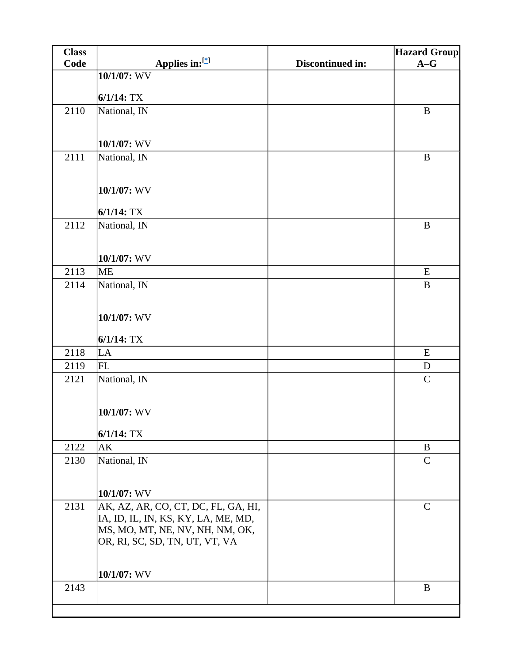| <b>Class</b> |                                     |                  | <b>Hazard Group</b> |
|--------------|-------------------------------------|------------------|---------------------|
| Code         | Applies in:[*]                      | Discontinued in: | $A-G$               |
|              | 10/1/07: WV                         |                  |                     |
|              | $6/1/14$ : TX                       |                  |                     |
| 2110         |                                     |                  | $\bf{B}$            |
|              | National, IN                        |                  |                     |
|              |                                     |                  |                     |
|              | 10/1/07: WV                         |                  |                     |
| 2111         | National, IN                        |                  | $\mathbf{B}$        |
|              |                                     |                  |                     |
|              | 10/1/07: WV                         |                  |                     |
|              |                                     |                  |                     |
|              | $6/1/14$ : TX                       |                  |                     |
| 2112         | National, IN                        |                  | $\mathbf{B}$        |
|              |                                     |                  |                     |
|              | 10/1/07: WV                         |                  |                     |
| 2113         | <b>ME</b>                           |                  | E                   |
| 2114         | National, IN                        |                  | $\bf{B}$            |
|              |                                     |                  |                     |
|              |                                     |                  |                     |
|              | 10/1/07: WV                         |                  |                     |
|              | $6/1/14$ : TX                       |                  |                     |
| 2118         | LA                                  |                  | E                   |
| 2119         | <b>FL</b>                           |                  | D                   |
| 2121         | National, IN                        |                  | $\mathsf{C}$        |
|              |                                     |                  |                     |
|              | 10/1/07: WV                         |                  |                     |
|              |                                     |                  |                     |
|              | $6/1/14$ : TX                       |                  |                     |
| 2122         | AK                                  |                  | B                   |
| 2130         | National, IN                        |                  | $\mathsf{C}$        |
|              |                                     |                  |                     |
|              | 10/1/07: WV                         |                  |                     |
| 2131         | AK, AZ, AR, CO, CT, DC, FL, GA, HI, |                  | $\mathsf{C}$        |
|              | IA, ID, IL, IN, KS, KY, LA, ME, MD, |                  |                     |
|              | MS, MO, MT, NE, NV, NH, NM, OK,     |                  |                     |
|              | OR, RI, SC, SD, TN, UT, VT, VA      |                  |                     |
|              |                                     |                  |                     |
|              | $10/1/07$ : WV                      |                  |                     |
| 2143         |                                     |                  | $\bf{B}$            |
|              |                                     |                  |                     |
|              |                                     |                  |                     |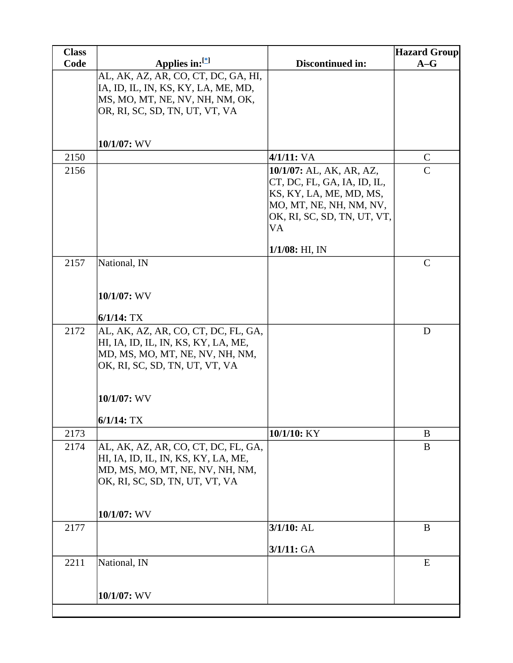| <b>Class</b> |                                                                                                                                                                                 |                                                                                                                                                    | <b>Hazard Group</b> |
|--------------|---------------------------------------------------------------------------------------------------------------------------------------------------------------------------------|----------------------------------------------------------------------------------------------------------------------------------------------------|---------------------|
| Code         | Applies in: $[{}^*]$                                                                                                                                                            | Discontinued in:                                                                                                                                   | $A-G$               |
|              | AL, AK, AZ, AR, CO, CT, DC, GA, HI,<br>IA, ID, IL, IN, KS, KY, LA, ME, MD,<br>MS, MO, MT, NE, NV, NH, NM, OK,<br>OR, RI, SC, SD, TN, UT, VT, VA                                 |                                                                                                                                                    |                     |
|              | 10/1/07: WV                                                                                                                                                                     |                                                                                                                                                    |                     |
| 2150         |                                                                                                                                                                                 | 4/1/11: VA                                                                                                                                         | $\mathsf{C}$        |
| 2156         |                                                                                                                                                                                 | 10/1/07: AL, AK, AR, AZ,<br>CT, DC, FL, GA, IA, ID, IL,<br>KS, KY, LA, ME, MD, MS,<br>MO, MT, NE, NH, NM, NV,<br>OK, RI, SC, SD, TN, UT, VT,<br>VA | $\overline{C}$      |
|              |                                                                                                                                                                                 | $1/1/08$ : HI, IN                                                                                                                                  |                     |
| 2157         | National, IN<br>10/1/07: WV<br>$6/1/14$ : TX                                                                                                                                    |                                                                                                                                                    | $\overline{C}$      |
| 2172         | AL, AK, AZ, AR, CO, CT, DC, FL, GA,<br>HI, IA, ID, IL, IN, KS, KY, LA, ME,<br>MD, MS, MO, MT, NE, NV, NH, NM,<br>OK, RI, SC, SD, TN, UT, VT, VA<br>10/1/07: WV<br>$6/1/14$ : TX |                                                                                                                                                    | D                   |
| 2173         |                                                                                                                                                                                 | 10/1/10: KY                                                                                                                                        | B                   |
| 2174         | AL, AK, AZ, AR, CO, CT, DC, FL, GA,<br>HI, IA, ID, IL, IN, KS, KY, LA, ME,<br>MD, MS, MO, MT, NE, NV, NH, NM,<br>OK, RI, SC, SD, TN, UT, VT, VA<br>10/1/07: WV                  |                                                                                                                                                    | B                   |
| 2177         |                                                                                                                                                                                 | $3/1/10$ : AL                                                                                                                                      | B                   |
|              |                                                                                                                                                                                 | 3/1/11: GA                                                                                                                                         |                     |
| 2211         | National, IN                                                                                                                                                                    |                                                                                                                                                    | E                   |
|              | 10/1/07: WV                                                                                                                                                                     |                                                                                                                                                    |                     |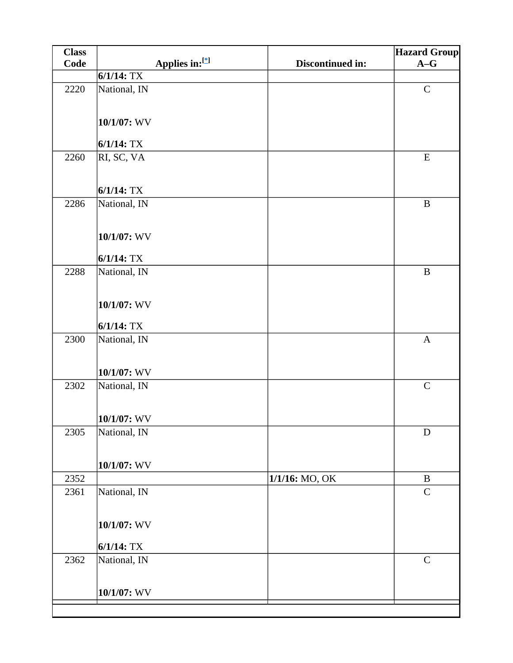| <b>Class</b> |                              |                  | <b>Hazard Group</b> |
|--------------|------------------------------|------------------|---------------------|
| Code         | Applies in:[*]               | Discontinued in: | $A-G$               |
|              | $6/1/14$ : TX                |                  |                     |
| 2220         | National, IN                 |                  | ${\bf C}$           |
|              | 10/1/07: WV                  |                  |                     |
|              | $6/1/14$ : TX                |                  |                     |
| 2260         | RI, SC, VA                   |                  | ${\bf E}$           |
|              | $6/1/14$ : TX                |                  |                     |
| 2286         | National, IN                 |                  | $\, {\bf B}$        |
|              | 10/1/07: WV                  |                  |                     |
|              | $6/1/14$ : TX                |                  |                     |
| 2288         | National, IN                 |                  | $\, {\bf B}$        |
|              | 10/1/07: WV<br>$6/1/14$ : TX |                  |                     |
| 2300         |                              |                  | $\mathbf{A}$        |
|              | National, IN                 |                  |                     |
|              | $10/1/07$ : WV               |                  |                     |
| 2302         | National, IN                 |                  | ${\bf C}$           |
|              | $10/1/07$ : WV               |                  |                     |
| 2305         | National, IN                 |                  | $\mathbf D$         |
|              | $10/1/07$ : WV               |                  |                     |
| 2352         |                              | 1/1/16: MO, OK   | $\bf{B}$            |
| 2361         | National, IN                 |                  | $\mathbf C$         |
|              | $10/1/07$ : WV               |                  |                     |
|              | $6/1/14$ : TX                |                  |                     |
| 2362         | National, IN                 |                  | $\mathsf C$         |
|              | 10/1/07: WV                  |                  |                     |
|              |                              |                  |                     |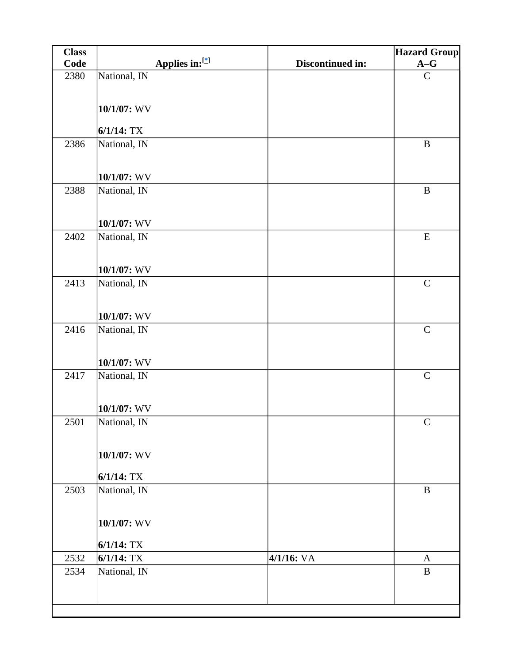| <b>Class</b> |                |                |                  | <b>Hazard Group</b> |
|--------------|----------------|----------------|------------------|---------------------|
| Code         |                | Applies in:[*] | Discontinued in: | $A-G$               |
| 2380         | National, IN   |                |                  | $\mathbf C$         |
|              |                |                |                  |                     |
|              | 10/1/07: WV    |                |                  |                     |
|              |                |                |                  |                     |
|              | $6/1/14$ : TX  |                |                  |                     |
| 2386         | National, IN   |                |                  | $\bf{B}$            |
|              |                |                |                  |                     |
|              | $10/1/07$ : WV |                |                  |                     |
| 2388         | National, IN   |                |                  | $\, {\bf B}$        |
|              |                |                |                  |                     |
|              |                |                |                  |                     |
| 2402         | 10/1/07: WV    |                |                  | ${\bf E}$           |
|              | National, IN   |                |                  |                     |
|              |                |                |                  |                     |
|              | 10/1/07: WV    |                |                  |                     |
| 2413         | National, IN   |                |                  | $\mathbf C$         |
|              |                |                |                  |                     |
|              | 10/1/07: WV    |                |                  |                     |
| 2416         | National, IN   |                |                  | $\mathbf C$         |
|              |                |                |                  |                     |
|              |                |                |                  |                     |
|              | 10/1/07: WV    |                |                  |                     |
| 2417         | National, IN   |                |                  | $\mathbf C$         |
|              |                |                |                  |                     |
|              | 10/1/07: WV    |                |                  |                     |
| 2501         | National, IN   |                |                  | $\mathsf{C}$        |
|              |                |                |                  |                     |
|              | $10/1/07$ : WV |                |                  |                     |
|              |                |                |                  |                     |
|              | $6/1/14$ : TX  |                |                  |                     |
| 2503         | National, IN   |                |                  | $\, {\bf B}$        |
|              |                |                |                  |                     |
|              | $10/1/07$ : WV |                |                  |                     |
|              |                |                |                  |                     |
|              | $6/1/14$ : TX  |                |                  |                     |
| 2532         | $6/1/14$ : TX  |                | 4/1/16: VA       | A                   |
| 2534         | National, IN   |                |                  | $\, {\bf B}$        |
|              |                |                |                  |                     |
|              |                |                |                  |                     |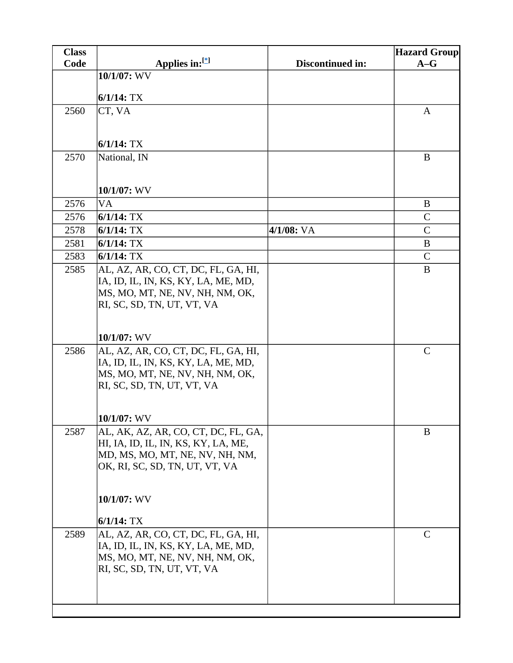| <b>Class</b> |                                     |                  | <b>Hazard Group</b> |
|--------------|-------------------------------------|------------------|---------------------|
| <b>Code</b>  | Applies in: $[$                     | Discontinued in: | $A-G$               |
|              | 10/1/07: WV                         |                  |                     |
|              | $6/1/14$ : TX                       |                  |                     |
| 2560         | CT, VA                              |                  | A                   |
|              |                                     |                  |                     |
|              |                                     |                  |                     |
|              | $6/1/14$ : TX                       |                  |                     |
| 2570         | National, IN                        |                  | $\bf{B}$            |
|              |                                     |                  |                     |
|              | 10/1/07: WV                         |                  |                     |
| 2576         | VA                                  |                  | B                   |
| 2576         | $6/1/14$ : TX                       |                  | $\mathsf{C}$        |
| 2578         | $6/1/14$ : TX                       | $4/1/08$ : VA    | $\mathbf C$         |
| 2581         | $6/1/14$ : TX                       |                  | B                   |
| 2583         | $6/1/14$ : TX                       |                  | $\mathsf{C}$        |
| 2585         | AL, AZ, AR, CO, CT, DC, FL, GA, HI, |                  | B                   |
|              | IA, ID, IL, IN, KS, KY, LA, ME, MD, |                  |                     |
|              | MS, MO, MT, NE, NV, NH, NM, OK,     |                  |                     |
|              | RI, SC, SD, TN, UT, VT, VA          |                  |                     |
|              |                                     |                  |                     |
|              | $10/1/07$ : WV                      |                  |                     |
| 2586         | AL, AZ, AR, CO, CT, DC, FL, GA, HI, |                  | $\mathbf C$         |
|              | IA, ID, IL, IN, KS, KY, LA, ME, MD, |                  |                     |
|              | MS, MO, MT, NE, NV, NH, NM, OK,     |                  |                     |
|              | RI, SC, SD, TN, UT, VT, VA          |                  |                     |
|              |                                     |                  |                     |
|              | $10/1/07$ : WV                      |                  |                     |
| 2587         | AL, AK, AZ, AR, CO, CT, DC, FL, GA, |                  | B                   |
|              | HI, IA, ID, IL, IN, KS, KY, LA, ME, |                  |                     |
|              | MD, MS, MO, MT, NE, NV, NH, NM,     |                  |                     |
|              | OK, RI, SC, SD, TN, UT, VT, VA      |                  |                     |
|              |                                     |                  |                     |
|              | 10/1/07: WV                         |                  |                     |
|              | $6/1/14$ : TX                       |                  |                     |
| 2589         | AL, AZ, AR, CO, CT, DC, FL, GA, HI, |                  | $\mathbf C$         |
|              | IA, ID, IL, IN, KS, KY, LA, ME, MD, |                  |                     |
|              | MS, MO, MT, NE, NV, NH, NM, OK,     |                  |                     |
|              | RI, SC, SD, TN, UT, VT, VA          |                  |                     |
|              |                                     |                  |                     |
|              |                                     |                  |                     |
|              |                                     |                  |                     |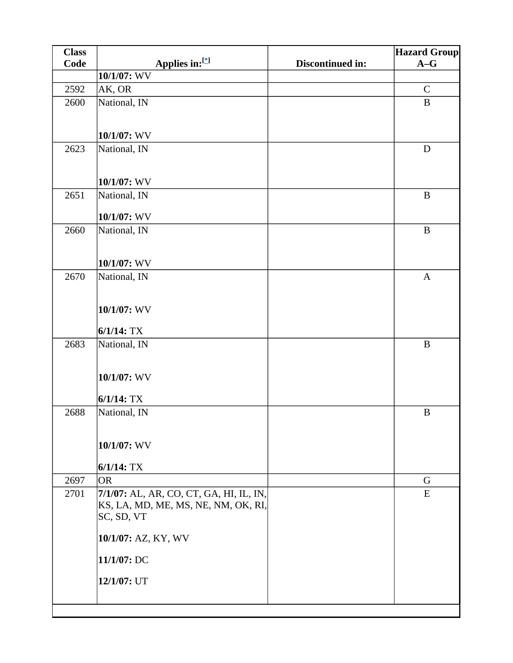| <b>Class</b> |                                         |                  | <b>Hazard Group</b> |
|--------------|-----------------------------------------|------------------|---------------------|
| Code         | Applies in:[*]                          | Discontinued in: | $A-G$               |
|              | 10/1/07: WV                             |                  |                     |
| 2592         | AK, OR                                  |                  | $\mathbf C$         |
| 2600         | National, IN                            |                  | $\bf{B}$            |
|              |                                         |                  |                     |
|              | 10/1/07: WV                             |                  |                     |
| 2623         | National, IN                            |                  | D                   |
|              |                                         |                  |                     |
|              |                                         |                  |                     |
|              | 10/1/07: WV                             |                  |                     |
| 2651         | National, IN                            |                  | $\bf{B}$            |
|              | 10/1/07: WV                             |                  |                     |
| 2660         | National, IN                            |                  | $\bf{B}$            |
|              |                                         |                  |                     |
|              | 10/1/07: WV                             |                  |                     |
| 2670         | National, IN                            |                  | $\mathbf{A}$        |
|              |                                         |                  |                     |
|              |                                         |                  |                     |
|              | 10/1/07: WV                             |                  |                     |
|              | $6/1/14$ : TX                           |                  |                     |
| 2683         | National, IN                            |                  | $\bf{B}$            |
|              |                                         |                  |                     |
|              | 10/1/07: WV                             |                  |                     |
|              |                                         |                  |                     |
|              | $6/1/14$ : TX                           |                  |                     |
| 2688         | National, IN                            |                  | $\bf{B}$            |
|              |                                         |                  |                     |
|              | 10/1/07: WV                             |                  |                     |
|              |                                         |                  |                     |
|              | $6/1/14$ : TX                           |                  |                     |
| 2697         | <b>OR</b>                               |                  | G                   |
| 2701         | 7/1/07: AL, AR, CO, CT, GA, HI, IL, IN, |                  | ${\bf E}$           |
|              | KS, LA, MD, ME, MS, NE, NM, OK, RI,     |                  |                     |
|              | SC, SD, VT                              |                  |                     |
|              | 10/1/07: AZ, KY, WV                     |                  |                     |
|              |                                         |                  |                     |
|              | 11/1/07: DC                             |                  |                     |
|              | 12/1/07: UT                             |                  |                     |
|              |                                         |                  |                     |
|              |                                         |                  |                     |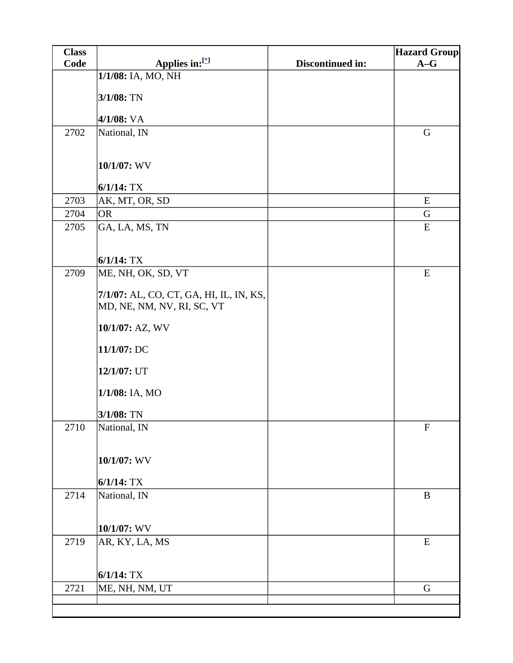| <b>Class</b> |                                         |                  | <b>Hazard Group</b> |
|--------------|-----------------------------------------|------------------|---------------------|
| Code         | Applies in:[*]                          | Discontinued in: | $A-G$               |
|              | 1/1/08: IA, MO, NH                      |                  |                     |
|              | 3/1/08: TN                              |                  |                     |
|              |                                         |                  |                     |
|              | 4/1/08: VA                              |                  |                     |
| 2702         | National, IN                            |                  | $\mathbf G$         |
|              |                                         |                  |                     |
|              | 10/1/07: WV                             |                  |                     |
|              |                                         |                  |                     |
|              | $6/1/14$ : TX                           |                  |                     |
| 2703         | AK, MT, OR, SD                          |                  | E                   |
| 2704         | <b>OR</b>                               |                  | G                   |
| 2705         | GA, LA, MS, TN                          |                  | E                   |
|              |                                         |                  |                     |
|              | $6/1/14$ : TX                           |                  |                     |
| 2709         | ME, NH, OK, SD, VT                      |                  | E                   |
|              | 7/1/07: AL, CO, CT, GA, HI, IL, IN, KS, |                  |                     |
|              | MD, NE, NM, NV, RI, SC, VT              |                  |                     |
|              |                                         |                  |                     |
|              | 10/1/07: AZ, WV                         |                  |                     |
|              | 11/1/07: DC                             |                  |                     |
|              |                                         |                  |                     |
|              | 12/1/07: UT                             |                  |                     |
|              | 1/1/08: IA, MO                          |                  |                     |
|              |                                         |                  |                     |
|              | 3/1/08: TN                              |                  |                     |
| 2710         | National, IN                            |                  | $\mathbf F$         |
|              |                                         |                  |                     |
|              | 10/1/07: WV                             |                  |                     |
|              |                                         |                  |                     |
|              | $6/1/14$ : TX                           |                  |                     |
| 2714         | National, IN                            |                  | $\, {\bf B}$        |
|              |                                         |                  |                     |
|              | 10/1/07: WV                             |                  |                     |
| 2719         | AR, KY, LA, MS                          |                  | ${\bf E}$           |
|              |                                         |                  |                     |
|              | $6/1/14$ : TX                           |                  |                     |
| 2721         | ME, NH, NM, UT                          |                  | $\mathbf G$         |
|              |                                         |                  |                     |
|              |                                         |                  |                     |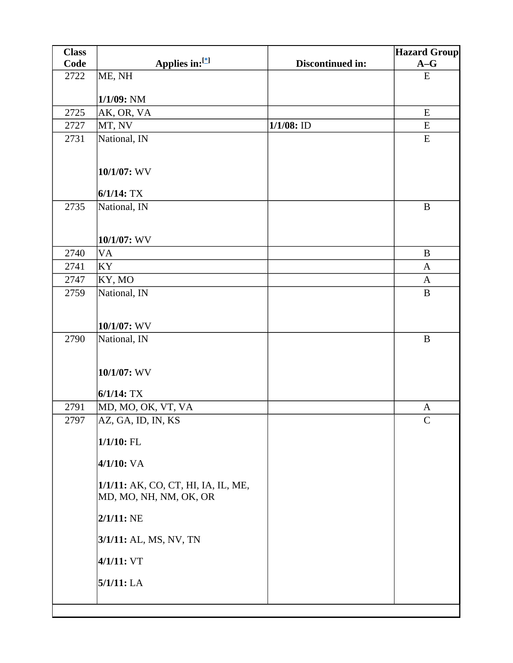| <b>Class</b> |                                                               |                  | <b>Hazard Group</b> |
|--------------|---------------------------------------------------------------|------------------|---------------------|
| Code         | Applies in:[*]                                                | Discontinued in: | $A-G$               |
| 2722         | ME, NH                                                        |                  | ${\bf E}$           |
|              | 1/1/09: NM                                                    |                  |                     |
| 2725         | AK, OR, VA                                                    |                  | E                   |
| 2727         | MT, NV                                                        | $1/1/08$ : ID    | E                   |
| 2731         | National, IN                                                  |                  | E                   |
|              |                                                               |                  |                     |
|              | 10/1/07: WV                                                   |                  |                     |
|              | $6/1/14$ : TX                                                 |                  |                     |
| 2735         | National, IN                                                  |                  | $\, {\bf B}$        |
|              | 10/1/07: WV                                                   |                  |                     |
| 2740         | <b>VA</b>                                                     |                  | $\, {\bf B}$        |
| 2741         | KY                                                            |                  | A                   |
| 2747         | KY, MO                                                        |                  | $\mathbf{A}$        |
| 2759         | National, IN                                                  |                  | $\bf{B}$            |
|              | 10/1/07: WV                                                   |                  |                     |
| 2790         | National, IN                                                  |                  | $\bf{B}$            |
|              | 10/1/07: WV<br>$6/1/14$ : TX                                  |                  |                     |
| 2791         | MD, MO, OK, VT, VA                                            |                  | A                   |
| 2797         | AZ, GA, ID, IN, KS                                            |                  | $\mathcal{C}$       |
|              | $1/1/10$ : FL                                                 |                  |                     |
|              | $4/1/10$ : VA                                                 |                  |                     |
|              | 1/1/11: AK, CO, CT, HI, IA, IL, ME,<br>MD, MO, NH, NM, OK, OR |                  |                     |
|              | $2/1/11$ : NE                                                 |                  |                     |
|              | 3/1/11: AL, MS, NV, TN                                        |                  |                     |
|              | 4/1/11: VT                                                    |                  |                     |
|              | 5/1/11: LA                                                    |                  |                     |
|              |                                                               |                  |                     |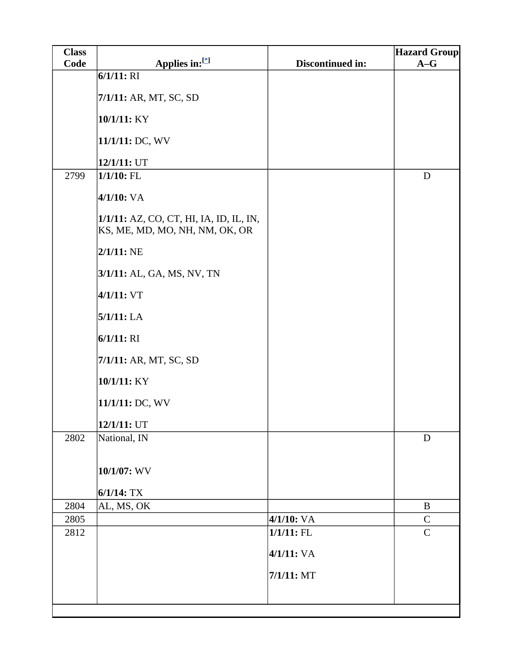| <b>Class</b> |                                                                           |                  | <b>Hazard Group</b> |
|--------------|---------------------------------------------------------------------------|------------------|---------------------|
| Code         | Applies in:[*]                                                            | Discontinued in: | $A-G$               |
|              | $6/1/11$ : RI                                                             |                  |                     |
|              | 7/1/11: AR, MT, SC, SD                                                    |                  |                     |
|              | 10/1/11: KY                                                               |                  |                     |
|              | 11/1/11: DC, WV                                                           |                  |                     |
|              | 12/1/11: UT                                                               |                  |                     |
| 2799         | $1/1/10$ : FL                                                             |                  | $\mathbf D$         |
|              | 4/1/10: VA                                                                |                  |                     |
|              | 1/1/11: AZ, CO, CT, HI, IA, ID, IL, IN,<br>KS, ME, MD, MO, NH, NM, OK, OR |                  |                     |
|              | $2/1/11$ : NE                                                             |                  |                     |
|              | 3/1/11: AL, GA, MS, NV, TN                                                |                  |                     |
|              | 4/1/11: VT                                                                |                  |                     |
|              | 5/1/11: LA                                                                |                  |                     |
|              | $6/1/11$ : RI                                                             |                  |                     |
|              | 7/1/11: AR, MT, SC, SD                                                    |                  |                     |
|              | 10/1/11: KY                                                               |                  |                     |
|              | 11/1/11: DC, WV                                                           |                  |                     |
|              | 12/1/11: UT                                                               |                  |                     |
| 2802         | National, IN                                                              |                  | $\mathbf D$         |
|              | 10/1/07: WV                                                               |                  |                     |
|              | $6/1/14$ : TX                                                             |                  |                     |
| 2804         | AL, MS, OK                                                                |                  | $\bf{B}$            |
| 2805         |                                                                           | $4/1/10$ : VA    | $\mathbf C$         |
| 2812         |                                                                           | $1/1/11$ : FL    | $\mathbf C$         |
|              |                                                                           | 4/1/11: VA       |                     |
|              |                                                                           | $7/1/11$ : MT    |                     |
|              |                                                                           |                  |                     |
|              |                                                                           |                  |                     |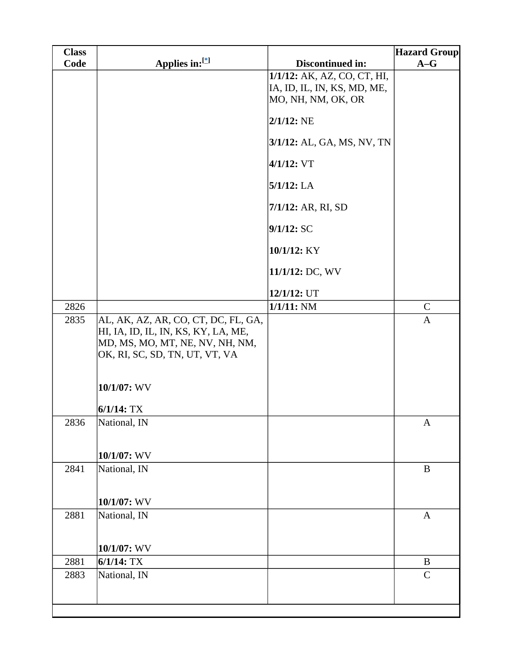| <b>Class</b> |                                                                            |                                                            | <b>Hazard Group</b> |
|--------------|----------------------------------------------------------------------------|------------------------------------------------------------|---------------------|
| Code         | Applies in:[*]                                                             | Discontinued in:                                           | $A-G$               |
|              |                                                                            | 1/1/12: AK, AZ, CO, CT, HI,<br>IA, ID, IL, IN, KS, MD, ME, |                     |
|              |                                                                            | MO, NH, NM, OK, OR                                         |                     |
|              |                                                                            | $2/1/12$ : NE                                              |                     |
|              |                                                                            | 3/1/12: AL, GA, MS, NV, TN                                 |                     |
|              |                                                                            | $4/1/12$ : VT                                              |                     |
|              |                                                                            | $5/1/12$ : LA                                              |                     |
|              |                                                                            | 7/1/12: AR, RI, SD                                         |                     |
|              |                                                                            | 9/1/12: SC                                                 |                     |
|              |                                                                            | 10/1/12: KY                                                |                     |
|              |                                                                            | 11/1/12: DC, WV                                            |                     |
|              |                                                                            | 12/1/12: UT                                                |                     |
| 2826         |                                                                            | $1/1/11$ : NM                                              | $\mathcal{C}$       |
| 2835         | AL, AK, AZ, AR, CO, CT, DC, FL, GA,<br>HI, IA, ID, IL, IN, KS, KY, LA, ME, |                                                            | $\mathbf{A}$        |
|              | MD, MS, MO, MT, NE, NV, NH, NM,<br>OK, RI, SC, SD, TN, UT, VT, VA          |                                                            |                     |
|              |                                                                            |                                                            |                     |
|              | 10/1/07: WV                                                                |                                                            |                     |
|              | $6/1/14$ : TX                                                              |                                                            |                     |
| 2836         | National, IN                                                               |                                                            | $\mathbf{A}$        |
|              | 10/1/07: WV                                                                |                                                            |                     |
| 2841         | National, IN                                                               |                                                            | $\mathbf B$         |
|              | 10/1/07: WV                                                                |                                                            |                     |
| 2881         | National, IN                                                               |                                                            | $\mathbf{A}$        |
|              | 10/1/07: WV                                                                |                                                            |                     |
| 2881         | $6/1/14$ : TX                                                              |                                                            | B                   |
| 2883         | National, IN                                                               |                                                            | $\mathcal{C}$       |
|              |                                                                            |                                                            |                     |
|              |                                                                            |                                                            |                     |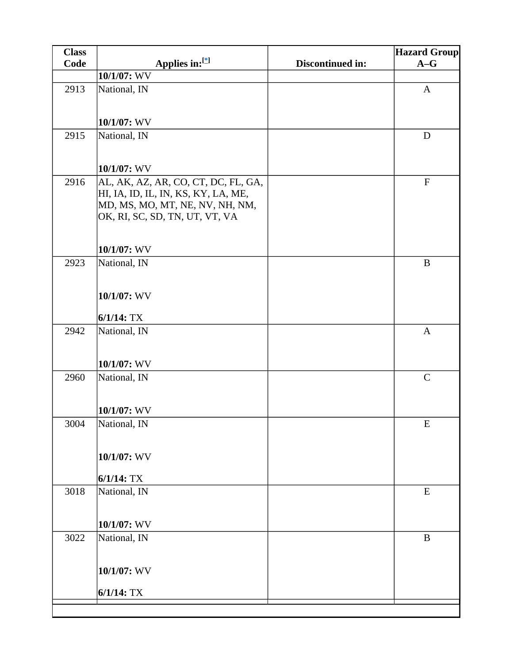| <b>Class</b> |                                     |                  | <b>Hazard Group</b> |
|--------------|-------------------------------------|------------------|---------------------|
| <b>Code</b>  | Applies in:[*]                      | Discontinued in: | $A-G$               |
|              | 10/1/07: WV                         |                  |                     |
| 2913         | National, IN                        |                  | $\mathbf{A}$        |
|              |                                     |                  |                     |
|              | 10/1/07: WV                         |                  |                     |
| 2915         | National, IN                        |                  | D                   |
|              |                                     |                  |                     |
|              | 10/1/07: WV                         |                  |                     |
| 2916         | AL, AK, AZ, AR, CO, CT, DC, FL, GA, |                  | $\mathbf{F}$        |
|              | HI, IA, ID, IL, IN, KS, KY, LA, ME, |                  |                     |
|              | MD, MS, MO, MT, NE, NV, NH, NM,     |                  |                     |
|              | OK, RI, SC, SD, TN, UT, VT, VA      |                  |                     |
|              |                                     |                  |                     |
|              | 10/1/07: WV                         |                  |                     |
| 2923         | National, IN                        |                  | $\, {\bf B}$        |
|              |                                     |                  |                     |
|              |                                     |                  |                     |
|              | 10/1/07: WV                         |                  |                     |
|              | $6/1/14$ : TX                       |                  |                     |
| 2942         | National, IN                        |                  | $\mathbf{A}$        |
|              |                                     |                  |                     |
|              | 10/1/07: WV                         |                  |                     |
| 2960         | National, IN                        |                  | $\mathbf C$         |
|              |                                     |                  |                     |
|              |                                     |                  |                     |
|              | 10/1/07: WV                         |                  |                     |
| 3004         | National, IN                        |                  | E                   |
|              |                                     |                  |                     |
|              | $10/1/07$ : WV                      |                  |                     |
|              |                                     |                  |                     |
|              | $6/1/14$ : TX                       |                  |                     |
| 3018         | National, IN                        |                  | E                   |
|              |                                     |                  |                     |
|              | 10/1/07: WV                         |                  |                     |
| 3022         | National, IN                        |                  | $\, {\bf B}$        |
|              |                                     |                  |                     |
|              | 10/1/07: WV                         |                  |                     |
|              |                                     |                  |                     |
|              | $6/1/14$ : TX                       |                  |                     |
|              |                                     |                  |                     |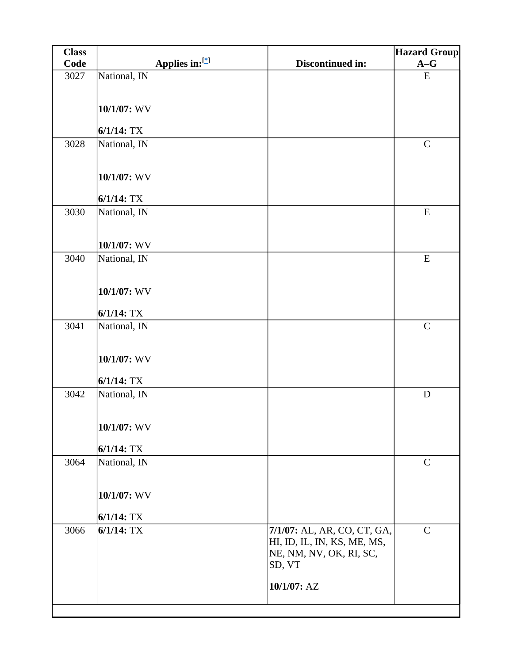| <b>Class</b> |                |                                   | <b>Hazard Group</b> |
|--------------|----------------|-----------------------------------|---------------------|
| Code         | Applies in:[*] | Discontinued in:                  | $A-G$               |
| 3027         | National, IN   |                                   | ${\bf E}$           |
|              |                |                                   |                     |
|              | 10/1/07: WV    |                                   |                     |
|              |                |                                   |                     |
|              | $6/1/14$ : TX  |                                   |                     |
| 3028         | National, IN   |                                   | $\mathbf C$         |
|              |                |                                   |                     |
|              | 10/1/07: WV    |                                   |                     |
|              |                |                                   |                     |
|              | $6/1/14$ : TX  |                                   |                     |
| 3030         | National, IN   |                                   | ${\bf E}$           |
|              |                |                                   |                     |
|              | 10/1/07: WV    |                                   |                     |
| 3040         | National, IN   |                                   | ${\bf E}$           |
|              |                |                                   |                     |
|              |                |                                   |                     |
|              | 10/1/07: WV    |                                   |                     |
|              | $6/1/14$ : TX  |                                   |                     |
| 3041         | National, IN   |                                   | $\mathbf C$         |
|              |                |                                   |                     |
|              |                |                                   |                     |
|              | 10/1/07: WV    |                                   |                     |
|              | $6/1/14$ : TX  |                                   |                     |
| 3042         | National, IN   |                                   | $\mathbf D$         |
|              |                |                                   |                     |
|              | 10/1/07: WV    |                                   |                     |
|              |                |                                   |                     |
|              | $6/1/14$ : TX  |                                   |                     |
| 3064         | National, IN   |                                   | $\mathsf{C}$        |
|              |                |                                   |                     |
|              | 10/1/07: WV    |                                   |                     |
|              |                |                                   |                     |
|              | $6/1/14$ : TX  |                                   |                     |
| 3066         | $6/1/14$ : TX  | 7/1/07: AL, AR, CO, CT, GA,       | $\mathsf{C}$        |
|              |                | HI, ID, IL, IN, KS, ME, MS,       |                     |
|              |                | NE, NM, NV, OK, RI, SC,<br>SD, VT |                     |
|              |                |                                   |                     |
|              |                | 10/1/07: AZ                       |                     |
|              |                |                                   |                     |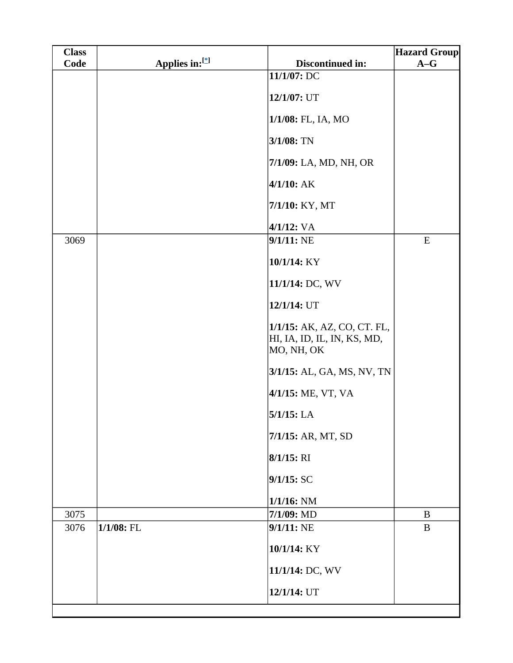| Code | Applies in:[*] | Discontinued in:<br>11/1/07: DC                                          | $A-G$     |
|------|----------------|--------------------------------------------------------------------------|-----------|
|      |                |                                                                          |           |
|      |                |                                                                          |           |
|      |                | 12/1/07: UT                                                              |           |
|      |                | 1/1/08: FL, IA, MO                                                       |           |
|      |                | $3/1/08$ : TN                                                            |           |
|      |                | 7/1/09: LA, MD, NH, OR                                                   |           |
|      |                | $4/1/10$ : AK                                                            |           |
|      |                | 7/1/10: KY, MT                                                           |           |
|      |                | $4/1/12$ : VA                                                            |           |
| 3069 |                | $9/1/11$ : NE                                                            | ${\bf E}$ |
|      |                | 10/1/14: KY                                                              |           |
|      |                | 11/1/14: DC, WV                                                          |           |
|      |                | 12/1/14: UT                                                              |           |
|      |                | 1/1/15: AK, AZ, CO, CT. FL,<br>HI, IA, ID, IL, IN, KS, MD,<br>MO, NH, OK |           |
|      |                | 3/1/15: AL, GA, MS, NV, TN                                               |           |
|      |                | 4/1/15: ME, VT, VA                                                       |           |
|      |                | $5/1/15$ : LA                                                            |           |
|      |                | 7/1/15: AR, MT, SD                                                       |           |
|      |                | $8/1/15$ : RI                                                            |           |
|      |                | 9/1/15: SC                                                               |           |
|      |                | $1/1/16$ : NM                                                            |           |
| 3075 |                | 7/1/09: MD                                                               | $\bf{B}$  |
| 3076 | $1/1/08$ : FL  | 9/1/11: NE                                                               | $\bf{B}$  |
|      |                | 10/1/14: KY                                                              |           |
|      |                | 11/1/14: DC, WV                                                          |           |
|      |                | 12/1/14: UT                                                              |           |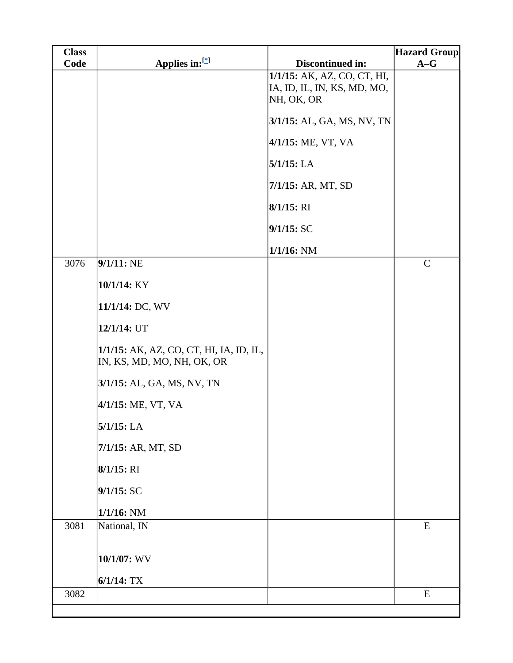| <b>Class</b> |                                                                       |                             | <b>Hazard Group</b> |
|--------------|-----------------------------------------------------------------------|-----------------------------|---------------------|
| Code         | Applies in:[*]                                                        | Discontinued in:            | $A-G$               |
|              |                                                                       | 1/1/15: AK, AZ, CO, CT, HI, |                     |
|              |                                                                       | IA, ID, IL, IN, KS, MD, MO, |                     |
|              |                                                                       | NH, OK, OR                  |                     |
|              |                                                                       | 3/1/15: AL, GA, MS, NV, TN  |                     |
|              |                                                                       | 4/1/15: ME, VT, VA          |                     |
|              |                                                                       | $5/1/15$ : LA               |                     |
|              |                                                                       | 7/1/15: AR, MT, SD          |                     |
|              |                                                                       | 8/1/15: RI                  |                     |
|              |                                                                       | 9/1/15: SC                  |                     |
|              |                                                                       | $1/1/16$ : NM               |                     |
| 3076         | $9/1/11$ : NE                                                         |                             | $\mathbf C$         |
|              | 10/1/14: KY                                                           |                             |                     |
|              | 11/1/14: DC, WV                                                       |                             |                     |
|              | 12/1/14: UT                                                           |                             |                     |
|              | 1/1/15: AK, AZ, CO, CT, HI, IA, ID, IL,<br>IN, KS, MD, MO, NH, OK, OR |                             |                     |
|              | 3/1/15: AL, GA, MS, NV, TN                                            |                             |                     |
|              | 4/1/15: ME, VT, VA                                                    |                             |                     |
|              | $5/1/15$ : LA                                                         |                             |                     |
|              | 7/1/15: AR, MT, SD                                                    |                             |                     |
|              | $8/1/15$ : RI                                                         |                             |                     |
|              | 9/1/15:SC                                                             |                             |                     |
|              | $1/1/16$ : NM                                                         |                             |                     |
| 3081         | National, IN                                                          |                             | ${\bf E}$           |
|              | 10/1/07: WV                                                           |                             |                     |
|              | $6/1/14$ : TX                                                         |                             |                     |
| 3082         |                                                                       |                             | E                   |
|              |                                                                       |                             |                     |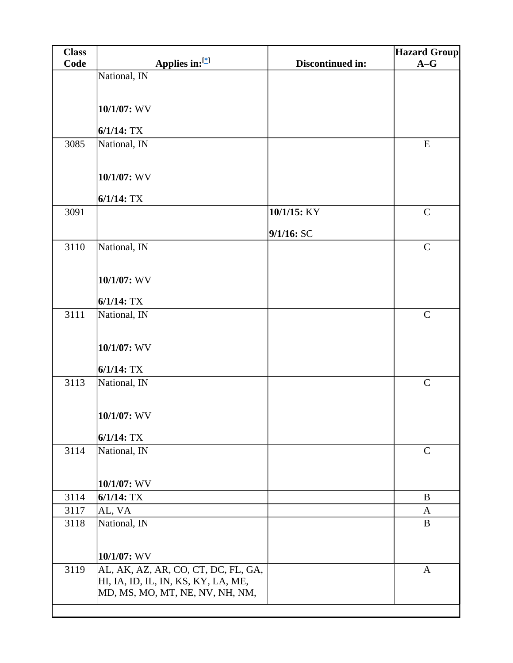| <b>Class</b> |                                     |                  | <b>Hazard Group</b> |
|--------------|-------------------------------------|------------------|---------------------|
| Code         | Applies in:[*]                      | Discontinued in: | $A-G$               |
|              | National, IN                        |                  |                     |
|              |                                     |                  |                     |
|              | 10/1/07: WV                         |                  |                     |
|              |                                     |                  |                     |
|              | $6/1/14$ : TX                       |                  |                     |
| 3085         | National, IN                        |                  | ${\bf E}$           |
|              |                                     |                  |                     |
|              | 10/1/07: WV                         |                  |                     |
|              |                                     |                  |                     |
|              | $6/1/14$ : TX                       |                  |                     |
| 3091         |                                     | 10/1/15: KY      | $\mathbf C$         |
|              |                                     |                  |                     |
|              |                                     | 9/1/16: SC       | $\mathbf C$         |
| 3110         | National, IN                        |                  |                     |
|              |                                     |                  |                     |
|              | 10/1/07: WV                         |                  |                     |
|              |                                     |                  |                     |
| 3111         | $6/1/14$ : TX<br>National, IN       |                  | $\mathcal{C}$       |
|              |                                     |                  |                     |
|              |                                     |                  |                     |
|              | 10/1/07: WV                         |                  |                     |
|              |                                     |                  |                     |
| 3113         | $6/1/14$ : TX                       |                  | $\mathbf C$         |
|              | National, IN                        |                  |                     |
|              |                                     |                  |                     |
|              | 10/1/07: WV                         |                  |                     |
|              |                                     |                  |                     |
| 3114         | $6/1/14$ : TX<br>National, IN       |                  | $\mathsf{C}$        |
|              |                                     |                  |                     |
|              |                                     |                  |                     |
|              | 10/1/07: WV                         |                  |                     |
| 3114         | $6/1/14$ : TX                       |                  | $\bf{B}$            |
| 3117         | AL, VA                              |                  | A                   |
| 3118         | National, IN                        |                  | $\bf{B}$            |
|              |                                     |                  |                     |
|              | 10/1/07: WV                         |                  |                     |
| 3119         | AL, AK, AZ, AR, CO, CT, DC, FL, GA, |                  | $\mathbf{A}$        |
|              | HI, IA, ID, IL, IN, KS, KY, LA, ME, |                  |                     |
|              | MD, MS, MO, MT, NE, NV, NH, NM,     |                  |                     |
|              |                                     |                  |                     |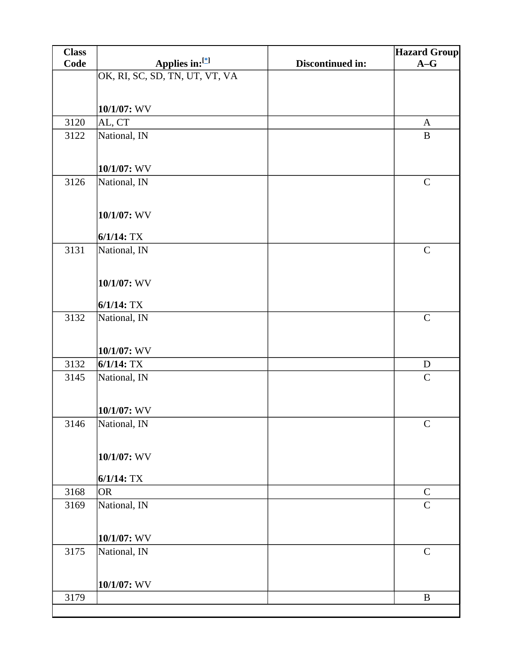| <b>Class</b> |                                |                  | <b>Hazard Group</b> |
|--------------|--------------------------------|------------------|---------------------|
| Code         | Applies in:[*]                 | Discontinued in: | $A-G$               |
|              | OK, RI, SC, SD, TN, UT, VT, VA |                  |                     |
|              |                                |                  |                     |
|              | 10/1/07: WV                    |                  |                     |
| 3120         | AL, CT                         |                  | $\mathbf{A}$        |
| 3122         | National, IN                   |                  | $\, {\bf B}$        |
|              |                                |                  |                     |
|              | 10/1/07: WV                    |                  |                     |
| 3126         | National, IN                   |                  | $\mathbf C$         |
|              |                                |                  |                     |
|              |                                |                  |                     |
|              | 10/1/07: WV                    |                  |                     |
|              | $6/1/14$ : TX                  |                  |                     |
| 3131         | National, IN                   |                  | $\mathbf C$         |
|              |                                |                  |                     |
|              | 10/1/07: WV                    |                  |                     |
|              |                                |                  |                     |
|              | $6/1/14$ : TX                  |                  |                     |
| 3132         | National, IN                   |                  | $\mathbf C$         |
|              |                                |                  |                     |
|              | 10/1/07: WV                    |                  |                     |
| 3132         | $6/1/14$ : TX                  |                  | ${\bf D}$           |
| 3145         | National, IN                   |                  | $\mathsf{C}$        |
|              |                                |                  |                     |
|              | 10/1/07: WV                    |                  |                     |
| 3146         | National, IN                   |                  | $\mathsf C$         |
|              |                                |                  |                     |
|              |                                |                  |                     |
|              | 10/1/07: WV                    |                  |                     |
|              | $6/1/14$ : TX                  |                  |                     |
| 3168         | <b>OR</b>                      |                  | $\mathbf C$         |
| 3169         | National, IN                   |                  | $\overline{C}$      |
|              |                                |                  |                     |
|              | 10/1/07: WV                    |                  |                     |
| 3175         | National, IN                   |                  | $\mathbf C$         |
|              |                                |                  |                     |
|              |                                |                  |                     |
|              | 10/1/07: WV                    |                  |                     |
| 3179         |                                |                  | $\, {\bf B}$        |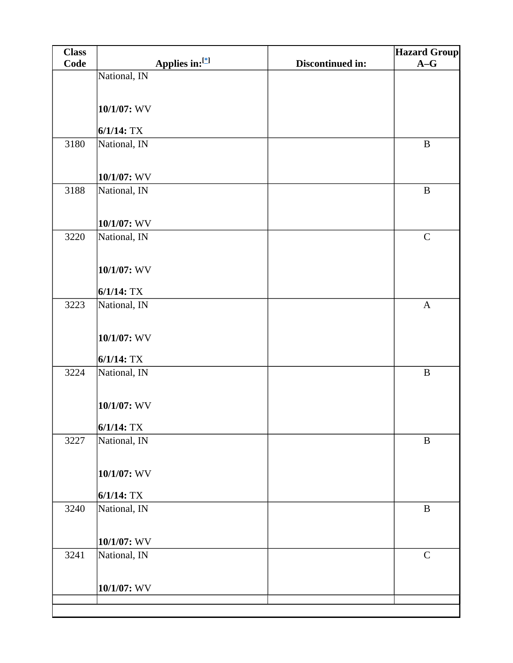| <b>Class</b> |               |                |                  | <b>Hazard Group</b> |
|--------------|---------------|----------------|------------------|---------------------|
| Code         |               | Applies in:[*] | Discontinued in: | $A-G$               |
|              | National, IN  |                |                  |                     |
|              |               |                |                  |                     |
|              | 10/1/07: WV   |                |                  |                     |
|              |               |                |                  |                     |
|              | $6/1/14$ : TX |                |                  |                     |
| 3180         | National, IN  |                |                  | $\, {\bf B}$        |
|              |               |                |                  |                     |
|              | 10/1/07: WV   |                |                  |                     |
| 3188         | National, IN  |                |                  | $\, {\bf B}$        |
|              |               |                |                  |                     |
|              | 10/1/07: WV   |                |                  |                     |
| 3220         | National, IN  |                |                  | $\mathbf C$         |
|              |               |                |                  |                     |
|              |               |                |                  |                     |
|              | 10/1/07: WV   |                |                  |                     |
|              | $6/1/14$ : TX |                |                  |                     |
| 3223         | National, IN  |                |                  | $\mathbf{A}$        |
|              |               |                |                  |                     |
|              | 10/1/07: WV   |                |                  |                     |
|              |               |                |                  |                     |
|              | $6/1/14$ : TX |                |                  |                     |
| 3224         | National, IN  |                |                  | $\, {\bf B}$        |
|              |               |                |                  |                     |
|              | 10/1/07: WV   |                |                  |                     |
|              |               |                |                  |                     |
|              | $6/1/14$ : TX |                |                  |                     |
| 3227         | National, IN  |                |                  | $\, {\bf B}$        |
|              |               |                |                  |                     |
|              | 10/1/07: WV   |                |                  |                     |
|              |               |                |                  |                     |
|              | $6/1/14$ : TX |                |                  | $\, {\bf B}$        |
| 3240         | National, IN  |                |                  |                     |
|              |               |                |                  |                     |
|              | 10/1/07: WV   |                |                  |                     |
| 3241         | National, IN  |                |                  | $\mathbf C$         |
|              |               |                |                  |                     |
|              | 10/1/07: WV   |                |                  |                     |
|              |               |                |                  |                     |
|              |               |                |                  |                     |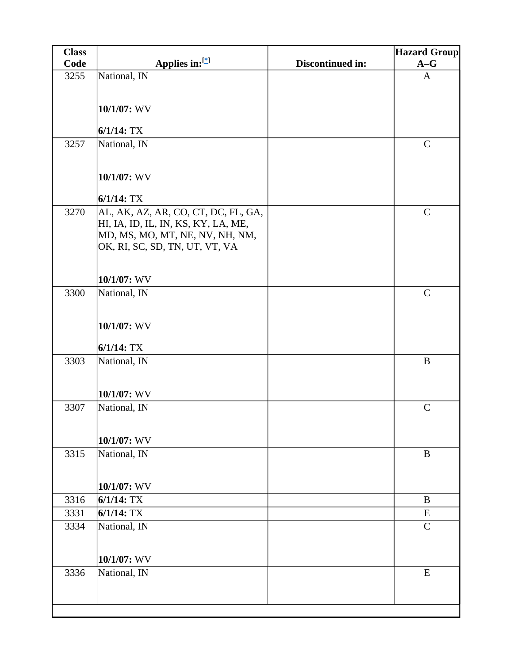| <b>Class</b> |                                                                   |                  | <b>Hazard Group</b> |
|--------------|-------------------------------------------------------------------|------------------|---------------------|
| Code         | Applies in:[*]                                                    | Discontinued in: | $A-G$               |
| 3255         | National, IN                                                      |                  | $\mathbf{A}$        |
|              |                                                                   |                  |                     |
|              | 10/1/07: WV                                                       |                  |                     |
|              |                                                                   |                  |                     |
|              | $6/1/14$ : TX                                                     |                  |                     |
| 3257         | National, IN                                                      |                  | $\mathsf{C}$        |
|              |                                                                   |                  |                     |
|              | 10/1/07: WV                                                       |                  |                     |
|              |                                                                   |                  |                     |
|              | $6/1/14$ : TX                                                     |                  |                     |
| 3270         | AL, AK, AZ, AR, CO, CT, DC, FL, GA,                               |                  | $\mathsf{C}$        |
|              | HI, IA, ID, IL, IN, KS, KY, LA, ME,                               |                  |                     |
|              | MD, MS, MO, MT, NE, NV, NH, NM,<br>OK, RI, SC, SD, TN, UT, VT, VA |                  |                     |
|              |                                                                   |                  |                     |
|              |                                                                   |                  |                     |
|              | $10/1/07$ : WV                                                    |                  |                     |
| 3300         | National, IN                                                      |                  | $\mathbf C$         |
|              |                                                                   |                  |                     |
|              | 10/1/07: WV                                                       |                  |                     |
|              |                                                                   |                  |                     |
|              | $6/1/14$ : TX                                                     |                  |                     |
| 3303         | National, IN                                                      |                  | $\, {\bf B}$        |
|              |                                                                   |                  |                     |
|              | 10/1/07: WV                                                       |                  |                     |
| 3307         | National, IN                                                      |                  | $\mathbf C$         |
|              |                                                                   |                  |                     |
|              |                                                                   |                  |                     |
|              | 10/1/07: WV                                                       |                  |                     |
| 3315         | National, IN                                                      |                  | $\bf{B}$            |
|              |                                                                   |                  |                     |
|              | 10/1/07: WV                                                       |                  |                     |
| 3316         | $6/1/14$ : TX                                                     |                  | $\bf{B}$            |
| 3331         | $6/1/14$ : TX                                                     |                  | E                   |
| 3334         | National, IN                                                      |                  | $\mathbf C$         |
|              |                                                                   |                  |                     |
|              | 10/1/07: WV                                                       |                  |                     |
| 3336         | National, IN                                                      |                  | E                   |
|              |                                                                   |                  |                     |
|              |                                                                   |                  |                     |
|              |                                                                   |                  |                     |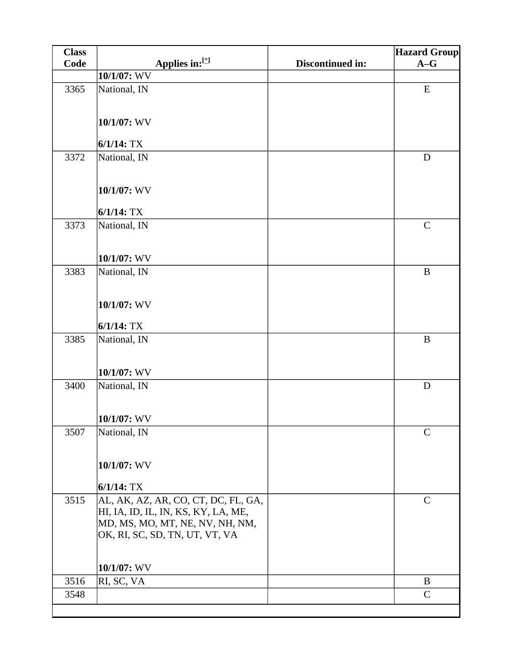| <b>Class</b> |                                                                                                                                                 |                  | <b>Hazard Group</b> |
|--------------|-------------------------------------------------------------------------------------------------------------------------------------------------|------------------|---------------------|
| Code         | Applies in:[*]                                                                                                                                  | Discontinued in: | $A-G$               |
|              | 10/1/07: WV                                                                                                                                     |                  |                     |
| 3365         | National, IN                                                                                                                                    |                  | ${\bf E}$           |
|              | 10/1/07: WV                                                                                                                                     |                  |                     |
|              | $6/1/14$ : TX                                                                                                                                   |                  |                     |
| 3372         | National, IN                                                                                                                                    |                  | D                   |
|              | 10/1/07: WV<br>$6/1/14$ : TX                                                                                                                    |                  |                     |
| 3373         | National, IN                                                                                                                                    |                  | $\mathsf{C}$        |
|              | 10/1/07: WV                                                                                                                                     |                  |                     |
| 3383         | National, IN                                                                                                                                    |                  | $\bf{B}$            |
|              | 10/1/07: WV                                                                                                                                     |                  |                     |
|              | $6/1/14$ : TX                                                                                                                                   |                  |                     |
| 3385         | National, IN                                                                                                                                    |                  | $\bf{B}$            |
|              | 10/1/07: WV                                                                                                                                     |                  |                     |
| 3400         | National, IN                                                                                                                                    |                  | $\mathbf D$         |
|              | $10/1/07$ : WV                                                                                                                                  |                  |                     |
| 3507         | National, IN                                                                                                                                    |                  | $\mathcal{C}$       |
|              | 10/1/07: WV                                                                                                                                     |                  |                     |
|              | $6/1/14$ : TX                                                                                                                                   |                  |                     |
| 3515         | AL, AK, AZ, AR, CO, CT, DC, FL, GA,<br>HI, IA, ID, IL, IN, KS, KY, LA, ME,<br>MD, MS, MO, MT, NE, NV, NH, NM,<br>OK, RI, SC, SD, TN, UT, VT, VA |                  | $\mathsf{C}$        |
|              | 10/1/07: WV                                                                                                                                     |                  |                     |
| 3516         | RI, SC, VA                                                                                                                                      |                  | B                   |
| 3548         |                                                                                                                                                 |                  | $\mathsf{C}$        |
|              |                                                                                                                                                 |                  |                     |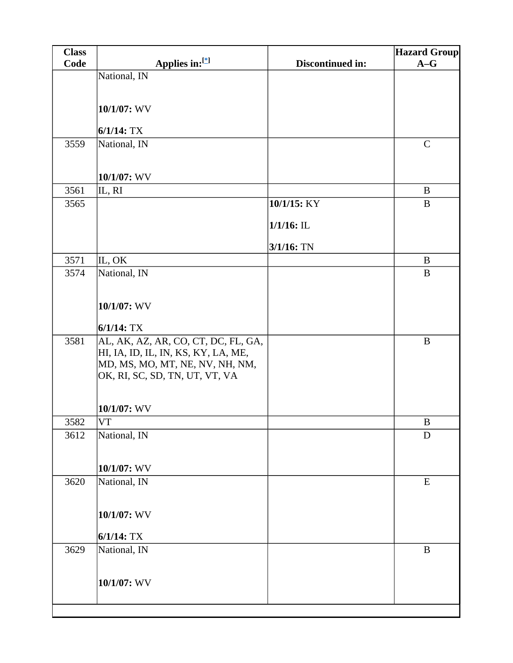| <b>Class</b> |                                     |                  | <b>Hazard Group</b> |
|--------------|-------------------------------------|------------------|---------------------|
| Code         | Applies in:[*]                      | Discontinued in: | $A-G$               |
|              | National, IN                        |                  |                     |
|              |                                     |                  |                     |
|              | 10/1/07: WV                         |                  |                     |
|              |                                     |                  |                     |
|              | $6/1/14$ : TX                       |                  |                     |
| 3559         | National, IN                        |                  | $\mathbf C$         |
|              |                                     |                  |                     |
|              | 10/1/07: WV                         |                  |                     |
| 3561         | IL, RI                              |                  | $\bf{B}$            |
| 3565         |                                     | 10/1/15: KY      | B                   |
|              |                                     | $1/1/16$ : IL    |                     |
|              |                                     |                  |                     |
| 3571         | IL, OK                              | $3/1/16$ : TN    | $\bf{B}$            |
| 3574         | National, IN                        |                  | $\bf{B}$            |
|              |                                     |                  |                     |
|              |                                     |                  |                     |
|              | 10/1/07: WV                         |                  |                     |
|              | $6/1/14$ : TX                       |                  |                     |
| 3581         | AL, AK, AZ, AR, CO, CT, DC, FL, GA, |                  | $\, {\bf B}$        |
|              | HI, IA, ID, IL, IN, KS, KY, LA, ME, |                  |                     |
|              | MD, MS, MO, MT, NE, NV, NH, NM,     |                  |                     |
|              | OK, RI, SC, SD, TN, UT, VT, VA      |                  |                     |
|              |                                     |                  |                     |
|              | 10/1/07: WV                         |                  |                     |
| 3582         | VT                                  |                  | B                   |
| 3612         | National, IN                        |                  | D                   |
|              |                                     |                  |                     |
|              | 10/1/07: WV                         |                  |                     |
| 3620         | National, IN                        |                  | ${\bf E}$           |
|              |                                     |                  |                     |
|              |                                     |                  |                     |
|              | 10/1/07: WV                         |                  |                     |
|              | $6/1/14$ : TX                       |                  |                     |
| 3629         | National, IN                        |                  | $\, {\bf B}$        |
|              |                                     |                  |                     |
|              | 10/1/07: WV                         |                  |                     |
|              |                                     |                  |                     |
|              |                                     |                  |                     |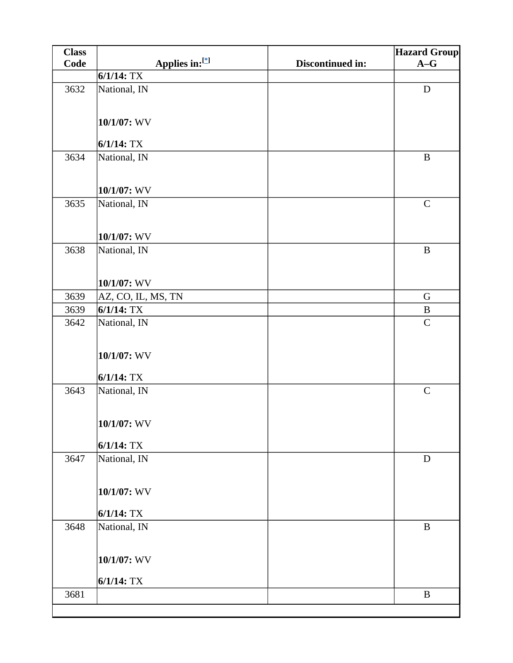| <b>Class</b> |                    |                  | <b>Hazard Group</b> |
|--------------|--------------------|------------------|---------------------|
| Code         | Applies in:[*]     | Discontinued in: | $A-G$               |
|              | $6/1/14$ : TX      |                  |                     |
| 3632         | National, IN       |                  | $\mathbf D$         |
|              |                    |                  |                     |
|              | 10/1/07: WV        |                  |                     |
|              |                    |                  |                     |
|              | $6/1/14$ : TX      |                  |                     |
| 3634         | National, IN       |                  | $\bf{B}$            |
|              |                    |                  |                     |
|              | $10/1/07$ : WV     |                  |                     |
| 3635         | National, IN       |                  | $\mathbf C$         |
|              |                    |                  |                     |
|              |                    |                  |                     |
|              | $10/1/07$ : WV     |                  |                     |
| 3638         | National, IN       |                  | $\bf{B}$            |
|              |                    |                  |                     |
|              | 10/1/07: WV        |                  |                     |
| 3639         | AZ, CO, IL, MS, TN |                  | $\mathbf G$         |
| 3639         | $6/1/14$ : TX      |                  | $\, {\bf B}$        |
| 3642         | National, IN       |                  | $\mathcal{C}$       |
|              |                    |                  |                     |
|              | 10/1/07: WV        |                  |                     |
|              |                    |                  |                     |
|              | $6/1/14$ : TX      |                  |                     |
| 3643         | National, IN       |                  | $\mathcal{C}$       |
|              |                    |                  |                     |
|              | 10/1/07: WV        |                  |                     |
|              |                    |                  |                     |
|              | $6/1/14$ : TX      |                  |                     |
| 3647         | National, IN       |                  | D                   |
|              |                    |                  |                     |
|              | 10/1/07: WV        |                  |                     |
|              |                    |                  |                     |
|              | $6/1/14$ : TX      |                  |                     |
| 3648         | National, IN       |                  | $\bf{B}$            |
|              |                    |                  |                     |
|              | $10/1/07$ : WV     |                  |                     |
|              |                    |                  |                     |
|              | $6/1/14$ : TX      |                  |                     |
| 3681         |                    |                  | $\bf{B}$            |
|              |                    |                  |                     |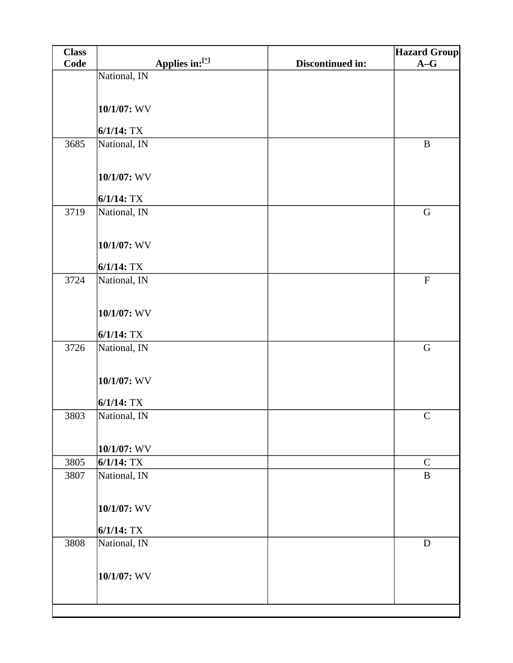| <b>Class</b> |                |                |                  | <b>Hazard Group</b>       |
|--------------|----------------|----------------|------------------|---------------------------|
| Code         |                | Applies in:[*] | Discontinued in: | $A-G$                     |
|              | National, IN   |                |                  |                           |
|              |                |                |                  |                           |
|              | $10/1/07$ : WV |                |                  |                           |
|              |                |                |                  |                           |
|              | $6/1/14$ : TX  |                |                  |                           |
| 3685         | National, IN   |                |                  | $\, {\bf B}$              |
|              |                |                |                  |                           |
|              | 10/1/07: WV    |                |                  |                           |
|              |                |                |                  |                           |
|              | $6/1/14$ : TX  |                |                  |                           |
| 3719         | National, IN   |                |                  | ${\bf G}$                 |
|              |                |                |                  |                           |
|              | 10/1/07: WV    |                |                  |                           |
|              | $6/1/14$ : TX  |                |                  |                           |
| 3724         | National, IN   |                |                  | $\boldsymbol{\mathrm{F}}$ |
|              |                |                |                  |                           |
|              |                |                |                  |                           |
|              | 10/1/07: WV    |                |                  |                           |
|              | $6/1/14$ : TX  |                |                  |                           |
| 3726         | National, IN   |                |                  | ${\bf G}$                 |
|              |                |                |                  |                           |
|              | 10/1/07: WV    |                |                  |                           |
|              |                |                |                  |                           |
|              | $6/1/14$ : TX  |                |                  |                           |
| 3803         | National, IN   |                |                  | $\mathsf{C}$              |
|              |                |                |                  |                           |
|              | 10/1/07: WV    |                |                  |                           |
| 3805         | $6/1/14$ : TX  |                |                  | $\mathbf C$               |
| 3807         | National, IN   |                |                  | $\, {\bf B}$              |
|              |                |                |                  |                           |
|              | 10/1/07: WV    |                |                  |                           |
|              |                |                |                  |                           |
|              | $6/1/14$ : TX  |                |                  |                           |
| 3808         | National, IN   |                |                  | D                         |
|              |                |                |                  |                           |
|              | 10/1/07: WV    |                |                  |                           |
|              |                |                |                  |                           |
|              |                |                |                  |                           |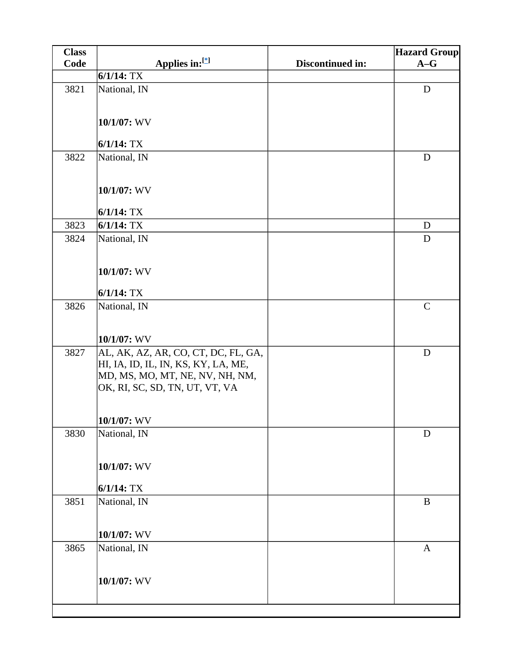| <b>Class</b> |                                     |                  | <b>Hazard Group</b> |
|--------------|-------------------------------------|------------------|---------------------|
| Code         | Applies in:[*]                      | Discontinued in: | $A-G$               |
|              | $6/1/14$ : TX                       |                  |                     |
| 3821         | National, IN                        |                  | D                   |
|              |                                     |                  |                     |
|              | 10/1/07: WV                         |                  |                     |
|              |                                     |                  |                     |
|              | $6/1/14$ : TX                       |                  |                     |
| 3822         | National, IN                        |                  | D                   |
|              |                                     |                  |                     |
|              | 10/1/07: WV                         |                  |                     |
|              | $6/1/14$ : TX                       |                  |                     |
| 3823         | $6/1/14$ : TX                       |                  | D                   |
| 3824         | National, IN                        |                  | D                   |
|              |                                     |                  |                     |
|              | 10/1/07: WV                         |                  |                     |
|              |                                     |                  |                     |
|              | $6/1/14$ : TX                       |                  |                     |
| 3826         | National, IN                        |                  | $\mathbf C$         |
|              |                                     |                  |                     |
|              | 10/1/07: WV                         |                  |                     |
| 3827         | AL, AK, AZ, AR, CO, CT, DC, FL, GA, |                  | ${\bf D}$           |
|              | HI, IA, ID, IL, IN, KS, KY, LA, ME, |                  |                     |
|              | MD, MS, MO, MT, NE, NV, NH, NM,     |                  |                     |
|              | OK, RI, SC, SD, TN, UT, VT, VA      |                  |                     |
|              |                                     |                  |                     |
|              | $10/1/07$ : WV                      |                  |                     |
| 3830         | National, IN                        |                  | D                   |
|              |                                     |                  |                     |
|              | 10/1/07: WV                         |                  |                     |
|              |                                     |                  |                     |
|              | $6/1/14$ : TX                       |                  |                     |
| 3851         | National, IN                        |                  | $\, {\bf B}$        |
|              |                                     |                  |                     |
|              | 10/1/07: WV                         |                  |                     |
| 3865         | National, IN                        |                  | $\mathbf{A}$        |
|              |                                     |                  |                     |
|              | 10/1/07: WV                         |                  |                     |
|              |                                     |                  |                     |
|              |                                     |                  |                     |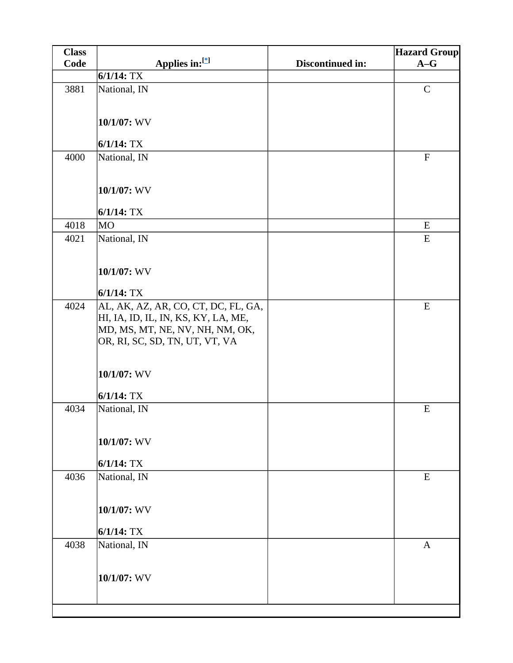| <b>Class</b> |                                                                                                                                                 |                  | <b>Hazard Group</b>       |
|--------------|-------------------------------------------------------------------------------------------------------------------------------------------------|------------------|---------------------------|
| Code         | Applies in:[*]                                                                                                                                  | Discontinued in: | $A-G$                     |
|              | $6/1/14$ : TX                                                                                                                                   |                  |                           |
| 3881         | National, IN                                                                                                                                    |                  | $\mathbf C$               |
|              | 10/1/07: WV                                                                                                                                     |                  |                           |
|              | $6/1/14$ : TX                                                                                                                                   |                  |                           |
| 4000         | National, IN<br>10/1/07: WV                                                                                                                     |                  | $\boldsymbol{\mathrm{F}}$ |
|              | $6/1/14$ : TX                                                                                                                                   |                  |                           |
| 4018         | <b>MO</b>                                                                                                                                       |                  | ${\bf E}$                 |
| 4021         | National, IN                                                                                                                                    |                  | ${\bf E}$                 |
|              | 10/1/07: WV                                                                                                                                     |                  |                           |
|              | $6/1/14$ : TX                                                                                                                                   |                  |                           |
| 4024         | AL, AK, AZ, AR, CO, CT, DC, FL, GA,<br>HI, IA, ID, IL, IN, KS, KY, LA, ME,<br>MD, MS, MT, NE, NV, NH, NM, OK,<br>OR, RI, SC, SD, TN, UT, VT, VA |                  | ${\bf E}$                 |
|              | 10/1/07: WV                                                                                                                                     |                  |                           |
|              | $6/1/14$ : TX                                                                                                                                   |                  |                           |
| 4034         | National, IN<br>$10/1/07$ : WV                                                                                                                  |                  | ${\bf E}$                 |
|              | $6/1/14$ : TX                                                                                                                                   |                  |                           |
| 4036         | National, IN                                                                                                                                    |                  | ${\bf E}$                 |
|              | 10/1/07: WV                                                                                                                                     |                  |                           |
|              | $6/1/14$ : TX                                                                                                                                   |                  |                           |
| 4038         | National, IN                                                                                                                                    |                  | $\mathbf{A}$              |
|              | 10/1/07: WV                                                                                                                                     |                  |                           |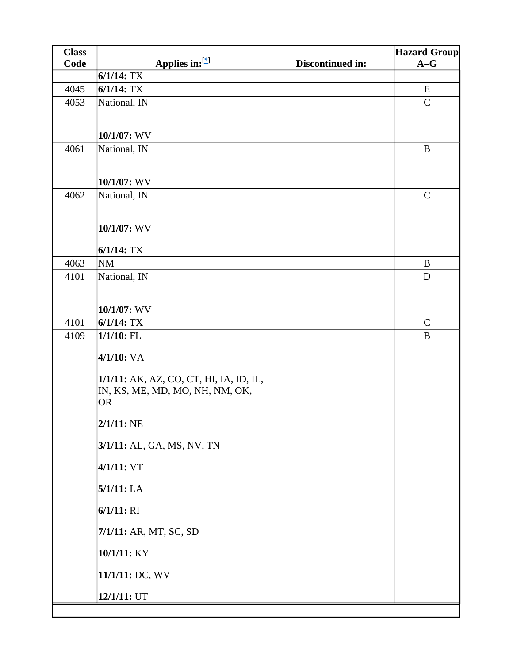| <b>Class</b> |                                                                                                                                                                                                                                                           |                  | <b>Hazard Group</b>     |
|--------------|-----------------------------------------------------------------------------------------------------------------------------------------------------------------------------------------------------------------------------------------------------------|------------------|-------------------------|
| Code         | Applies in:[*]                                                                                                                                                                                                                                            | Discontinued in: | $A-G$                   |
|              | $6/1/14$ : TX                                                                                                                                                                                                                                             |                  |                         |
| 4045         | $6/1/14$ : TX                                                                                                                                                                                                                                             |                  | ${\bf E}$               |
| 4053         | National, IN                                                                                                                                                                                                                                              |                  | $\mathsf{C}$            |
|              | 10/1/07: WV                                                                                                                                                                                                                                               |                  |                         |
| 4061         | National, IN                                                                                                                                                                                                                                              |                  | $\, {\bf B}$            |
|              | 10/1/07: WV                                                                                                                                                                                                                                               |                  |                         |
| 4062         | National, IN                                                                                                                                                                                                                                              |                  | $\mathbf C$             |
|              | 10/1/07: WV                                                                                                                                                                                                                                               |                  |                         |
|              | $6/1/14$ : TX                                                                                                                                                                                                                                             |                  |                         |
| 4063<br>4101 | <b>NM</b>                                                                                                                                                                                                                                                 |                  | $\bf{B}$<br>$\mathbf D$ |
|              | National, IN<br>10/1/07: WV                                                                                                                                                                                                                               |                  |                         |
| 4101         | $6/1/14$ : TX                                                                                                                                                                                                                                             |                  | $\mathbf C$             |
| 4109         | $1/1/10$ : FL<br>$4/1/10$ : VA<br>1/1/11: AK, AZ, CO, CT, HI, IA, ID, IL,<br>IN, KS, ME, MD, MO, NH, NM, OK,<br><b>OR</b><br>$2/1/11:$ NE<br>3/1/11: AL, GA, MS, NV, TN<br>4/1/11: VT<br>$5/1/11$ : LA<br>$6/1/11: \mathrm{RI}$<br>7/1/11: AR, MT, SC, SD |                  | $\bf{B}$                |
|              | 10/1/11: KY<br>11/1/11: DC, WV                                                                                                                                                                                                                            |                  |                         |
|              | 12/1/11: UT                                                                                                                                                                                                                                               |                  |                         |
|              |                                                                                                                                                                                                                                                           |                  |                         |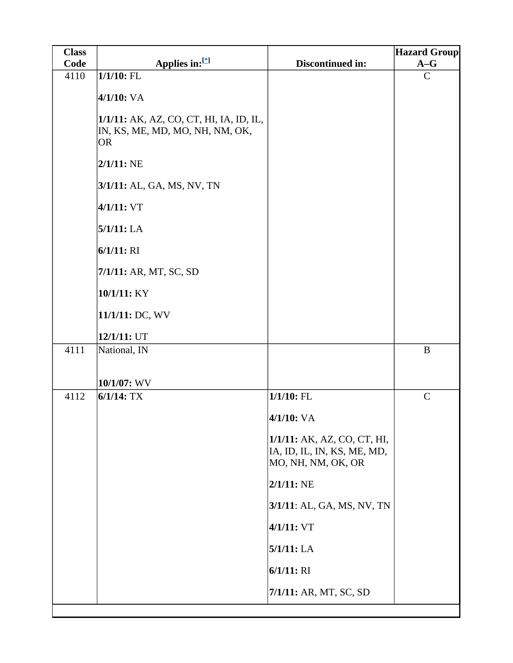| <b>Class</b> |                                                                                         |                                                                                  | <b>Hazard Group</b> |
|--------------|-----------------------------------------------------------------------------------------|----------------------------------------------------------------------------------|---------------------|
| Code         | Applies in:[*]                                                                          | Discontinued in:                                                                 | $A-G$               |
| 4110         | $1/1/10$ : FL                                                                           |                                                                                  | $\mathbf C$         |
|              | $4/1/10$ : VA                                                                           |                                                                                  |                     |
|              | 1/1/11: AK, AZ, CO, CT, HI, IA, ID, IL,<br>IN, KS, ME, MD, MO, NH, NM, OK,<br><b>OR</b> |                                                                                  |                     |
|              | $2/1/11$ : NE                                                                           |                                                                                  |                     |
|              | 3/1/11: AL, GA, MS, NV, TN                                                              |                                                                                  |                     |
|              | 4/1/11: VT                                                                              |                                                                                  |                     |
|              | 5/1/11: LA                                                                              |                                                                                  |                     |
|              | $6/1/11:$ RI                                                                            |                                                                                  |                     |
|              | 7/1/11: AR, MT, SC, SD                                                                  |                                                                                  |                     |
|              | 10/1/11: KY                                                                             |                                                                                  |                     |
|              | 11/1/11: DC, WV                                                                         |                                                                                  |                     |
|              | 12/1/11: UT                                                                             |                                                                                  |                     |
| 4111         | National, IN                                                                            |                                                                                  | $\bf{B}$            |
|              | 10/1/07: WV                                                                             |                                                                                  |                     |
| 4112         | $6/1/14$ : TX                                                                           | $1/1/10$ : FL                                                                    | $\mathbf C$         |
|              |                                                                                         | $4/1/10$ : VA                                                                    |                     |
|              |                                                                                         | 1/1/11: AK, AZ, CO, CT, HI,<br>IA, ID, IL, IN, KS, ME, MD,<br>MO, NH, NM, OK, OR |                     |
|              |                                                                                         | $2/1/11$ : NE                                                                    |                     |
|              |                                                                                         | 3/1/11: AL, GA, MS, NV, TN                                                       |                     |
|              |                                                                                         | 4/1/11: VT                                                                       |                     |
|              |                                                                                         | 5/1/11: LA                                                                       |                     |
|              |                                                                                         | $6/1/11:$ RI                                                                     |                     |
|              |                                                                                         | 7/1/11: AR, MT, SC, SD                                                           |                     |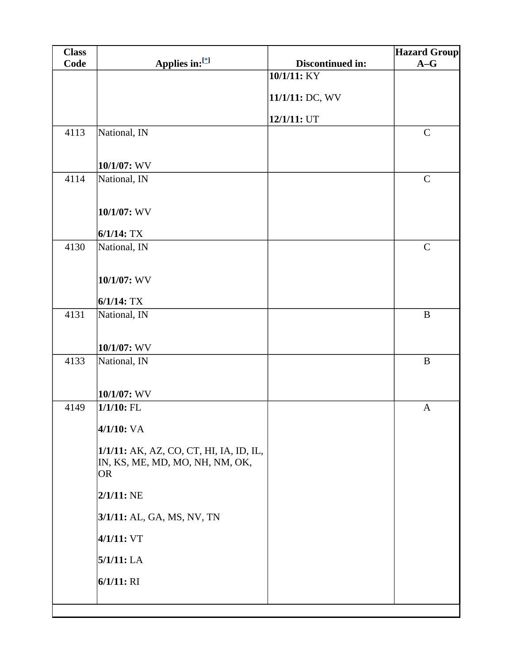| <b>Class</b> |                                         |                  | <b>Hazard Group</b> |
|--------------|-----------------------------------------|------------------|---------------------|
| Code         | Applies in:[*]                          | Discontinued in: | $A-G$               |
|              |                                         | 10/1/11: KY      |                     |
|              |                                         | 11/1/11: DC, WV  |                     |
|              |                                         | 12/1/11: UT      |                     |
| 4113         | National, IN                            |                  | $\mathbf C$         |
|              |                                         |                  |                     |
|              | 10/1/07: WV                             |                  |                     |
| 4114         | National, IN                            |                  | $\mathcal{C}$       |
|              |                                         |                  |                     |
|              | 10/1/07: WV                             |                  |                     |
|              | $6/1/14$ : TX                           |                  |                     |
| 4130         | National, IN                            |                  | $\mathcal{C}$       |
|              |                                         |                  |                     |
|              | 10/1/07: WV                             |                  |                     |
|              | $6/1/14$ : TX                           |                  |                     |
| 4131         | National, IN                            |                  | $\, {\bf B}$        |
|              |                                         |                  |                     |
|              | 10/1/07: WV                             |                  |                     |
| 4133         | National, IN                            |                  | $\, {\bf B}$        |
|              |                                         |                  |                     |
|              | 10/1/07: WV<br>$1/1/10$ : FL            |                  |                     |
| 4149         |                                         |                  | $\mathbf{A}$        |
|              | 4/1/10: VA                              |                  |                     |
|              | 1/1/11: AK, AZ, CO, CT, HI, IA, ID, IL, |                  |                     |
|              | IN, KS, ME, MD, MO, NH, NM, OK,         |                  |                     |
|              | <b>OR</b>                               |                  |                     |
|              | $2/1/11$ : NE                           |                  |                     |
|              | 3/1/11: AL, GA, MS, NV, TN              |                  |                     |
|              | 4/1/11: VT                              |                  |                     |
|              | 5/1/11: LA                              |                  |                     |
|              | 6/1/11: RI                              |                  |                     |
|              |                                         |                  |                     |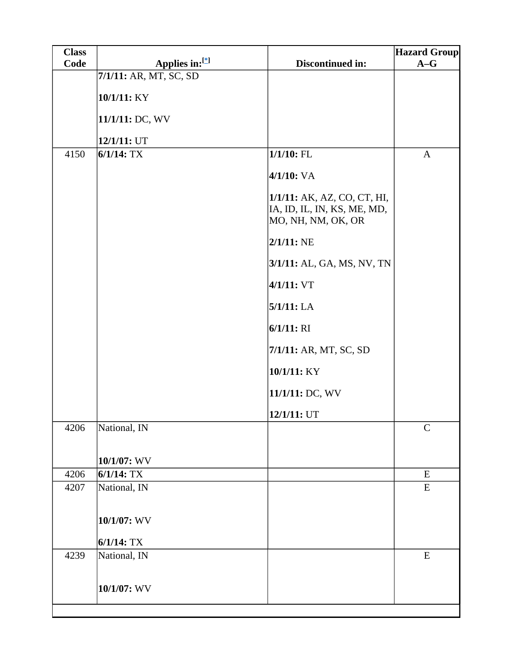| <b>Class</b> |                        |                                                                                  | <b>Hazard Group</b> |
|--------------|------------------------|----------------------------------------------------------------------------------|---------------------|
| Code         | Applies in:[*]         | Discontinued in:                                                                 | $A-G$               |
|              | 7/1/11: AR, MT, SC, SD |                                                                                  |                     |
|              | 10/1/11: KY            |                                                                                  |                     |
|              | 11/1/11: DC, WV        |                                                                                  |                     |
|              | 12/1/11: UT            |                                                                                  |                     |
| 4150         | $6/1/14$ : TX          | $1/1/10$ : FL                                                                    | $\mathbf{A}$        |
|              |                        | $4/1/10$ : VA                                                                    |                     |
|              |                        | 1/1/11: AK, AZ, CO, CT, HI,<br>IA, ID, IL, IN, KS, ME, MD,<br>MO, NH, NM, OK, OR |                     |
|              |                        | $2/1/11$ : NE                                                                    |                     |
|              |                        | 3/1/11: AL, GA, MS, NV, TN                                                       |                     |
|              |                        | 4/1/11: VT                                                                       |                     |
|              |                        | 5/1/11: LA                                                                       |                     |
|              |                        | 6/1/11: RI                                                                       |                     |
|              |                        | 7/1/11: AR, MT, SC, SD                                                           |                     |
|              |                        | 10/1/11: KY                                                                      |                     |
|              |                        | 11/1/11: DC, WV                                                                  |                     |
|              |                        | 12/1/11: UT                                                                      |                     |
| 4206         | National, IN           |                                                                                  | $\mathbf C$         |
|              | 10/1/07: WV            |                                                                                  |                     |
| 4206         | $6/1/14$ : TX          |                                                                                  | E                   |
| 4207         | National, IN           |                                                                                  | E                   |
|              | 10/1/07: WV            |                                                                                  |                     |
|              | $6/1/14$ : TX          |                                                                                  |                     |
| 4239         | National, IN           |                                                                                  | ${\bf E}$           |
|              | 10/1/07: WV            |                                                                                  |                     |
|              |                        |                                                                                  |                     |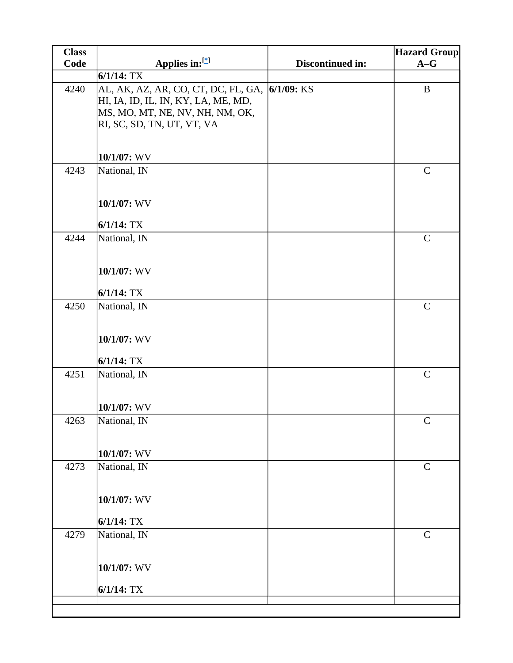| <b>Class</b> |                                                               |                  | <b>Hazard Group</b> |
|--------------|---------------------------------------------------------------|------------------|---------------------|
| Code         | Applies in: $[$                                               | Discontinued in: | $A-G$               |
|              | $6/1/14$ : TX                                                 |                  |                     |
| 4240         | AL, AK, AZ, AR, CO, CT, DC, FL, GA, <i> 6</i> /1/09: KS       |                  | $\, {\bf B}$        |
|              | HI, IA, ID, IL, IN, KY, LA, ME, MD,                           |                  |                     |
|              | MS, MO, MT, NE, NV, NH, NM, OK,<br>RI, SC, SD, TN, UT, VT, VA |                  |                     |
|              |                                                               |                  |                     |
|              |                                                               |                  |                     |
|              | $10/1/07$ : WV                                                |                  |                     |
| 4243         | National, IN                                                  |                  | $\mathsf{C}$        |
|              |                                                               |                  |                     |
|              | 10/1/07: WV                                                   |                  |                     |
|              |                                                               |                  |                     |
|              | $6/1/14$ : TX                                                 |                  |                     |
| 4244         | National, IN                                                  |                  | $\mathbf C$         |
|              |                                                               |                  |                     |
|              | 10/1/07: WV                                                   |                  |                     |
|              |                                                               |                  |                     |
|              | $6/1/14$ : TX                                                 |                  |                     |
| 4250         | National, IN                                                  |                  | $\mathbf C$         |
|              |                                                               |                  |                     |
|              | 10/1/07: WV                                                   |                  |                     |
|              | $6/1/14$ : TX                                                 |                  |                     |
| 4251         | National, IN                                                  |                  | $\mathbf C$         |
|              |                                                               |                  |                     |
|              |                                                               |                  |                     |
|              | 10/1/07: WV                                                   |                  |                     |
| 4263         | National, IN                                                  |                  | $\mathsf C$         |
|              |                                                               |                  |                     |
|              | $10/1/07$ : WV                                                |                  |                     |
| 4273         | National, IN                                                  |                  | $\mathbf C$         |
|              |                                                               |                  |                     |
|              | 10/1/07: WV                                                   |                  |                     |
|              |                                                               |                  |                     |
|              | $6/1/14$ : TX                                                 |                  |                     |
| 4279         | National, IN                                                  |                  | $\mathbf C$         |
|              |                                                               |                  |                     |
|              | 10/1/07: WV                                                   |                  |                     |
|              |                                                               |                  |                     |
|              | $6/1/14$ : TX                                                 |                  |                     |
|              |                                                               |                  |                     |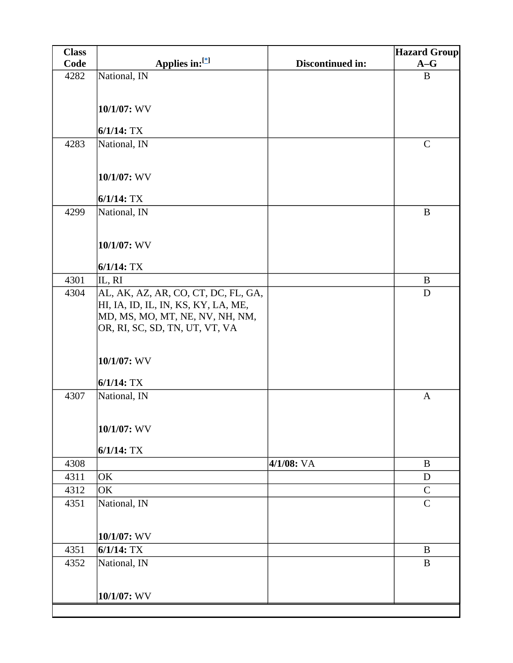| <b>Class</b> |                                     |                  | <b>Hazard Group</b>        |
|--------------|-------------------------------------|------------------|----------------------------|
| Code         | Applies in:[*]                      | Discontinued in: | $A-G$                      |
| 4282         | National, IN                        |                  | B                          |
|              |                                     |                  |                            |
|              | 10/1/07: WV                         |                  |                            |
|              |                                     |                  |                            |
|              | $6/1/14$ : TX                       |                  |                            |
| 4283         | National, IN                        |                  | $\mathcal{C}$              |
|              |                                     |                  |                            |
|              | 10/1/07: WV                         |                  |                            |
|              |                                     |                  |                            |
|              | $6/1/14$ : TX                       |                  |                            |
| 4299         | National, IN                        |                  | $\bf{B}$                   |
|              |                                     |                  |                            |
|              | 10/1/07: WV                         |                  |                            |
|              |                                     |                  |                            |
|              | $6/1/14$ : TX                       |                  |                            |
| 4301         | IL, RI                              |                  | $\bf{B}$                   |
| 4304         | AL, AK, AZ, AR, CO, CT, DC, FL, GA, |                  | D                          |
|              | HI, IA, ID, IL, IN, KS, KY, LA, ME, |                  |                            |
|              | MD, MS, MO, MT, NE, NV, NH, NM,     |                  |                            |
|              | OR, RI, SC, SD, TN, UT, VT, VA      |                  |                            |
|              |                                     |                  |                            |
|              | 10/1/07: WV                         |                  |                            |
|              |                                     |                  |                            |
|              | $6/1/14$ : TX                       |                  |                            |
| 4307         | National, IN                        |                  | $\mathbf{A}$               |
|              |                                     |                  |                            |
|              | 10/1/07: WV                         |                  |                            |
|              |                                     |                  |                            |
|              | $6/1/14$ : TX                       |                  |                            |
| 4308         |                                     | $4/1/08$ : VA    | B                          |
| 4311         | OK                                  |                  | $\mathbf D$                |
| 4312<br>4351 | OK                                  |                  | $\mathbf C$<br>$\mathbf C$ |
|              | National, IN                        |                  |                            |
|              |                                     |                  |                            |
|              | 10/1/07: WV                         |                  |                            |
| 4351         | $6/1/14$ : TX                       |                  | $\mathbf B$                |
| 4352         | National, IN                        |                  | B                          |
|              |                                     |                  |                            |
|              | 10/1/07: WV                         |                  |                            |
|              |                                     |                  |                            |
|              |                                     |                  |                            |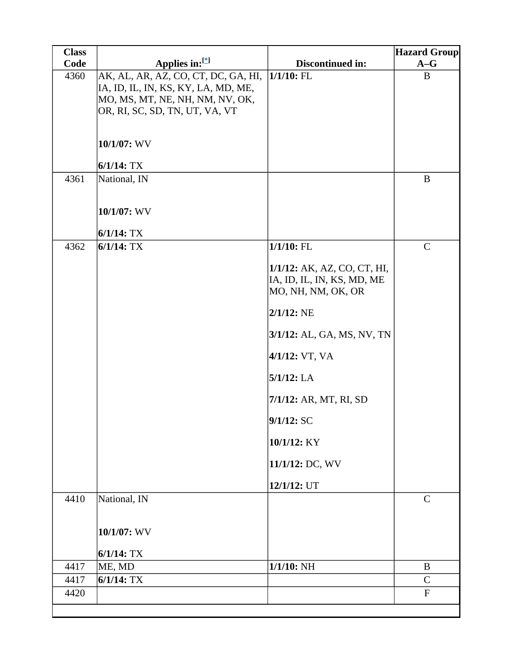| <b>Class</b> |                                     |                             | <b>Hazard Group</b> |
|--------------|-------------------------------------|-----------------------------|---------------------|
| Code         | Applies in:[*]                      | Discontinued in:            | $A-G$               |
| 4360         | AK, AL, AR, AZ, CO, CT, DC, GA, HI, | $1/1/10$ : FL               | $\bf{B}$            |
|              | IA, ID, IL, IN, KS, KY, LA, MD, ME, |                             |                     |
|              | MO, MS, MT, NE, NH, NM, NV, OK,     |                             |                     |
|              | OR, RI, SC, SD, TN, UT, VA, VT      |                             |                     |
|              |                                     |                             |                     |
|              | 10/1/07: WV                         |                             |                     |
|              | $6/1/14$ : TX                       |                             |                     |
| 4361         | National, IN                        |                             | $\bf{B}$            |
|              |                                     |                             |                     |
|              | 10/1/07: WV                         |                             |                     |
|              | $6/1/14$ : TX                       |                             |                     |
| 4362         | $6/1/14$ : TX                       | $1/1/10$ : FL               | $\mathcal{C}$       |
|              |                                     | 1/1/12: AK, AZ, CO, CT, HI, |                     |
|              |                                     | IA, ID, IL, IN, KS, MD, ME  |                     |
|              |                                     | MO, NH, NM, OK, OR          |                     |
|              |                                     | $2/1/12$ : NE               |                     |
|              |                                     | 3/1/12: AL, GA, MS, NV, TN  |                     |
|              |                                     | 4/1/12: VT, VA              |                     |
|              |                                     | $5/1/12$ : LA               |                     |
|              |                                     | 7/1/12: AR, MT, RI, SD      |                     |
|              |                                     | 9/1/12: SC                  |                     |
|              |                                     | 10/1/12: KY                 |                     |
|              |                                     | 11/1/12: DC, WV             |                     |
|              |                                     | 12/1/12: UT                 |                     |
| 4410         | National, IN                        |                             | $\mathbf C$         |
|              | 10/1/07: WV                         |                             |                     |
|              | $6/1/14$ : TX                       |                             |                     |
| 4417         | ME, MD                              | $1/1/10$ : NH               | B                   |
| 4417         | $6/1/14$ : TX                       |                             | $\mathcal{C}$       |
| 4420         |                                     |                             | ${\bf F}$           |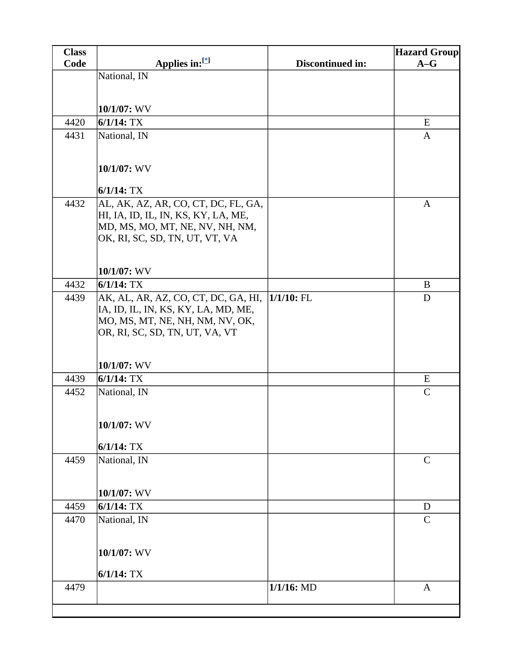| <b>Class</b> |                                                                        |                  | <b>Hazard Group</b> |
|--------------|------------------------------------------------------------------------|------------------|---------------------|
| Code         | Applies in: $[$                                                        | Discontinued in: | $A-G$               |
|              | National, IN                                                           |                  |                     |
|              |                                                                        |                  |                     |
|              | $10/1/07$ : WV                                                         |                  |                     |
| 4420         | $6/1/14$ : TX                                                          |                  | E                   |
| 4431         | National, IN                                                           |                  | A                   |
|              |                                                                        |                  |                     |
|              | 10/1/07: WV                                                            |                  |                     |
|              |                                                                        |                  |                     |
|              | $6/1/14$ : TX                                                          |                  |                     |
| 4432         | AL, AK, AZ, AR, CO, CT, DC, FL, GA,                                    |                  | $\mathbf{A}$        |
|              | HI, IA, ID, IL, IN, KS, KY, LA, ME,                                    |                  |                     |
|              | MD, MS, MO, MT, NE, NV, NH, NM,<br>OK, RI, SC, SD, TN, UT, VT, VA      |                  |                     |
|              |                                                                        |                  |                     |
|              |                                                                        |                  |                     |
|              | $10/1/07$ : WV                                                         |                  |                     |
| 4432         | $6/1/14$ : TX                                                          |                  | B                   |
| 4439         | AK, AL, AR, AZ, CO, CT, DC, GA, HI,                                    | $1/1/10$ : FL    | D                   |
|              | IA, ID, IL, IN, KS, KY, LA, MD, ME,<br>MO, MS, MT, NE, NH, NM, NV, OK, |                  |                     |
|              | OR, RI, SC, SD, TN, UT, VA, VT                                         |                  |                     |
|              |                                                                        |                  |                     |
|              |                                                                        |                  |                     |
|              | $10/1/07$ : WV                                                         |                  |                     |
| 4439         | $6/1/14$ : TX                                                          |                  | E<br>$\mathsf{C}$   |
| 4452         | National, IN                                                           |                  |                     |
|              |                                                                        |                  |                     |
|              | 10/1/07: WV                                                            |                  |                     |
|              | $6/1/14$ : TX                                                          |                  |                     |
| 4459         | National, IN                                                           |                  | $\mathbf C$         |
|              |                                                                        |                  |                     |
|              |                                                                        |                  |                     |
|              | $10/1/07$ : WV                                                         |                  |                     |
| 4459         | $6/1/14$ : TX                                                          |                  | D                   |
| 4470         | National, IN                                                           |                  | $\mathbf C$         |
|              |                                                                        |                  |                     |
|              | 10/1/07: WV                                                            |                  |                     |
|              |                                                                        |                  |                     |
|              | $6/1/14$ : TX                                                          |                  |                     |
| 4479         |                                                                        | $1/1/16$ : MD    | $\mathbf{A}$        |
|              |                                                                        |                  |                     |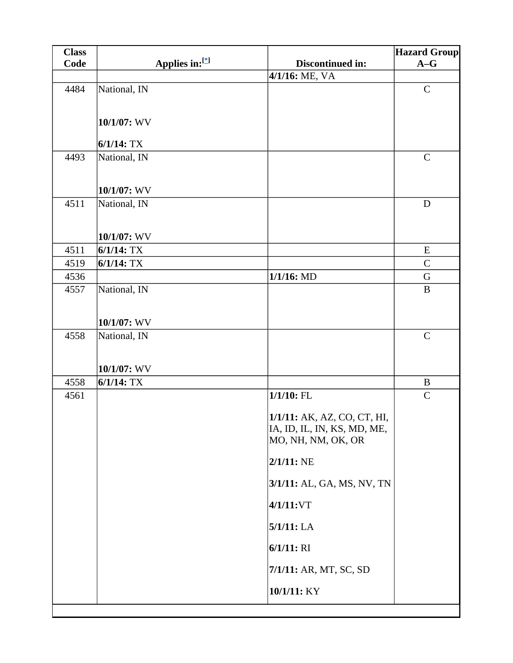| <b>Class</b> |                |                             | <b>Hazard Group</b> |
|--------------|----------------|-----------------------------|---------------------|
| Code         | Applies in:[*] | Discontinued in:            | $A-G$               |
|              |                | 4/1/16: ME, VA              |                     |
| 4484         | National, IN   |                             | $\mathbf C$         |
|              |                |                             |                     |
|              | 10/1/07: WV    |                             |                     |
|              | $6/1/14$ : TX  |                             |                     |
| 4493         | National, IN   |                             | $\mathbf C$         |
|              |                |                             |                     |
|              |                |                             |                     |
|              | $10/1/07$ : WV |                             |                     |
| 4511         | National, IN   |                             | $\mathbf D$         |
|              |                |                             |                     |
|              | $10/1/07$ : WV |                             |                     |
| 4511         | $6/1/14$ : TX  |                             | ${\bf E}$           |
| 4519         | $6/1/14$ : TX  |                             | $\mathbf C$         |
| 4536         |                | $1/1/16$ : MD               | G                   |
| 4557         | National, IN   |                             | $\, {\bf B}$        |
|              |                |                             |                     |
|              | $10/1/07$ : WV |                             |                     |
| 4558         | National, IN   |                             | $\mathbf C$         |
|              |                |                             |                     |
|              | $10/1/07$ : WV |                             |                     |
| 4558         | $6/1/14$ : TX  |                             | $\bf{B}$            |
| 4561         |                | $1/1/10$ : FL               | $\mathbf C$         |
|              |                | 1/1/11: AK, AZ, CO, CT, HI, |                     |
|              |                | IA, ID, IL, IN, KS, MD, ME, |                     |
|              |                | MO, NH, NM, OK, OR          |                     |
|              |                | $2/1/11$ : NE               |                     |
|              |                | 3/1/11: AL, GA, MS, NV, TN  |                     |
|              |                | 4/1/11:VT                   |                     |
|              |                | 5/1/11: LA                  |                     |
|              |                | $6/1/11$ : RI               |                     |
|              |                | 7/1/11: AR, MT, SC, SD      |                     |
|              |                | 10/1/11: KY                 |                     |
|              |                |                             |                     |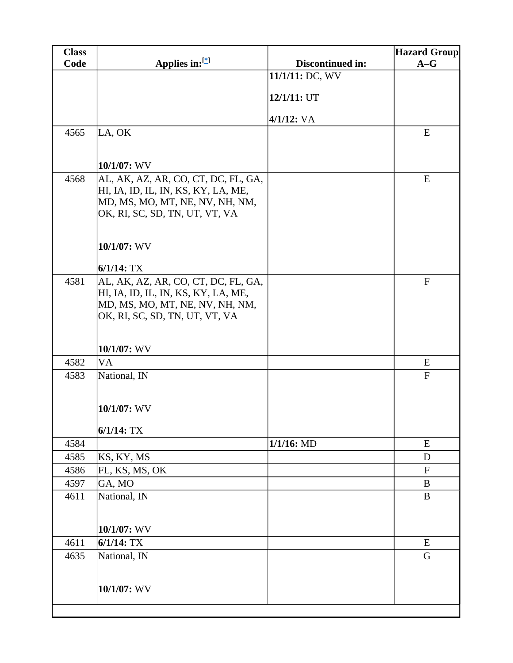| <b>Class</b> |                                                                   |                  | <b>Hazard Group</b> |
|--------------|-------------------------------------------------------------------|------------------|---------------------|
| Code         | Applies in:[*]                                                    | Discontinued in: | $A-G$               |
|              |                                                                   | 11/1/11: DC, WV  |                     |
|              |                                                                   |                  |                     |
|              |                                                                   | 12/1/11: UT      |                     |
|              |                                                                   | $4/1/12$ : VA    |                     |
| 4565         | LA, OK                                                            |                  | E                   |
|              |                                                                   |                  |                     |
|              | 10/1/07: WV                                                       |                  |                     |
| 4568         | AL, AK, AZ, AR, CO, CT, DC, FL, GA,                               |                  | E                   |
|              | HI, IA, ID, IL, IN, KS, KY, LA, ME,                               |                  |                     |
|              | MD, MS, MO, MT, NE, NV, NH, NM,                                   |                  |                     |
|              | OK, RI, SC, SD, TN, UT, VT, VA                                    |                  |                     |
|              |                                                                   |                  |                     |
|              | 10/1/07: WV                                                       |                  |                     |
|              |                                                                   |                  |                     |
|              | $6/1/14$ : TX                                                     |                  |                     |
| 4581         | AL, AK, AZ, AR, CO, CT, DC, FL, GA,                               |                  | $\mathbf F$         |
|              | HI, IA, ID, IL, IN, KS, KY, LA, ME,                               |                  |                     |
|              | MD, MS, MO, MT, NE, NV, NH, NM,<br>OK, RI, SC, SD, TN, UT, VT, VA |                  |                     |
|              |                                                                   |                  |                     |
|              |                                                                   |                  |                     |
|              | 10/1/07: WV                                                       |                  |                     |
| 4582         | <b>VA</b>                                                         |                  | E                   |
| 4583         | National, IN                                                      |                  | ${\bf F}$           |
|              |                                                                   |                  |                     |
|              | 10/1/07: WV                                                       |                  |                     |
|              |                                                                   |                  |                     |
|              | $6/1/14$ : TX                                                     |                  |                     |
| 4584         |                                                                   | $1/1/16$ : MD    | E                   |
| 4585         | KS, KY, MS                                                        |                  | D                   |
| 4586         | FL, KS, MS, OK                                                    |                  | $\mathbf F$         |
| 4597         | GA, MO                                                            |                  | B                   |
| 4611         | National, IN                                                      |                  | $\bf{B}$            |
|              |                                                                   |                  |                     |
|              | 10/1/07: WV                                                       |                  |                     |
| 4611         | $6/1/14$ : TX                                                     |                  | E                   |
| 4635         | National, IN                                                      |                  | G                   |
|              |                                                                   |                  |                     |
|              |                                                                   |                  |                     |
|              | 10/1/07: WV                                                       |                  |                     |
|              |                                                                   |                  |                     |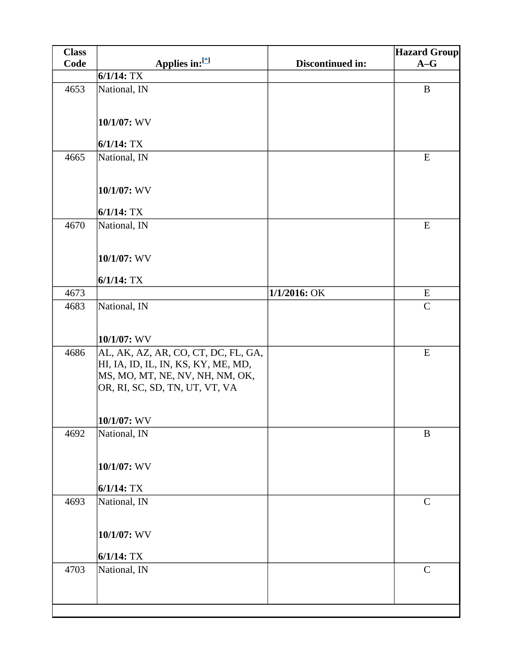| <b>Class</b> |                                                                                                                                                 |                  | <b>Hazard Group</b> |
|--------------|-------------------------------------------------------------------------------------------------------------------------------------------------|------------------|---------------------|
| Code         | Applies in:[*]                                                                                                                                  | Discontinued in: | $A-G$               |
|              | $6/1/14$ : TX                                                                                                                                   |                  |                     |
| 4653         | National, IN                                                                                                                                    |                  | $\bf{B}$            |
|              | 10/1/07: WV                                                                                                                                     |                  |                     |
|              | $6/1/14$ : TX                                                                                                                                   |                  |                     |
| 4665         | National, IN                                                                                                                                    |                  | E                   |
|              | 10/1/07: WV                                                                                                                                     |                  |                     |
|              | $6/1/14$ : TX                                                                                                                                   |                  |                     |
| 4670         | National, IN                                                                                                                                    |                  | E                   |
|              | 10/1/07: WV                                                                                                                                     |                  |                     |
|              | $6/1/14$ : TX                                                                                                                                   |                  |                     |
| 4673         |                                                                                                                                                 | 1/1/2016: OK     | E                   |
| 4683         | National, IN                                                                                                                                    |                  | $\mathsf{C}$        |
|              | 10/1/07: WV                                                                                                                                     |                  |                     |
| 4686         | AL, AK, AZ, AR, CO, CT, DC, FL, GA,<br>HI, IA, ID, IL, IN, KS, KY, ME, MD,<br>MS, MO, MT, NE, NV, NH, NM, OK,<br>OR, RI, SC, SD, TN, UT, VT, VA |                  | E                   |
|              | $10/1/07$ : WV                                                                                                                                  |                  |                     |
| 4692         | National, IN                                                                                                                                    |                  | $\bf{B}$            |
|              | 10/1/07: WV                                                                                                                                     |                  |                     |
|              | $6/1/14$ : TX                                                                                                                                   |                  |                     |
| 4693         | National, IN                                                                                                                                    |                  | $\mathbf C$         |
|              | 10/1/07: WV                                                                                                                                     |                  |                     |
|              | $6/1/14$ : TX                                                                                                                                   |                  |                     |
| 4703         | National, IN                                                                                                                                    |                  | $\mathcal{C}$       |
|              |                                                                                                                                                 |                  |                     |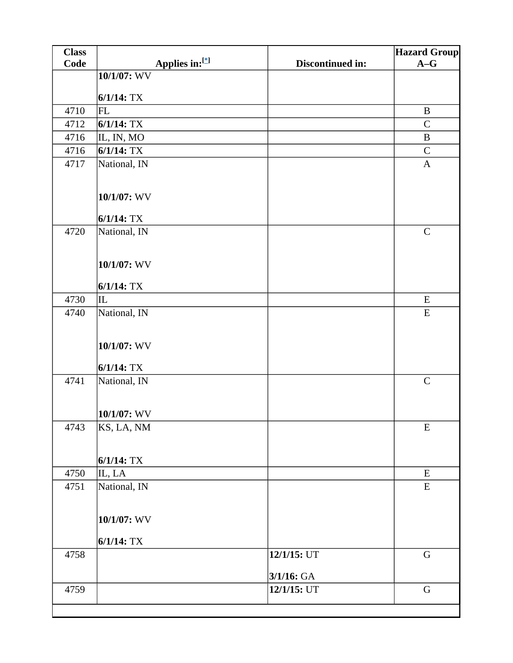| <b>Class</b> |                |                  | <b>Hazard Group</b> |
|--------------|----------------|------------------|---------------------|
| Code         | Applies in:[*] | Discontinued in: | $A-G$               |
|              | 10/1/07: WV    |                  |                     |
|              | $6/1/14$ : TX  |                  |                     |
| 4710         | <b>FL</b>      |                  | $\, {\bf B}$        |
| 4712         | $6/1/14$ : TX  |                  | $\mathsf{C}$        |
| 4716         | IL, IN, MO     |                  | $\bf{B}$            |
| 4716         | $6/1/14$ : TX  |                  | ${\bf C}$           |
| 4717         | National, IN   |                  | $\mathbf{A}$        |
|              |                |                  |                     |
|              | 10/1/07: WV    |                  |                     |
|              | $6/1/14$ : TX  |                  |                     |
| 4720         | National, IN   |                  | $\mathbf C$         |
|              |                |                  |                     |
|              | 10/1/07: WV    |                  |                     |
|              |                |                  |                     |
|              | $6/1/14$ : TX  |                  |                     |
| 4730         | IL             |                  | E                   |
| 4740         | National, IN   |                  | E                   |
|              | 10/1/07: WV    |                  |                     |
|              | $6/1/14$ : TX  |                  |                     |
| 4741         | National, IN   |                  | $\mathbf C$         |
|              |                |                  |                     |
|              | 10/1/07: WV    |                  |                     |
| 4743         | KS, LA, NM     |                  | E                   |
|              |                |                  |                     |
|              |                |                  |                     |
|              | $6/1/14$ : TX  |                  |                     |
| 4750         | IL, LA         |                  | ${\bf E}$           |
| 4751         | National, IN   |                  | E                   |
|              | 10/1/07: WV    |                  |                     |
|              | $6/1/14$ : TX  |                  |                     |
| 4758         |                | 12/1/15: UT      | $\mathbf G$         |
|              |                |                  |                     |
|              |                | 3/1/16: GA       |                     |
| 4759         |                | 12/1/15: UT      | $\mathbf G$         |
|              |                |                  |                     |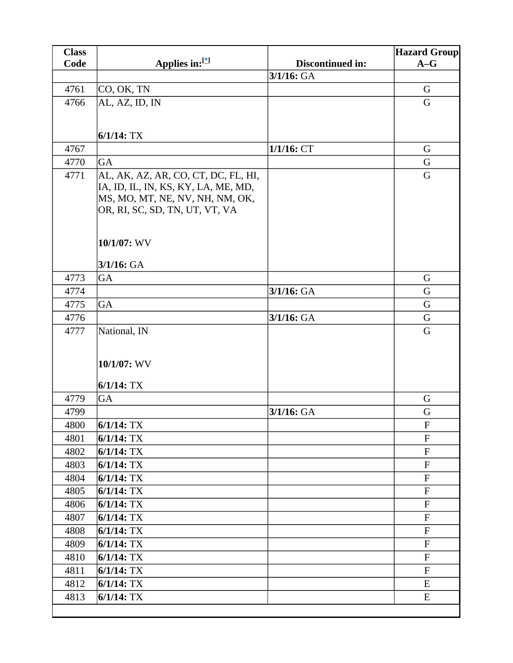| <b>Class</b> |                                                                                                                                                 |                  | <b>Hazard Group</b>       |
|--------------|-------------------------------------------------------------------------------------------------------------------------------------------------|------------------|---------------------------|
| Code         | Applies in: $[$                                                                                                                                 | Discontinued in: | $A-G$                     |
|              |                                                                                                                                                 | 3/1/16: GA       |                           |
| 4761         | CO, OK, TN                                                                                                                                      |                  | G                         |
| 4766         | AL, AZ, ID, IN                                                                                                                                  |                  | G                         |
|              |                                                                                                                                                 |                  |                           |
|              | $6/1/14$ : TX                                                                                                                                   |                  |                           |
| 4767         |                                                                                                                                                 | $1/1/16$ : CT    | G                         |
| 4770         | GA                                                                                                                                              |                  | G                         |
| 4771         | AL, AK, AZ, AR, CO, CT, DC, FL, HI,<br>IA, ID, IL, IN, KS, KY, LA, ME, MD,<br>MS, MO, MT, NE, NV, NH, NM, OK,<br>OR, RI, SC, SD, TN, UT, VT, VA |                  | G                         |
|              | 10/1/07: WV                                                                                                                                     |                  |                           |
|              | $3/1/16$ : GA                                                                                                                                   |                  |                           |
| 4773         | GA                                                                                                                                              |                  | G                         |
| 4774         |                                                                                                                                                 | $3/1/16$ : GA    | G                         |
| 4775         | GA                                                                                                                                              |                  | G                         |
| 4776         |                                                                                                                                                 | $3/1/16$ : GA    | G                         |
| 4777         | National, IN<br>10/1/07: WV<br>$6/1/14$ : TX                                                                                                    |                  | G                         |
| 4779         | GA                                                                                                                                              |                  | G                         |
| 4799         |                                                                                                                                                 | $3/1/16$ : GA    | G                         |
| 4800         | $6/1/14$ : TX                                                                                                                                   |                  | ${\bf F}$                 |
| 4801         | $6/1/14$ : TX                                                                                                                                   |                  | $\mathbf F$               |
| 4802         | $6/1/14$ : TX                                                                                                                                   |                  | ${\bf F}$                 |
| 4803         | $6/1/14$ : TX                                                                                                                                   |                  | $\mathbf{F}$              |
| 4804         | $6/1/14$ : TX                                                                                                                                   |                  | $\boldsymbol{\mathrm{F}}$ |
| 4805         | $6/1/14$ : TX                                                                                                                                   |                  | ${\bf F}$                 |
| 4806         | $6/1/14$ : TX                                                                                                                                   |                  | $\mathbf F$               |
| 4807         | $6/1/14$ : TX                                                                                                                                   |                  | ${\bf F}$                 |
| 4808         | $6/1/14$ : TX                                                                                                                                   |                  | $\mathbf F$               |
| 4809         | $6/1/14$ : TX                                                                                                                                   |                  | ${\bf F}$                 |
| 4810         | $6/1/14$ : TX                                                                                                                                   |                  | $\mathbf{F}$              |
| 4811         | $6/1/14$ : TX                                                                                                                                   |                  | $\mathbf F$               |
| 4812         | $6/1/14$ : TX                                                                                                                                   |                  | ${\bf E}$                 |
| 4813         | $6/1/14$ : TX                                                                                                                                   |                  | E                         |
|              |                                                                                                                                                 |                  |                           |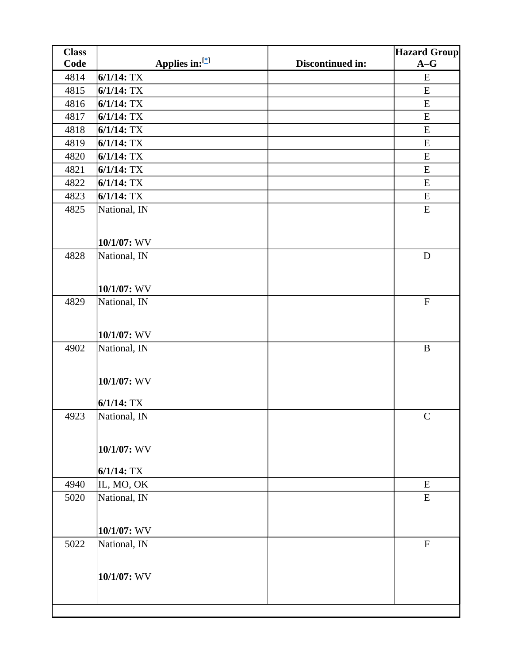| <b>Class</b> |                |                  | <b>Hazard Group</b> |
|--------------|----------------|------------------|---------------------|
| Code         | Applies in:[*] | Discontinued in: | $A-G$               |
| 4814         | $6/1/14$ : TX  |                  | ${\bf E}$           |
| 4815         | $6/1/14$ : TX  |                  | E                   |
| 4816         | $6/1/14$ : TX  |                  | ${\bf E}$           |
| 4817         | $6/1/14$ : TX  |                  | E                   |
| 4818         | $6/1/14$ : TX  |                  | ${\bf E}$           |
| 4819         | $6/1/14$ : TX  |                  | E                   |
| 4820         | $6/1/14$ : TX  |                  | ${\bf E}$           |
| 4821         | $6/1/14$ : TX  |                  | ${\bf E}$           |
| 4822         | $6/1/14$ : TX  |                  | ${\bf E}$           |
| 4823         | $6/1/14$ : TX  |                  | ${\bf E}$           |
| 4825         | National, IN   |                  | ${\bf E}$           |
|              |                |                  |                     |
|              | 10/1/07: WV    |                  |                     |
| 4828         | National, IN   |                  | $\mathbf D$         |
|              |                |                  |                     |
|              |                |                  |                     |
|              | 10/1/07: WV    |                  |                     |
| 4829         | National, IN   |                  | ${\bf F}$           |
|              |                |                  |                     |
|              | 10/1/07: WV    |                  |                     |
| 4902         | National, IN   |                  | $\bf{B}$            |
|              |                |                  |                     |
|              |                |                  |                     |
|              | 10/1/07: WV    |                  |                     |
|              | $6/1/14$ : TX  |                  |                     |
| 4923         |                |                  | $\mathcal{C}$       |
|              | National, IN   |                  |                     |
|              |                |                  |                     |
|              | 10/1/07: WV    |                  |                     |
|              |                |                  |                     |
|              | $6/1/14$ : TX  |                  |                     |
| 4940         | IL, MO, OK     |                  | ${\bf E}$           |
| 5020         | National, IN   |                  | ${\bf E}$           |
|              |                |                  |                     |
|              | 10/1/07: WV    |                  |                     |
| 5022         | National, IN   |                  | $\mathbf F$         |
|              |                |                  |                     |
|              |                |                  |                     |
|              | 10/1/07: WV    |                  |                     |
|              |                |                  |                     |
|              |                |                  |                     |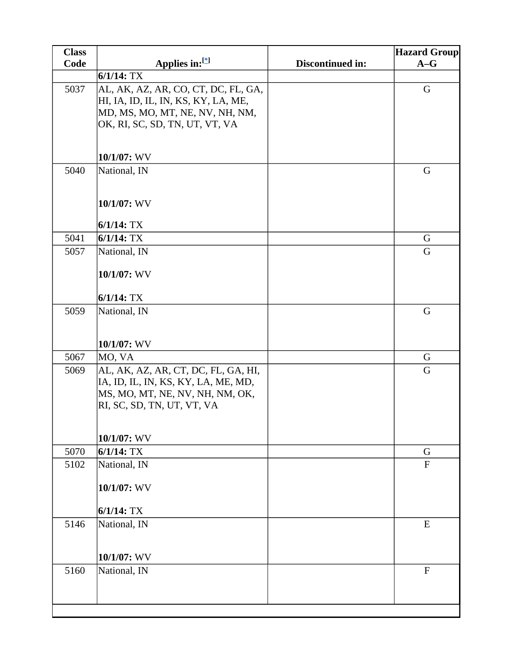| <b>Class</b> |                                                                        |                  | <b>Hazard Group</b>       |
|--------------|------------------------------------------------------------------------|------------------|---------------------------|
| Code         | Applies in: $[$                                                        | Discontinued in: | $A-G$                     |
|              | $6/1/14$ : TX                                                          |                  |                           |
| 5037         | AL, AK, AZ, AR, CO, CT, DC, FL, GA,                                    |                  | $\mathbf G$               |
|              | HI, IA, ID, IL, IN, KS, KY, LA, ME,                                    |                  |                           |
|              | MD, MS, MO, MT, NE, NV, NH, NM,<br>OK, RI, SC, SD, TN, UT, VT, VA      |                  |                           |
|              |                                                                        |                  |                           |
|              |                                                                        |                  |                           |
|              | 10/1/07: WV                                                            |                  |                           |
| 5040         | National, IN                                                           |                  | G                         |
|              |                                                                        |                  |                           |
|              | 10/1/07: WV                                                            |                  |                           |
|              |                                                                        |                  |                           |
|              | $6/1/14$ : TX                                                          |                  |                           |
| 5041         | $6/1/14$ : TX                                                          |                  | $\mathbf G$               |
| 5057         | National, IN                                                           |                  | $\mathbf G$               |
|              |                                                                        |                  |                           |
|              | 10/1/07: WV                                                            |                  |                           |
|              | $6/1/14$ : TX                                                          |                  |                           |
| 5059         | National, IN                                                           |                  | G                         |
|              |                                                                        |                  |                           |
|              |                                                                        |                  |                           |
|              | 10/1/07: WV                                                            |                  |                           |
| 5067         | MO, VA                                                                 |                  | G                         |
| 5069         | AL, AK, AZ, AR, CT, DC, FL, GA, HI,                                    |                  | G                         |
|              | IA, ID, IL, IN, KS, KY, LA, ME, MD,<br>MS, MO, MT, NE, NV, NH, NM, OK, |                  |                           |
|              | RI, SC, SD, TN, UT, VT, VA                                             |                  |                           |
|              |                                                                        |                  |                           |
|              |                                                                        |                  |                           |
|              | 10/1/07: WV                                                            |                  |                           |
| 5070         | $6/1/14$ : TX                                                          |                  | G                         |
| 5102         | National, IN                                                           |                  | ${\bf F}$                 |
|              | 10/1/07: WV                                                            |                  |                           |
|              |                                                                        |                  |                           |
|              | $6/1/14$ : TX                                                          |                  |                           |
| 5146         | National, IN                                                           |                  | ${\bf E}$                 |
|              |                                                                        |                  |                           |
|              |                                                                        |                  |                           |
| 5160         | 10/1/07: WV                                                            |                  | $\boldsymbol{\mathrm{F}}$ |
|              | National, IN                                                           |                  |                           |
|              |                                                                        |                  |                           |
|              |                                                                        |                  |                           |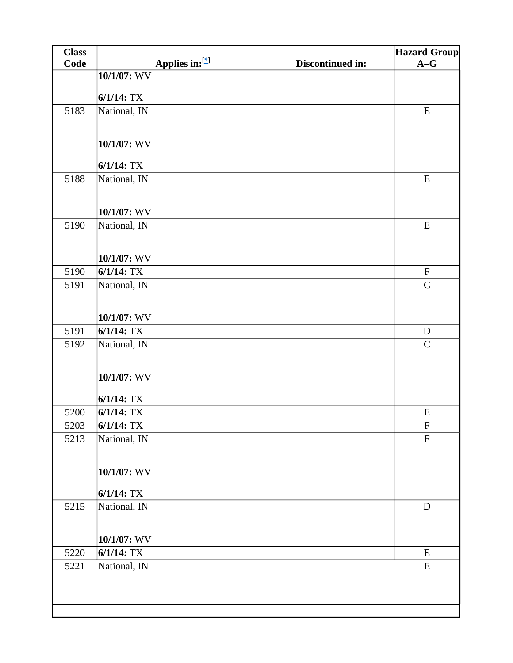| <b>Class</b> |                               |                  | <b>Hazard Group</b>                      |
|--------------|-------------------------------|------------------|------------------------------------------|
| Code         | Applies in:[*]                | Discontinued in: | $A-G$                                    |
|              | 10/1/07: WV                   |                  |                                          |
|              | $6/1/14$ : TX                 |                  |                                          |
| 5183         | National, IN                  |                  | ${\bf E}$                                |
|              |                               |                  |                                          |
|              |                               |                  |                                          |
|              | 10/1/07: WV                   |                  |                                          |
|              | $6/1/14$ : TX                 |                  |                                          |
| 5188         | National, IN                  |                  | ${\bf E}$                                |
|              |                               |                  |                                          |
|              |                               |                  |                                          |
| 5190         | $10/1/07$ : WV                |                  | ${\bf E}$                                |
|              | National, IN                  |                  |                                          |
|              |                               |                  |                                          |
|              | 10/1/07: WV                   |                  |                                          |
| 5190         | $6/1/14$ : TX                 |                  | $\boldsymbol{\mathrm{F}}$                |
| 5191         | National, IN                  |                  | $\mathbf C$                              |
|              |                               |                  |                                          |
|              | $10/1/07$ : WV                |                  |                                          |
| 5191         | $6/1/14$ : TX                 |                  | ${\bf D}$                                |
| 5192         | National, IN                  |                  | $\mathbf C$                              |
|              |                               |                  |                                          |
|              | 10/1/07: WV                   |                  |                                          |
|              |                               |                  |                                          |
|              | $6/1/14$ : TX                 |                  |                                          |
| 5200         | $6/1/14$ : TX                 |                  | E                                        |
| 5203<br>5213 | $6/1/14$ : TX<br>National, IN |                  | $\boldsymbol{\mathrm{F}}$<br>$\mathbf F$ |
|              |                               |                  |                                          |
|              |                               |                  |                                          |
|              | 10/1/07: WV                   |                  |                                          |
|              | $6/1/14$ : TX                 |                  |                                          |
| 5215         | National, IN                  |                  | $\mathbf D$                              |
|              |                               |                  |                                          |
|              | 10/1/07: WV                   |                  |                                          |
| 5220         | $6/1/14$ : TX                 |                  | ${\bf E}$                                |
| 5221         | National, IN                  |                  | ${\bf E}$                                |
|              |                               |                  |                                          |
|              |                               |                  |                                          |
|              |                               |                  |                                          |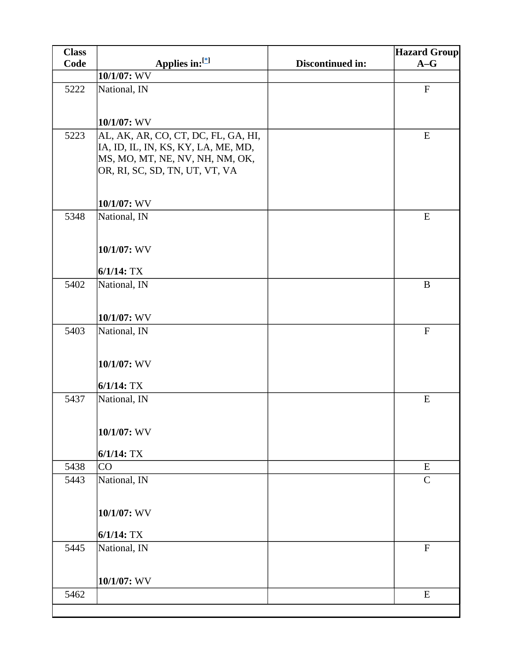| <b>Class</b> |                                                                                                                                                 |                         | <b>Hazard Group</b>       |
|--------------|-------------------------------------------------------------------------------------------------------------------------------------------------|-------------------------|---------------------------|
| Code         | Applies in:[*]                                                                                                                                  | <b>Discontinued in:</b> | $A-G$                     |
|              | 10/1/07: WV                                                                                                                                     |                         |                           |
| 5222         | National, IN                                                                                                                                    |                         | ${\bf F}$                 |
|              | 10/1/07: WV                                                                                                                                     |                         |                           |
| 5223         | AL, AK, AR, CO, CT, DC, FL, GA, HI,<br>IA, ID, IL, IN, KS, KY, LA, ME, MD,<br>MS, MO, MT, NE, NV, NH, NM, OK,<br>OR, RI, SC, SD, TN, UT, VT, VA |                         | ${\bf E}$                 |
|              | 10/1/07: WV                                                                                                                                     |                         |                           |
| 5348         | National, IN                                                                                                                                    |                         | E                         |
|              | 10/1/07: WV                                                                                                                                     |                         |                           |
|              | $6/1/14$ : TX                                                                                                                                   |                         |                           |
| 5402         | National, IN                                                                                                                                    |                         | $\, {\bf B}$              |
|              | 10/1/07: WV                                                                                                                                     |                         |                           |
| 5403         | National, IN                                                                                                                                    |                         | $\boldsymbol{\mathrm{F}}$ |
|              | 10/1/07: WV                                                                                                                                     |                         |                           |
|              | $6/1/14$ : TX                                                                                                                                   |                         |                           |
| 5437         | National, IN                                                                                                                                    |                         | ${\bf E}$                 |
|              | 10/1/07: WV                                                                                                                                     |                         |                           |
|              | $6/1/14$ : TX                                                                                                                                   |                         |                           |
| 5438         | <b>CO</b>                                                                                                                                       |                         | E<br>$\mathbf C$          |
| 5443         | National, IN                                                                                                                                    |                         |                           |
|              | 10/1/07: WV<br>$6/1/14$ : TX                                                                                                                    |                         |                           |
| 5445         | National, IN                                                                                                                                    |                         | $\mathbf F$               |
|              | 10/1/07: WV                                                                                                                                     |                         |                           |
| 5462         |                                                                                                                                                 |                         | ${\bf E}$                 |
|              |                                                                                                                                                 |                         |                           |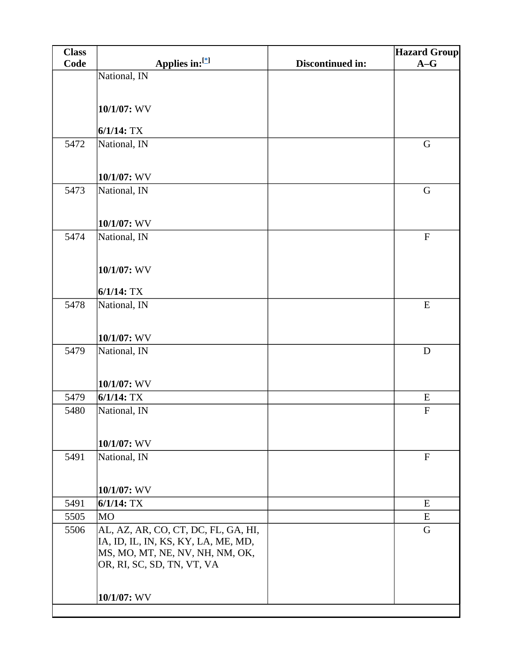| <b>Class</b> |                                     |                         | <b>Hazard Group</b> |
|--------------|-------------------------------------|-------------------------|---------------------|
| Code         | Applies in:[*]                      | <b>Discontinued in:</b> | $A-G$               |
|              | National, IN                        |                         |                     |
|              |                                     |                         |                     |
|              | 10/1/07: WV                         |                         |                     |
|              |                                     |                         |                     |
|              | $6/1/14$ : TX                       |                         |                     |
| 5472         | National, IN                        |                         | $\mathbf G$         |
|              |                                     |                         |                     |
|              | 10/1/07: WV                         |                         |                     |
| 5473         | National, IN                        |                         | $\mathbf G$         |
|              |                                     |                         |                     |
|              |                                     |                         |                     |
|              | 10/1/07: WV                         |                         |                     |
| 5474         | National, IN                        |                         | ${\bf F}$           |
|              |                                     |                         |                     |
|              | 10/1/07: WV                         |                         |                     |
|              |                                     |                         |                     |
|              | $6/1/14$ : TX                       |                         |                     |
| 5478         | National, IN                        |                         | ${\bf E}$           |
|              |                                     |                         |                     |
|              | 10/1/07: WV                         |                         |                     |
| 5479         | National, IN                        |                         | $\mathbf D$         |
|              |                                     |                         |                     |
|              |                                     |                         |                     |
|              | 10/1/07: WV<br>$6/1/14$ : TX        |                         | E                   |
| 5479<br>5480 |                                     |                         | ${\bf F}$           |
|              | National, IN                        |                         |                     |
|              |                                     |                         |                     |
|              | 10/1/07: WV                         |                         |                     |
| 5491         | National, IN                        |                         | $\mathbf{F}$        |
|              |                                     |                         |                     |
|              | 10/1/07: WV                         |                         |                     |
| 5491         | $6/1/14$ : TX                       |                         | E                   |
| 5505         | <b>MO</b>                           |                         | ${\bf E}$           |
| 5506         | AL, AZ, AR, CO, CT, DC, FL, GA, HI, |                         | G                   |
|              | IA, ID, IL, IN, KS, KY, LA, ME, MD, |                         |                     |
|              | MS, MO, MT, NE, NV, NH, NM, OK,     |                         |                     |
|              | OR, RI, SC, SD, TN, VT, VA          |                         |                     |
|              |                                     |                         |                     |
|              | 10/1/07: WV                         |                         |                     |
|              |                                     |                         |                     |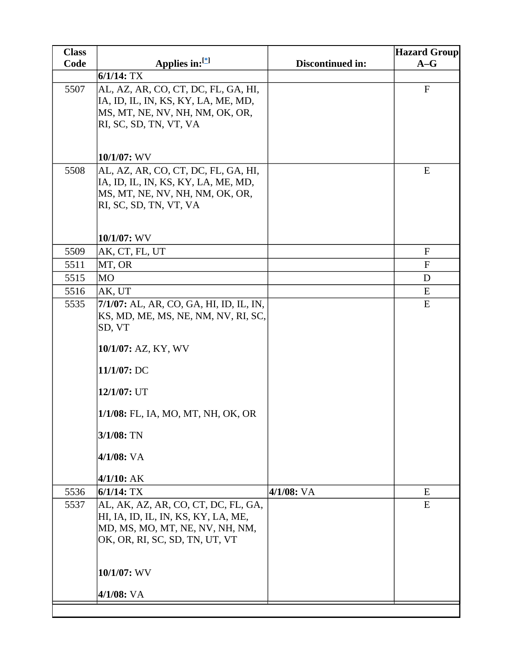| <b>Class</b> |                                                                                                                                                                                             |                  | <b>Hazard Group</b> |
|--------------|---------------------------------------------------------------------------------------------------------------------------------------------------------------------------------------------|------------------|---------------------|
| Code         | Applies in:[*]                                                                                                                                                                              | Discontinued in: | $A-G$               |
|              | $6/1/14$ : TX                                                                                                                                                                               |                  |                     |
| 5507         | AL, AZ, AR, CO, CT, DC, FL, GA, HI,<br>IA, ID, IL, IN, KS, KY, LA, ME, MD,<br>MS, MT, NE, NV, NH, NM, OK, OR,<br>RI, SC, SD, TN, VT, VA                                                     |                  | ${\bf F}$           |
|              | 10/1/07: WV                                                                                                                                                                                 |                  |                     |
| 5508         | AL, AZ, AR, CO, CT, DC, FL, GA, HI,<br>IA, ID, IL, IN, KS, KY, LA, ME, MD,<br>MS, MT, NE, NV, NH, NM, OK, OR,<br>RI, SC, SD, TN, VT, VA<br>10/1/07: WV                                      |                  | E                   |
| 5509         | AK, CT, FL, UT                                                                                                                                                                              |                  | $\mathbf F$         |
| 5511         | MT, OR                                                                                                                                                                                      |                  | ${\bf F}$           |
| 5515         | <b>MO</b>                                                                                                                                                                                   |                  | D                   |
| 5516         | AK, UT                                                                                                                                                                                      |                  | E                   |
| 5535         | 7/1/07: AL, AR, CO, GA, HI, ID, IL, IN,                                                                                                                                                     |                  | E                   |
|              | KS, MD, ME, MS, NE, NM, NV, RI, SC,<br>SD, VT<br>10/1/07: AZ, KY, WV<br>11/1/07: DC<br>12/1/07: UT<br>1/1/08: FL, IA, MO, MT, NH, OK, OR<br>$3/1/08$ : TN<br>$4/1/08$ : VA<br>$4/1/10$ : AK |                  |                     |
| 5536         | $6/1/14$ : TX                                                                                                                                                                               | $4/1/08$ : VA    | E                   |
| 5537         | AL, AK, AZ, AR, CO, CT, DC, FL, GA,<br>HI, IA, ID, IL, IN, KS, KY, LA, ME,<br>MD, MS, MO, MT, NE, NV, NH, NM,<br>OK, OR, RI, SC, SD, TN, UT, VT<br>10/1/07: WV<br>4/1/08: VA                |                  | E                   |
|              |                                                                                                                                                                                             |                  |                     |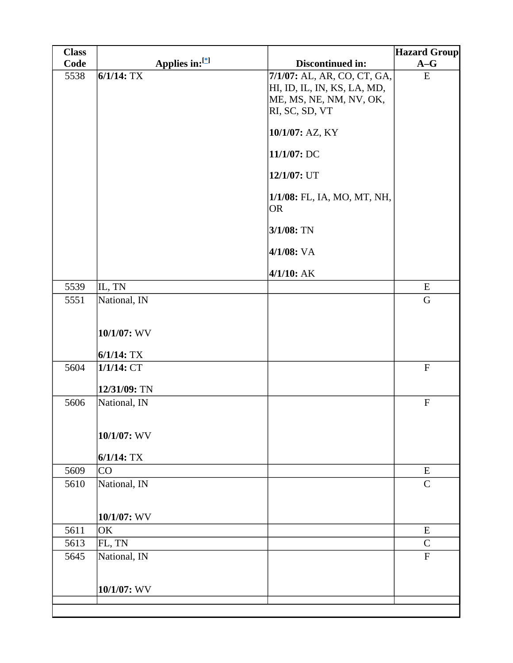| <b>Class</b> |                               |                                                                                                                                                                                                                       | <b>Hazard Group</b>       |
|--------------|-------------------------------|-----------------------------------------------------------------------------------------------------------------------------------------------------------------------------------------------------------------------|---------------------------|
| Code         | Applies in:[*]                | Discontinued in:                                                                                                                                                                                                      | $A-G$                     |
| 5538         | $6/1/14$ : TX                 | 7/1/07: AL, AR, CO, CT, GA,<br>HI, ID, IL, IN, KS, LA, MD,<br>ME, MS, NE, NM, NV, OK,<br>RI, SC, SD, VT<br>10/1/07: AZ, KY<br>11/1/07: DC<br>12/1/07: UT<br>1/1/08: FL, IA, MO, MT, NH,<br><b>OR</b><br>$3/1/08$ : TN | ${\bf E}$                 |
|              |                               | 4/1/08: VA                                                                                                                                                                                                            |                           |
|              |                               | $4/1/10$ : AK                                                                                                                                                                                                         |                           |
| 5539         | IL, TN                        |                                                                                                                                                                                                                       | ${\bf E}$                 |
| 5551         | National, IN                  |                                                                                                                                                                                                                       | $\mathbf G$               |
|              | 10/1/07: WV<br>$6/1/14$ : TX  |                                                                                                                                                                                                                       |                           |
| 5604         | $1/1/14$ : CT<br>12/31/09: TN |                                                                                                                                                                                                                       | $\mathbf F$               |
| 5606         | National, IN                  |                                                                                                                                                                                                                       | $\boldsymbol{\mathrm{F}}$ |
|              | 10/1/07: WV<br>$6/1/14$ : TX  |                                                                                                                                                                                                                       |                           |
| 5609         | CO                            |                                                                                                                                                                                                                       | E                         |
| 5610         | National, IN<br>10/1/07: WV   |                                                                                                                                                                                                                       | $\mathbf C$               |
| 5611         | OK                            |                                                                                                                                                                                                                       |                           |
| 5613         | FL, TN                        |                                                                                                                                                                                                                       | ${\bf E}$<br>${\bf C}$    |
| 5645         | National, IN                  |                                                                                                                                                                                                                       | ${\bf F}$                 |
|              |                               |                                                                                                                                                                                                                       |                           |
|              | 10/1/07: WV                   |                                                                                                                                                                                                                       |                           |
|              |                               |                                                                                                                                                                                                                       |                           |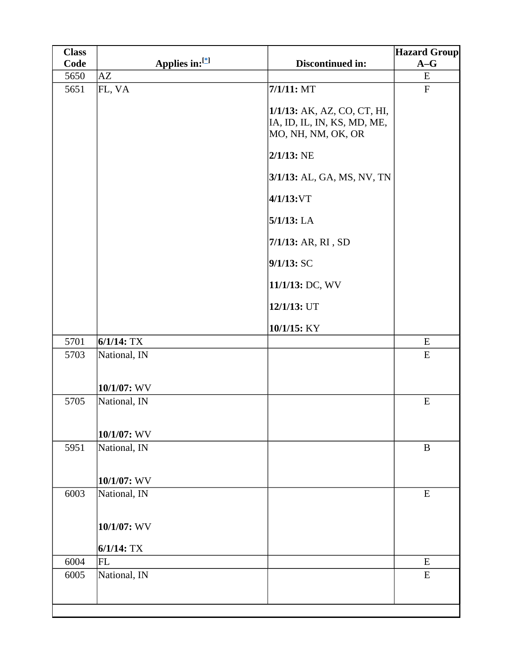| <b>Class</b> |                                |                                                                                                                    | <b>Hazard Group</b>       |
|--------------|--------------------------------|--------------------------------------------------------------------------------------------------------------------|---------------------------|
| Code         | Applies in:[*]                 | Discontinued in:                                                                                                   | $A-G$                     |
| 5650         | AZ                             |                                                                                                                    | E                         |
| 5651         | FL, VA                         | $7/1/11$ : MT<br>1/1/13: AK, AZ, CO, CT, HI,<br>IA, ID, IL, IN, KS, MD, ME,<br>MO, NH, NM, OK, OR<br>$2/1/13$ : NE | $\boldsymbol{\mathrm{F}}$ |
|              |                                | 3/1/13: AL, GA, MS, NV, TN                                                                                         |                           |
|              |                                | 4/1/13:VT                                                                                                          |                           |
|              |                                | $5/1/13$ : LA                                                                                                      |                           |
|              |                                | 7/1/13: AR, RI, SD                                                                                                 |                           |
|              |                                | 9/1/13:SC                                                                                                          |                           |
|              |                                | 11/1/13: DC, WV                                                                                                    |                           |
|              |                                | 12/1/13: UT                                                                                                        |                           |
|              |                                | 10/1/15: KY                                                                                                        |                           |
| 5701         | $6/1/14$ : TX                  |                                                                                                                    | ${\bf E}$                 |
| 5703         | National, IN                   |                                                                                                                    | ${\bf E}$                 |
|              | 10/1/07: WV                    |                                                                                                                    |                           |
| 5705         | National, IN<br>$10/1/07$ : WV |                                                                                                                    | E                         |
| 5951         | National, IN                   |                                                                                                                    | $\, {\bf B}$              |
| 6003         | 10/1/07: WV                    |                                                                                                                    | E                         |
|              | National, IN<br>10/1/07: WV    |                                                                                                                    |                           |
| 6004         | $6/1/14$ : TX<br>FL            |                                                                                                                    | E                         |
| 6005         | National, IN                   |                                                                                                                    | ${\bf E}$                 |
|              |                                |                                                                                                                    |                           |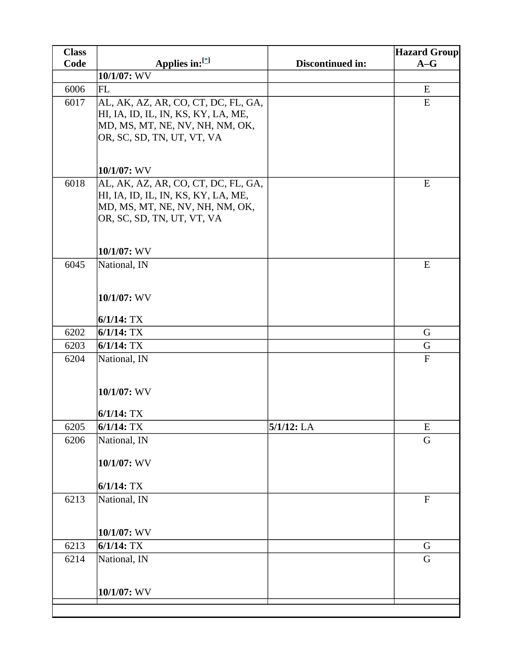| <b>Class</b> |                                     |                  | <b>Hazard Group</b> |
|--------------|-------------------------------------|------------------|---------------------|
| Code         | Applies in: $[$                     | Discontinued in: | $A-G$               |
|              | 10/1/07: WV                         |                  |                     |
| 6006         | FL                                  |                  | E                   |
| 6017         | AL, AK, AZ, AR, CO, CT, DC, FL, GA, |                  | E                   |
|              | HI, IA, ID, IL, IN, KS, KY, LA, ME, |                  |                     |
|              | MD, MS, MT, NE, NV, NH, NM, OK,     |                  |                     |
|              | OR, SC, SD, TN, UT, VT, VA          |                  |                     |
|              |                                     |                  |                     |
|              | 10/1/07: WV                         |                  |                     |
| 6018         | AL, AK, AZ, AR, CO, CT, DC, FL, GA, |                  | E                   |
|              | HI, IA, ID, IL, IN, KS, KY, LA, ME, |                  |                     |
|              | MD, MS, MT, NE, NV, NH, NM, OK,     |                  |                     |
|              | OR, SC, SD, TN, UT, VT, VA          |                  |                     |
|              |                                     |                  |                     |
|              | 10/1/07: WV                         |                  |                     |
| 6045         | National, IN                        |                  | E                   |
|              |                                     |                  |                     |
|              |                                     |                  |                     |
|              | 10/1/07: WV                         |                  |                     |
|              | $6/1/14$ : TX                       |                  |                     |
| 6202         | $6/1/14$ : TX                       |                  | G                   |
| 6203         | $6/1/14$ : TX                       |                  | G                   |
| 6204         | National, IN                        |                  | $\mathbf F$         |
|              |                                     |                  |                     |
|              |                                     |                  |                     |
|              | 10/1/07: WV                         |                  |                     |
|              | $6/1/14$ : TX                       |                  |                     |
| 6205         | $6/1/14$ : TX                       | $5/1/12$ : LA    | E                   |
| 6206         |                                     |                  | G                   |
|              | National, IN                        |                  |                     |
|              | 10/1/07: WV                         |                  |                     |
|              |                                     |                  |                     |
|              | $6/1/14$ : TX                       |                  |                     |
| 6213         | National, IN                        |                  | ${\bf F}$           |
|              |                                     |                  |                     |
|              |                                     |                  |                     |
|              | 10/1/07: WV                         |                  |                     |
| 6213         | $6/1/14$ : TX                       |                  | $\mathbf G$         |
| 6214         | National, IN                        |                  | G                   |
|              |                                     |                  |                     |
|              | 10/1/07: WV                         |                  |                     |
|              |                                     |                  |                     |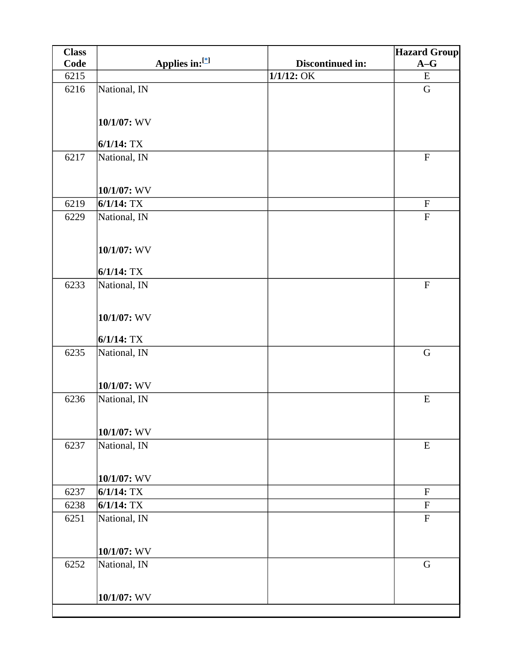| <b>Class</b> |                |                  | <b>Hazard Group</b>       |
|--------------|----------------|------------------|---------------------------|
| Code         | Applies in:[*] | Discontinued in: | $A-G$                     |
| 6215         |                | $1/1/12$ : OK    | ${\bf E}$                 |
| 6216         | National, IN   |                  | $\mathbf G$               |
|              |                |                  |                           |
|              | 10/1/07: WV    |                  |                           |
|              |                |                  |                           |
|              | $6/1/14$ : TX  |                  |                           |
| 6217         | National, IN   |                  | ${\bf F}$                 |
|              |                |                  |                           |
|              | 10/1/07: WV    |                  |                           |
| 6219         | $6/1/14$ : TX  |                  | $\boldsymbol{\mathrm{F}}$ |
| 6229         | National, IN   |                  | ${\bf F}$                 |
|              |                |                  |                           |
|              | 10/1/07: WV    |                  |                           |
|              | $6/1/14$ : TX  |                  |                           |
| 6233         | National, IN   |                  | $\mathbf F$               |
|              |                |                  |                           |
|              |                |                  |                           |
|              | 10/1/07: WV    |                  |                           |
|              | $6/1/14$ : TX  |                  |                           |
| 6235         | National, IN   |                  | $\mathbf G$               |
|              |                |                  |                           |
|              | 10/1/07: WV    |                  |                           |
| 6236         | National, IN   |                  | ${\bf E}$                 |
|              |                |                  |                           |
|              |                |                  |                           |
|              | 10/1/07: WV    |                  |                           |
| 6237         | National, IN   |                  | ${\bf E}$                 |
|              |                |                  |                           |
|              | 10/1/07: WV    |                  |                           |
| 6237         | $6/1/14$ : TX  |                  | $\boldsymbol{\mathrm{F}}$ |
| 6238         | $6/1/14$ : TX  |                  | ${\bf F}$                 |
| 6251         | National, IN   |                  | ${\bf F}$                 |
|              |                |                  |                           |
|              | 10/1/07: WV    |                  |                           |
| 6252         | National, IN   |                  | $\mathbf G$               |
|              |                |                  |                           |
|              | 10/1/07: WV    |                  |                           |
|              |                |                  |                           |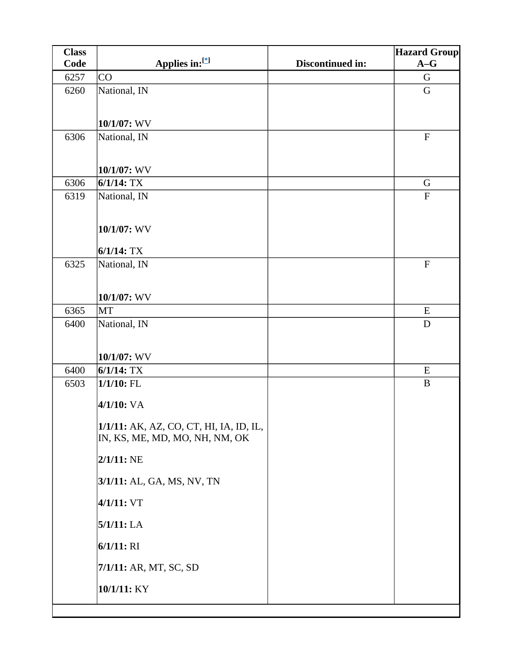| <b>Class</b> |                                                                           |                  | <b>Hazard Group</b>       |
|--------------|---------------------------------------------------------------------------|------------------|---------------------------|
| Code         | Applies in:[*]                                                            | Discontinued in: | $A-G$                     |
| 6257         | CO                                                                        |                  | $\mathbf G$               |
| 6260         | National, IN                                                              |                  | $\mathbf G$               |
|              |                                                                           |                  |                           |
|              | 10/1/07: WV                                                               |                  |                           |
| 6306         | National, IN                                                              |                  | $\boldsymbol{\mathrm{F}}$ |
|              |                                                                           |                  |                           |
|              | 10/1/07: WV                                                               |                  |                           |
| 6306         | $6/1/14$ : TX                                                             |                  | G                         |
| 6319         | National, IN                                                              |                  | ${\bf F}$                 |
|              |                                                                           |                  |                           |
|              | 10/1/07: WV                                                               |                  |                           |
|              | $6/1/14$ : TX                                                             |                  |                           |
| 6325         | National, IN                                                              |                  | $\boldsymbol{\mathrm{F}}$ |
|              |                                                                           |                  |                           |
|              | 10/1/07: WV                                                               |                  |                           |
| 6365         | <b>MT</b>                                                                 |                  | E                         |
| 6400         | National, IN                                                              |                  | $\mathbf D$               |
|              |                                                                           |                  |                           |
|              | 10/1/07: WV                                                               |                  |                           |
| 6400         | $6/1/14$ : TX                                                             |                  | E                         |
| 6503         | $1/1/10$ : FL                                                             |                  | $\bf{B}$                  |
|              | 4/1/10: VA                                                                |                  |                           |
|              |                                                                           |                  |                           |
|              | 1/1/11: AK, AZ, CO, CT, HI, IA, ID, IL,<br>IN, KS, ME, MD, MO, NH, NM, OK |                  |                           |
|              |                                                                           |                  |                           |
|              | $2/1/11$ : NE                                                             |                  |                           |
|              | 3/1/11: AL, GA, MS, NV, TN                                                |                  |                           |
|              | 4/1/11: VT                                                                |                  |                           |
|              | $5/1/11$ : LA                                                             |                  |                           |
|              | 6/1/11: RI                                                                |                  |                           |
|              | 7/1/11: AR, MT, SC, SD                                                    |                  |                           |
|              | 10/1/11: KY                                                               |                  |                           |
|              |                                                                           |                  |                           |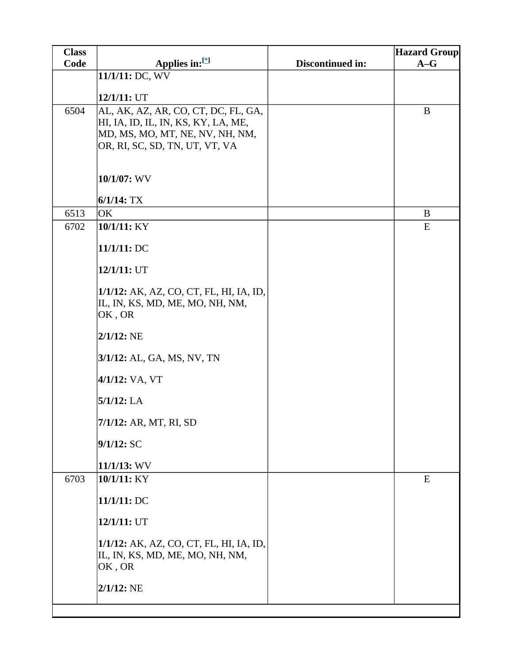| <b>Class</b> |                                         |                         | <b>Hazard Group</b> |
|--------------|-----------------------------------------|-------------------------|---------------------|
| Code         | Applies in:[*]                          | <b>Discontinued in:</b> | $A-G$               |
|              | 11/1/11: DC, WV                         |                         |                     |
|              | 12/1/11: UT                             |                         |                     |
| 6504         | AL, AK, AZ, AR, CO, CT, DC, FL, GA,     |                         | B                   |
|              | HI, IA, ID, IL, IN, KS, KY, LA, ME,     |                         |                     |
|              | MD, MS, MO, MT, NE, NV, NH, NM,         |                         |                     |
|              | OR, RI, SC, SD, TN, UT, VT, VA          |                         |                     |
|              |                                         |                         |                     |
|              | 10/1/07: WV                             |                         |                     |
|              |                                         |                         |                     |
|              | $6/1/14$ : TX                           |                         |                     |
| 6513<br>6702 | OK<br>10/1/11: KY                       |                         | B<br>E              |
|              |                                         |                         |                     |
|              | 11/1/11:DC                              |                         |                     |
|              |                                         |                         |                     |
|              | 12/1/11: UT                             |                         |                     |
|              | 1/1/12: AK, AZ, CO, CT, FL, HI, IA, ID, |                         |                     |
|              | IL, IN, KS, MD, ME, MO, NH, NM,         |                         |                     |
|              | OK, OR                                  |                         |                     |
|              | $2/1/12$ : NE                           |                         |                     |
|              |                                         |                         |                     |
|              | 3/1/12: AL, GA, MS, NV, TN              |                         |                     |
|              | 4/1/12: VA, VT                          |                         |                     |
|              |                                         |                         |                     |
|              | $5/1/12$ : LA                           |                         |                     |
|              | 7/1/12: AR, MT, RI, SD                  |                         |                     |
|              |                                         |                         |                     |
|              | 9/1/12: SC                              |                         |                     |
|              | $11/1/13$ : WV                          |                         |                     |
| 6703         | 10/1/11: KY                             |                         | E                   |
|              | 11/1/11: DC                             |                         |                     |
|              |                                         |                         |                     |
|              | 12/1/11: UT                             |                         |                     |
|              | 1/1/12: AK, AZ, CO, CT, FL, HI, IA, ID, |                         |                     |
|              | IL, IN, KS, MD, ME, MO, NH, NM,         |                         |                     |
|              | OK, OR                                  |                         |                     |
|              |                                         |                         |                     |
|              | $2/1/12$ : NE                           |                         |                     |
|              |                                         |                         |                     |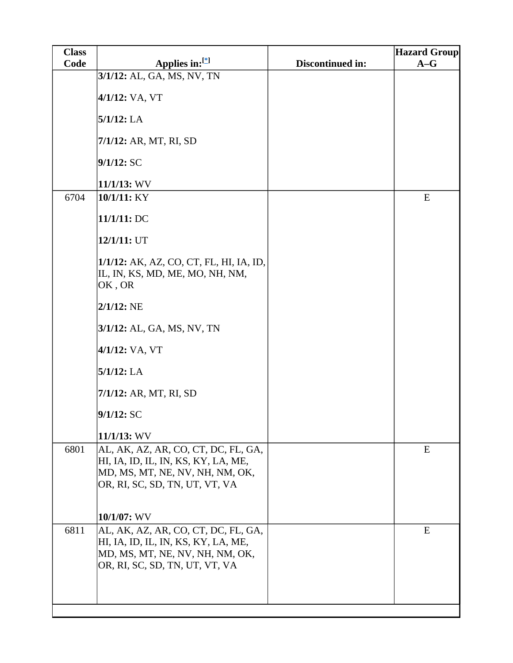| <b>Class</b> |                                                                                      |                         | <b>Hazard Group</b> |
|--------------|--------------------------------------------------------------------------------------|-------------------------|---------------------|
| Code         | Applies in:[*]                                                                       | <b>Discontinued in:</b> | $A-G$               |
|              | 3/1/12: AL, GA, MS, NV, TN                                                           |                         |                     |
|              | 4/1/12: VA, VT                                                                       |                         |                     |
|              | $5/1/12$ : LA                                                                        |                         |                     |
|              | 7/1/12: AR, MT, RI, SD                                                               |                         |                     |
|              | 9/1/12:SC                                                                            |                         |                     |
|              | $11/1/13$ : WV                                                                       |                         |                     |
| 6704         | 10/1/11: KY                                                                          |                         | ${\bf E}$           |
|              | 11/1/11: DC                                                                          |                         |                     |
|              | $12/1/11:$ UT                                                                        |                         |                     |
|              | 1/1/12: AK, AZ, CO, CT, FL, HI, IA, ID,<br>IL, IN, KS, MD, ME, MO, NH, NM,<br>OK, OR |                         |                     |
|              | $2/1/12$ : NE                                                                        |                         |                     |
|              | 3/1/12: AL, GA, MS, NV, TN                                                           |                         |                     |
|              | 4/1/12: VA, VT                                                                       |                         |                     |
|              | $5/1/12$ : LA                                                                        |                         |                     |
|              | 7/1/12: AR, MT, RI, SD                                                               |                         |                     |
|              | 9/1/12:SC                                                                            |                         |                     |
|              | 11/1/13: WV                                                                          |                         |                     |
| 6801         | AL, AK, AZ, AR, CO, CT, DC, FL, GA,                                                  |                         | E                   |
|              | HI, IA, ID, IL, IN, KS, KY, LA, ME,<br>MD, MS, MT, NE, NV, NH, NM, OK,               |                         |                     |
|              | OR, RI, SC, SD, TN, UT, VT, VA                                                       |                         |                     |
|              |                                                                                      |                         |                     |
|              | 10/1/07: WV                                                                          |                         |                     |
| 6811         | AL, AK, AZ, AR, CO, CT, DC, FL, GA,<br>HI, IA, ID, IL, IN, KS, KY, LA, ME,           |                         | E                   |
|              | MD, MS, MT, NE, NV, NH, NM, OK,<br>OR, RI, SC, SD, TN, UT, VT, VA                    |                         |                     |
|              |                                                                                      |                         |                     |
|              |                                                                                      |                         |                     |
|              |                                                                                      |                         |                     |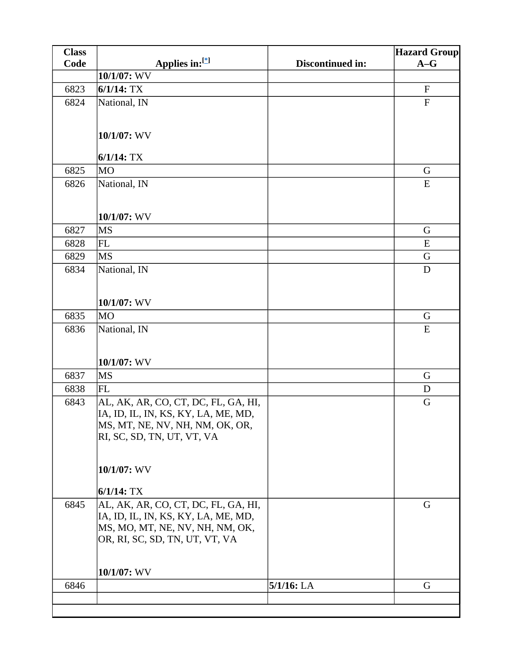| <b>Class</b> |                                     |                  | <b>Hazard Group</b> |
|--------------|-------------------------------------|------------------|---------------------|
| Code         | Applies in:[*]                      | Discontinued in: | $A-G$               |
|              | 10/1/07: WV                         |                  |                     |
| 6823         | $6/1/14$ : TX                       |                  | $\mathbf F$         |
| 6824         | National, IN                        |                  | ${\bf F}$           |
|              |                                     |                  |                     |
|              | 10/1/07: WV                         |                  |                     |
|              |                                     |                  |                     |
|              | $6/1/14$ : TX                       |                  |                     |
| 6825         | <b>MO</b>                           |                  | $\mathbf G$         |
| 6826         | National, IN                        |                  | ${\bf E}$           |
|              |                                     |                  |                     |
|              | 10/1/07: WV                         |                  |                     |
| 6827         | <b>MS</b>                           |                  | $\mathbf G$         |
| 6828         | FL                                  |                  | E                   |
| 6829         | <b>MS</b>                           |                  | G                   |
| 6834         | National, IN                        |                  | D                   |
|              |                                     |                  |                     |
|              |                                     |                  |                     |
|              | 10/1/07: WV                         |                  |                     |
| 6835         | <b>MO</b>                           |                  | G                   |
| 6836         | National, IN                        |                  | ${\bf E}$           |
|              |                                     |                  |                     |
|              | 10/1/07: WV                         |                  |                     |
| 6837         | <b>MS</b>                           |                  | G                   |
| 6838         | FL                                  |                  | D                   |
| 6843         | AL, AK, AR, CO, CT, DC, FL, GA, HI, |                  | $\mathbf G$         |
|              | IA, ID, IL, IN, KS, KY, LA, ME, MD, |                  |                     |
|              | MS, MT, NE, NV, NH, NM, OK, OR,     |                  |                     |
|              | RI, SC, SD, TN, UT, VT, VA          |                  |                     |
|              |                                     |                  |                     |
|              |                                     |                  |                     |
|              | 10/1/07: WV                         |                  |                     |
|              | $6/1/14$ : TX                       |                  |                     |
| 6845         | AL, AK, AR, CO, CT, DC, FL, GA, HI, |                  | G                   |
|              | IA, ID, IL, IN, KS, KY, LA, ME, MD, |                  |                     |
|              | MS, MO, MT, NE, NV, NH, NM, OK,     |                  |                     |
|              | OR, RI, SC, SD, TN, UT, VT, VA      |                  |                     |
|              |                                     |                  |                     |
|              | 10/1/07: WV                         |                  |                     |
| 6846         |                                     | $5/1/16$ : LA    | G                   |
|              |                                     |                  |                     |
|              |                                     |                  |                     |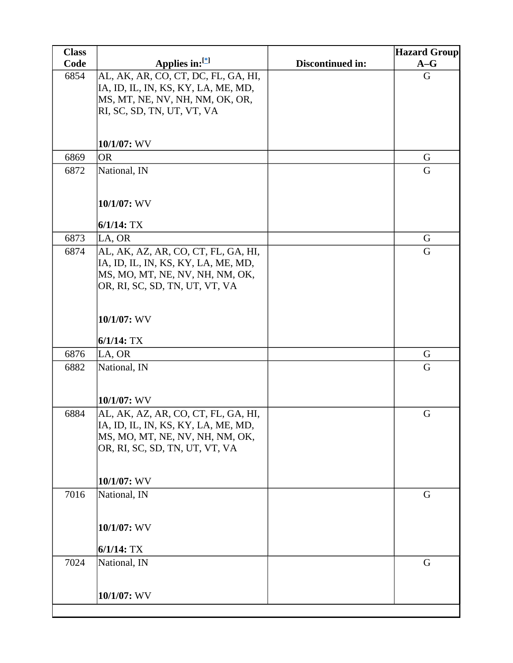| <b>Class</b> |                                                                        |                  | <b>Hazard Group</b> |
|--------------|------------------------------------------------------------------------|------------------|---------------------|
| Code         | Applies in: $[$                                                        | Discontinued in: | $A-G$               |
| 6854         | AL, AK, AR, CO, CT, DC, FL, GA, HI,                                    |                  | G                   |
|              | IA, ID, IL, IN, KS, KY, LA, ME, MD,                                    |                  |                     |
|              | MS, MT, NE, NV, NH, NM, OK, OR,                                        |                  |                     |
|              | RI, SC, SD, TN, UT, VT, VA                                             |                  |                     |
|              |                                                                        |                  |                     |
|              | 10/1/07: WV                                                            |                  |                     |
| 6869         | <b>OR</b>                                                              |                  | G                   |
| 6872         | National, IN                                                           |                  | G                   |
|              |                                                                        |                  |                     |
|              | $10/1/07$ : WV                                                         |                  |                     |
|              |                                                                        |                  |                     |
|              | $6/1/14$ : TX                                                          |                  |                     |
| 6873         | LA, OR                                                                 |                  | $\mathbf G$         |
| 6874         | AL, AK, AZ, AR, CO, CT, FL, GA, HI,                                    |                  | G                   |
|              | IA, ID, IL, IN, KS, KY, LA, ME, MD,<br>MS, MO, MT, NE, NV, NH, NM, OK, |                  |                     |
|              | OR, RI, SC, SD, TN, UT, VT, VA                                         |                  |                     |
|              |                                                                        |                  |                     |
|              |                                                                        |                  |                     |
|              | 10/1/07: WV                                                            |                  |                     |
|              | $6/1/14$ : TX                                                          |                  |                     |
| 6876         | LA, OR                                                                 |                  | G                   |
| 6882         | National, IN                                                           |                  | G                   |
|              |                                                                        |                  |                     |
|              | 10/1/07: WV                                                            |                  |                     |
| 6884         | AL, AK, AZ, AR, CO, CT, FL, GA, HI,                                    |                  | G                   |
|              | IA, ID, IL, IN, KS, KY, LA, ME, MD,                                    |                  |                     |
|              | MS, MO, MT, NE, NV, NH, NM, OK,                                        |                  |                     |
|              | OR, RI, SC, SD, TN, UT, VT, VA                                         |                  |                     |
|              |                                                                        |                  |                     |
|              |                                                                        |                  |                     |
| 7016         | 10/1/07: WV<br>National, IN                                            |                  | G                   |
|              |                                                                        |                  |                     |
|              |                                                                        |                  |                     |
|              | 10/1/07: WV                                                            |                  |                     |
|              | $6/1/14$ : TX                                                          |                  |                     |
| 7024         | National, IN                                                           |                  | G                   |
|              |                                                                        |                  |                     |
|              |                                                                        |                  |                     |
|              | 10/1/07: WV                                                            |                  |                     |
|              |                                                                        |                  |                     |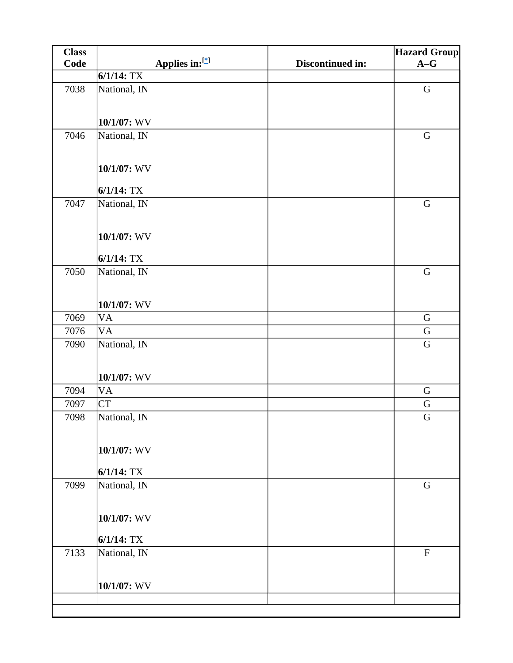| <b>Class</b> |                                 |                  | <b>Hazard Group</b> |
|--------------|---------------------------------|------------------|---------------------|
| Code         | Applies in:[*]                  | Discontinued in: | $A-G$               |
|              | $6/1/14$ : TX                   |                  |                     |
| 7038         | National, IN                    |                  | ${\bf G}$           |
|              | $10/1/07$ : WV                  |                  |                     |
| 7046         | National, IN                    |                  | $\mathbf G$         |
|              | 10/1/07: WV                     |                  |                     |
|              | $6/1/14$ : TX                   |                  |                     |
| 7047         | National, IN                    |                  | $\mathbf G$         |
|              | $10/1/07$ : WV<br>$6/1/14$ : TX |                  |                     |
| 7050         |                                 |                  | ${\bf G}$           |
|              | National, IN<br>10/1/07: WV     |                  |                     |
| 7069         | <b>VA</b>                       |                  | $\mathbf G$         |
| 7076         | VA                              |                  | $\mathbf G$         |
| 7090         | National, IN                    |                  | $\mathbf G$         |
|              | $10/1/07$ : WV                  |                  |                     |
| 7094         | <b>VA</b>                       |                  | $\mathbf G$         |
| 7097         | <b>CT</b>                       |                  | ${\bf G}$           |
| 7098         | National, IN                    |                  | G                   |
|              | 10/1/07: WV<br>$6/1/14$ : TX    |                  |                     |
| 7099         | National, IN                    |                  | $\mathbf G$         |
|              |                                 |                  |                     |
|              | 10/1/07: WV<br>$6/1/14$ : TX    |                  |                     |
| 7133         | National, IN                    |                  | $\mathbf F$         |
|              |                                 |                  |                     |
|              | $10/1/07$ : WV                  |                  |                     |
|              |                                 |                  |                     |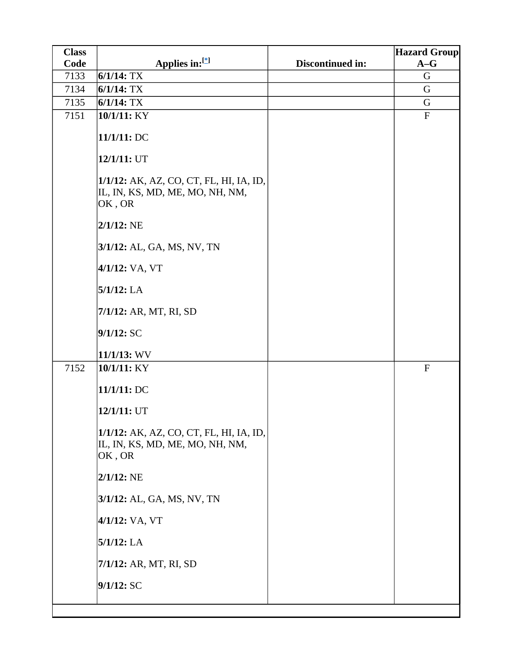| <b>Class</b> |                                                                                      |                  | <b>Hazard Group</b>       |
|--------------|--------------------------------------------------------------------------------------|------------------|---------------------------|
| Code         | Applies in:[*]                                                                       | Discontinued in: | $A-G$                     |
| 7133         | $6/1/14$ : TX                                                                        |                  | G                         |
| 7134         | $6/1/14$ : TX                                                                        |                  | G                         |
| 7135         | $6/1/14$ : TX                                                                        |                  | G                         |
| 7151         | 10/1/11: KY                                                                          |                  | $\boldsymbol{\mathrm{F}}$ |
|              | 11/1/11: DC                                                                          |                  |                           |
|              | 12/1/11: UT                                                                          |                  |                           |
|              | 1/1/12: AK, AZ, CO, CT, FL, HI, IA, ID,<br>IL, IN, KS, MD, ME, MO, NH, NM,<br>OK, OR |                  |                           |
|              | $2/1/12$ : NE                                                                        |                  |                           |
|              | 3/1/12: AL, GA, MS, NV, TN                                                           |                  |                           |
|              | 4/1/12: VA, VT                                                                       |                  |                           |
|              | $5/1/12$ : LA                                                                        |                  |                           |
|              | 7/1/12: AR, MT, RI, SD                                                               |                  |                           |
|              | 9/1/12:SC                                                                            |                  |                           |
|              | 11/1/13: WV                                                                          |                  |                           |
| 7152         | 10/1/11: KY                                                                          |                  | ${\bf F}$                 |
|              | 11/1/11: DC                                                                          |                  |                           |
|              | 12/1/11: UT                                                                          |                  |                           |
|              | 1/1/12: AK, AZ, CO, CT, FL, HI, IA, ID,<br>IL, IN, KS, MD, ME, MO, NH, NM,<br>OK, OR |                  |                           |
|              | $2/1/12$ : NE                                                                        |                  |                           |
|              | 3/1/12: AL, GA, MS, NV, TN                                                           |                  |                           |
|              | 4/1/12: VA, VT                                                                       |                  |                           |
|              | $5/1/12$ : LA                                                                        |                  |                           |
|              | 7/1/12: AR, MT, RI, SD                                                               |                  |                           |
|              | 9/1/12:SC                                                                            |                  |                           |
|              |                                                                                      |                  |                           |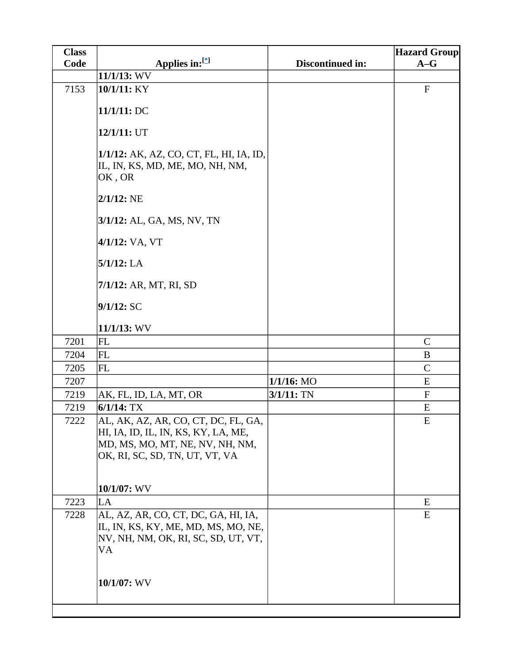| Code<br>Discontinued in:<br>$A-G$<br>11/1/13: WV<br>$\boldsymbol{\mathrm{F}}$<br>7153<br>10/1/11: KY<br>11/1/11: DC<br>$12/1/11:$ UT<br>1/1/12: AK, AZ, CO, CT, FL, HI, IA, ID,<br>IL, IN, KS, MD, ME, MO, NH, NM,<br>OK, OR<br>$2/1/12$ : NE<br>3/1/12: AL, GA, MS, NV, TN<br>4/1/12: VA, VT<br>$5/1/12$ : LA<br>7/1/12: AR, MT, RI, SD<br>9/1/12:SC<br>11/1/13: WV<br>7201<br>FL<br>$\mathbf C$<br>FL<br>7204<br>B<br>7205<br><b>FL</b><br>$\mathcal{C}$<br>$1/1/16$ : MO<br>E<br>7207<br>$3/1/11:$ TN<br>$\mathbf F$<br>7219<br>AK, FL, ID, LA, MT, OR<br>$6/1/14$ : TX<br>7219<br>E<br>${\bf E}$<br>7222<br>AL, AK, AZ, AR, CO, CT, DC, FL, GA,<br>HI, IA, ID, IL, IN, KS, KY, LA, ME,<br>MD, MS, MO, MT, NE, NV, NH, NM,<br>OK, RI, SC, SD, TN, UT, VT, VA<br>10/1/07: WV<br>7223<br>E<br>LA<br>AL, AZ, AR, CO, CT, DC, GA, HI, IA,<br>E<br>7228<br>IL, IN, KS, KY, ME, MD, MS, MO, NE,<br>NV, NH, NM, OK, RI, SC, SD, UT, VT, | <b>Class</b> |                | <b>Hazard Group</b> |
|-------------------------------------------------------------------------------------------------------------------------------------------------------------------------------------------------------------------------------------------------------------------------------------------------------------------------------------------------------------------------------------------------------------------------------------------------------------------------------------------------------------------------------------------------------------------------------------------------------------------------------------------------------------------------------------------------------------------------------------------------------------------------------------------------------------------------------------------------------------------------------------------------------------------------------------|--------------|----------------|---------------------|
|                                                                                                                                                                                                                                                                                                                                                                                                                                                                                                                                                                                                                                                                                                                                                                                                                                                                                                                                     |              | Applies in:[*] |                     |
|                                                                                                                                                                                                                                                                                                                                                                                                                                                                                                                                                                                                                                                                                                                                                                                                                                                                                                                                     |              |                |                     |
|                                                                                                                                                                                                                                                                                                                                                                                                                                                                                                                                                                                                                                                                                                                                                                                                                                                                                                                                     |              |                |                     |
|                                                                                                                                                                                                                                                                                                                                                                                                                                                                                                                                                                                                                                                                                                                                                                                                                                                                                                                                     |              |                |                     |
|                                                                                                                                                                                                                                                                                                                                                                                                                                                                                                                                                                                                                                                                                                                                                                                                                                                                                                                                     |              |                |                     |
|                                                                                                                                                                                                                                                                                                                                                                                                                                                                                                                                                                                                                                                                                                                                                                                                                                                                                                                                     |              |                |                     |
|                                                                                                                                                                                                                                                                                                                                                                                                                                                                                                                                                                                                                                                                                                                                                                                                                                                                                                                                     |              |                |                     |
|                                                                                                                                                                                                                                                                                                                                                                                                                                                                                                                                                                                                                                                                                                                                                                                                                                                                                                                                     |              |                |                     |
|                                                                                                                                                                                                                                                                                                                                                                                                                                                                                                                                                                                                                                                                                                                                                                                                                                                                                                                                     |              |                |                     |
|                                                                                                                                                                                                                                                                                                                                                                                                                                                                                                                                                                                                                                                                                                                                                                                                                                                                                                                                     |              |                |                     |
|                                                                                                                                                                                                                                                                                                                                                                                                                                                                                                                                                                                                                                                                                                                                                                                                                                                                                                                                     |              |                |                     |
|                                                                                                                                                                                                                                                                                                                                                                                                                                                                                                                                                                                                                                                                                                                                                                                                                                                                                                                                     |              |                |                     |
|                                                                                                                                                                                                                                                                                                                                                                                                                                                                                                                                                                                                                                                                                                                                                                                                                                                                                                                                     |              |                |                     |
|                                                                                                                                                                                                                                                                                                                                                                                                                                                                                                                                                                                                                                                                                                                                                                                                                                                                                                                                     |              |                |                     |
|                                                                                                                                                                                                                                                                                                                                                                                                                                                                                                                                                                                                                                                                                                                                                                                                                                                                                                                                     |              |                |                     |
|                                                                                                                                                                                                                                                                                                                                                                                                                                                                                                                                                                                                                                                                                                                                                                                                                                                                                                                                     |              |                |                     |
|                                                                                                                                                                                                                                                                                                                                                                                                                                                                                                                                                                                                                                                                                                                                                                                                                                                                                                                                     |              |                |                     |
|                                                                                                                                                                                                                                                                                                                                                                                                                                                                                                                                                                                                                                                                                                                                                                                                                                                                                                                                     |              |                |                     |
|                                                                                                                                                                                                                                                                                                                                                                                                                                                                                                                                                                                                                                                                                                                                                                                                                                                                                                                                     |              |                |                     |
|                                                                                                                                                                                                                                                                                                                                                                                                                                                                                                                                                                                                                                                                                                                                                                                                                                                                                                                                     |              |                |                     |
|                                                                                                                                                                                                                                                                                                                                                                                                                                                                                                                                                                                                                                                                                                                                                                                                                                                                                                                                     |              |                |                     |
|                                                                                                                                                                                                                                                                                                                                                                                                                                                                                                                                                                                                                                                                                                                                                                                                                                                                                                                                     |              |                |                     |
|                                                                                                                                                                                                                                                                                                                                                                                                                                                                                                                                                                                                                                                                                                                                                                                                                                                                                                                                     |              |                |                     |
|                                                                                                                                                                                                                                                                                                                                                                                                                                                                                                                                                                                                                                                                                                                                                                                                                                                                                                                                     |              |                |                     |
|                                                                                                                                                                                                                                                                                                                                                                                                                                                                                                                                                                                                                                                                                                                                                                                                                                                                                                                                     |              |                |                     |
|                                                                                                                                                                                                                                                                                                                                                                                                                                                                                                                                                                                                                                                                                                                                                                                                                                                                                                                                     |              |                |                     |
|                                                                                                                                                                                                                                                                                                                                                                                                                                                                                                                                                                                                                                                                                                                                                                                                                                                                                                                                     |              |                |                     |
|                                                                                                                                                                                                                                                                                                                                                                                                                                                                                                                                                                                                                                                                                                                                                                                                                                                                                                                                     |              |                |                     |
|                                                                                                                                                                                                                                                                                                                                                                                                                                                                                                                                                                                                                                                                                                                                                                                                                                                                                                                                     |              | VA             |                     |
|                                                                                                                                                                                                                                                                                                                                                                                                                                                                                                                                                                                                                                                                                                                                                                                                                                                                                                                                     |              |                |                     |
| 10/1/07: WV                                                                                                                                                                                                                                                                                                                                                                                                                                                                                                                                                                                                                                                                                                                                                                                                                                                                                                                         |              |                |                     |
|                                                                                                                                                                                                                                                                                                                                                                                                                                                                                                                                                                                                                                                                                                                                                                                                                                                                                                                                     |              |                |                     |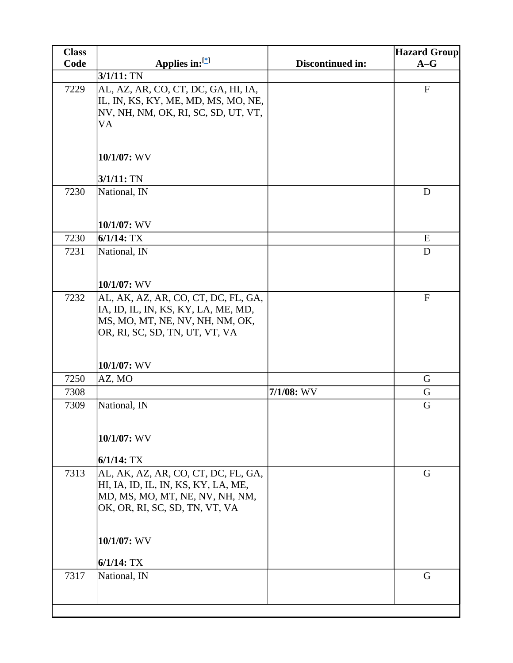| <b>Class</b> |                                                                                                                                                                |                  | <b>Hazard Group</b> |
|--------------|----------------------------------------------------------------------------------------------------------------------------------------------------------------|------------------|---------------------|
| Code         | Applies in:[*]                                                                                                                                                 | Discontinued in: | $A-G$               |
|              | $3/1/11:$ TN                                                                                                                                                   |                  |                     |
| 7229         | AL, AZ, AR, CO, CT, DC, GA, HI, IA,<br>IL, IN, KS, KY, ME, MD, MS, MO, NE,<br>NV, NH, NM, OK, RI, SC, SD, UT, VT,<br>VA                                        |                  | ${\bf F}$           |
|              | $10/1/07$ : WV                                                                                                                                                 |                  |                     |
|              | $3/1/11:$ TN                                                                                                                                                   |                  |                     |
| 7230         | National, IN                                                                                                                                                   |                  | D                   |
|              | 10/1/07: WV                                                                                                                                                    |                  |                     |
| 7230         | $6/1/14$ : TX                                                                                                                                                  |                  | ${\bf E}$           |
| 7231         | National, IN<br>10/1/07: WV                                                                                                                                    |                  | D                   |
| 7232         | AL, AK, AZ, AR, CO, CT, DC, FL, GA,<br>IA, ID, IL, IN, KS, KY, LA, ME, MD,<br>MS, MO, MT, NE, NV, NH, NM, OK,<br>OR, RI, SC, SD, TN, UT, VT, VA<br>10/1/07: WV |                  | $\mathbf{F}$        |
| 7250         | AZ, MO                                                                                                                                                         |                  | G                   |
| 7308         |                                                                                                                                                                | $7/1/08$ : WV    | G                   |
| 7309         | National, IN                                                                                                                                                   |                  | G                   |
|              | $10/1/07$ : WV                                                                                                                                                 |                  |                     |
|              | $6/1/14$ : TX                                                                                                                                                  |                  |                     |
| 7313         | AL, AK, AZ, AR, CO, CT, DC, FL, GA,<br>HI, IA, ID, IL, IN, KS, KY, LA, ME,<br>MD, MS, MO, MT, NE, NV, NH, NM,<br>OK, OR, RI, SC, SD, TN, VT, VA                |                  | G                   |
|              | 10/1/07: WV<br>$6/1/14$ : TX                                                                                                                                   |                  |                     |
| 7317         | National, IN                                                                                                                                                   |                  | G                   |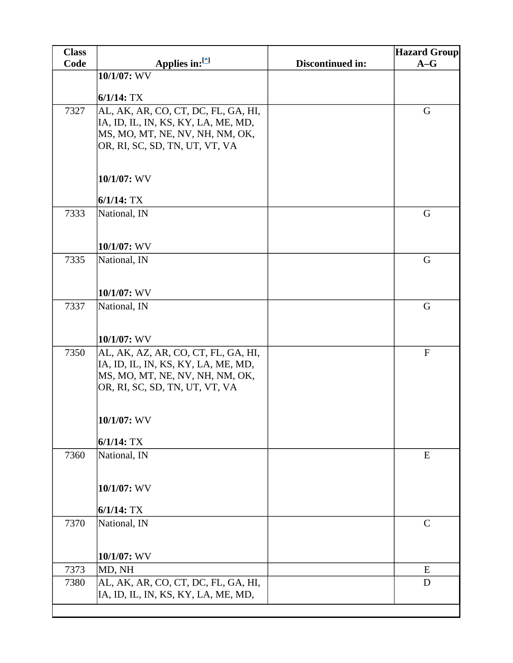| Applies in:[*]<br>Code<br>Discontinued in:<br>$A-G$<br>10/1/07: WV |  |
|--------------------------------------------------------------------|--|
|                                                                    |  |
|                                                                    |  |
| $6/1/14$ : TX                                                      |  |
| AL, AK, AR, CO, CT, DC, FL, GA, HI,<br>G<br>7327                   |  |
| IA, ID, IL, IN, KS, KY, LA, ME, MD,                                |  |
| MS, MO, MT, NE, NV, NH, NM, OK,                                    |  |
| OR, RI, SC, SD, TN, UT, VT, VA                                     |  |
| 10/1/07: WV                                                        |  |
| $6/1/14$ : TX                                                      |  |
| 7333<br>National, IN<br>G                                          |  |
|                                                                    |  |
| 10/1/07: WV                                                        |  |
| 7335<br>National, IN<br>G                                          |  |
|                                                                    |  |
| 10/1/07: WV                                                        |  |
| 7337<br>G<br>National, IN                                          |  |
|                                                                    |  |
| $10/1/07$ : WV                                                     |  |
| AL, AK, AZ, AR, CO, CT, FL, GA, HI,<br>7350<br>${\bf F}$           |  |
| IA, ID, IL, IN, KS, KY, LA, ME, MD,                                |  |
| MS, MO, MT, NE, NV, NH, NM, OK,<br>OR, RI, SC, SD, TN, UT, VT, VA  |  |
|                                                                    |  |
|                                                                    |  |
| 10/1/07: WV                                                        |  |
| $6/1/14$ : TX                                                      |  |
| 7360<br>National, IN<br>${\bf E}$                                  |  |
|                                                                    |  |
| 10/1/07: WV                                                        |  |
| $6/1/14$ : TX                                                      |  |
| 7370<br>National, IN<br>$\mathsf{C}$                               |  |
|                                                                    |  |
|                                                                    |  |
| 10/1/07: WV                                                        |  |
| 7373<br>MD, NH<br>E<br>AL, AK, AR, CO, CT, DC, FL, GA, HI,<br>D    |  |
| 7380<br>IA, ID, IL, IN, KS, KY, LA, ME, MD,                        |  |
|                                                                    |  |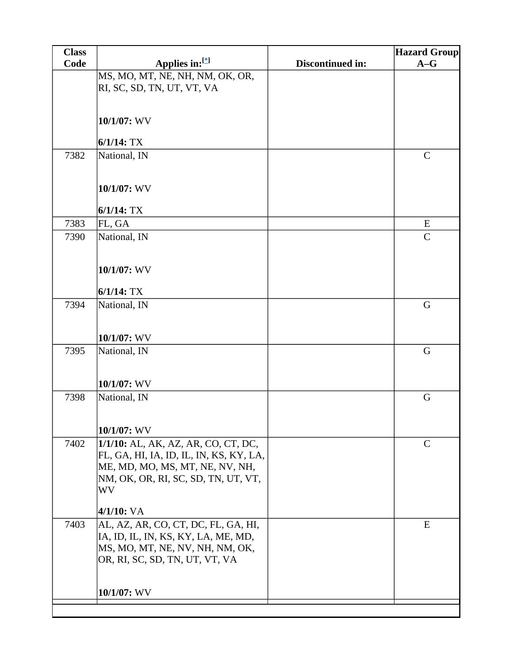| <b>Class</b> |                                                  |                         | <b>Hazard Group</b> |
|--------------|--------------------------------------------------|-------------------------|---------------------|
| Code         | Applies in: $[$                                  | <b>Discontinued in:</b> | $A-G$               |
|              | MS, MO, MT, NE, NH, NM, OK, OR,                  |                         |                     |
|              | RI, SC, SD, TN, UT, VT, VA                       |                         |                     |
|              |                                                  |                         |                     |
|              | 10/1/07: WV                                      |                         |                     |
|              |                                                  |                         |                     |
|              | $6/1/14$ : TX                                    |                         |                     |
| 7382         | National, IN                                     |                         | $\mathbf C$         |
|              |                                                  |                         |                     |
|              | 10/1/07: WV                                      |                         |                     |
|              |                                                  |                         |                     |
|              | $6/1/14$ : TX                                    |                         |                     |
| 7383         | FL, GA                                           |                         | E                   |
| 7390         | National, IN                                     |                         | $\mathbf C$         |
|              |                                                  |                         |                     |
|              | 10/1/07: WV                                      |                         |                     |
|              |                                                  |                         |                     |
|              | $6/1/14$ : TX                                    |                         |                     |
| 7394         | National, IN                                     |                         | $\mathbf G$         |
|              |                                                  |                         |                     |
|              | 10/1/07: WV                                      |                         |                     |
| 7395         | National, IN                                     |                         | $\mathbf G$         |
|              |                                                  |                         |                     |
|              |                                                  |                         |                     |
|              | 10/1/07: WV                                      |                         |                     |
| 7398         | National, IN                                     |                         | G                   |
|              |                                                  |                         |                     |
|              | $10/1/07$ : WV                                   |                         |                     |
| 7402         | 1/1/10: AL, AK, AZ, AR, CO, CT, DC,              |                         | $\mathsf{C}$        |
|              | FL, GA, HI, IA, ID, IL, IN, KS, KY, LA,          |                         |                     |
|              | ME, MD, MO, MS, MT, NE, NV, NH,                  |                         |                     |
|              | NM, OK, OR, RI, SC, SD, TN, UT, VT,<br><b>WV</b> |                         |                     |
|              |                                                  |                         |                     |
|              | $4/1/10$ : VA                                    |                         |                     |
| 7403         | AL, AZ, AR, CO, CT, DC, FL, GA, HI,              |                         | ${\bf E}$           |
|              | IA, ID, IL, IN, KS, KY, LA, ME, MD,              |                         |                     |
|              | MS, MO, MT, NE, NV, NH, NM, OK,                  |                         |                     |
|              | OR, RI, SC, SD, TN, UT, VT, VA                   |                         |                     |
|              |                                                  |                         |                     |
|              | 10/1/07: WV                                      |                         |                     |
|              |                                                  |                         |                     |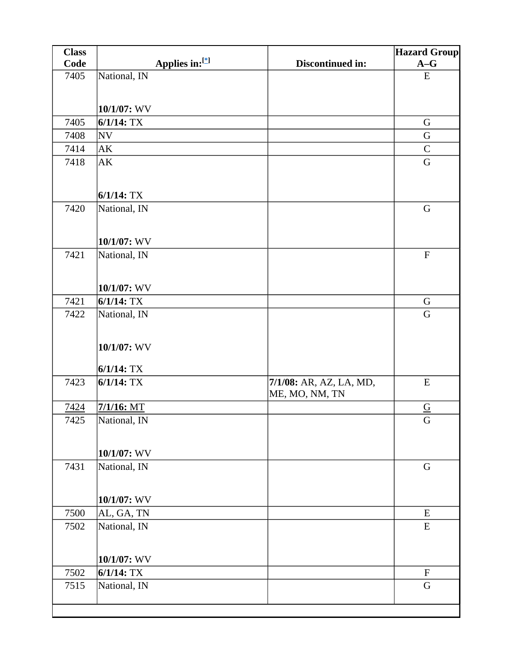| <b>Class</b> |                               |                         | <b>Hazard Group</b>              |
|--------------|-------------------------------|-------------------------|----------------------------------|
| Code         | Applies in:[*]                | Discontinued in:        | $A-G$                            |
| 7405         | National, IN                  |                         | ${\bf E}$                        |
|              |                               |                         |                                  |
|              | 10/1/07: WV                   |                         |                                  |
| 7405         | $6/1/14$ : TX                 |                         | G                                |
| 7408         | NV                            |                         | G                                |
| 7414         | AK                            |                         | $\mathcal{C}$                    |
| 7418         | AK                            |                         | $\mathbf G$                      |
|              |                               |                         |                                  |
|              | $6/1/14$ : TX                 |                         |                                  |
| 7420         | National, IN                  |                         | $\mathbf G$                      |
|              |                               |                         |                                  |
|              | 10/1/07: WV                   |                         |                                  |
| 7421         | National, IN                  |                         | $\boldsymbol{\mathrm{F}}$        |
|              |                               |                         |                                  |
|              |                               |                         |                                  |
|              | 10/1/07: WV                   |                         |                                  |
| 7421         | $6/1/14$ : TX                 |                         | G                                |
| 7422         | National, IN                  |                         | $\mathbf G$                      |
|              |                               |                         |                                  |
|              | 10/1/07: WV                   |                         |                                  |
|              |                               |                         |                                  |
|              | $6/1/14$ : TX                 |                         |                                  |
| 7423         | $6/1/14$ : TX                 | 7/1/08: AR, AZ, LA, MD, | E                                |
|              |                               | ME, MO, NM, TN          |                                  |
| 7424<br>7425 | $7/1/16$ : MT<br>National, IN |                         | $\underline{\underline{G}}$<br>G |
|              |                               |                         |                                  |
|              |                               |                         |                                  |
|              | $10/1/07$ : WV                |                         |                                  |
| 7431         | National, IN                  |                         | $\mathbf G$                      |
|              |                               |                         |                                  |
|              | 10/1/07: WV                   |                         |                                  |
| 7500         | AL, GA, TN                    |                         | ${\bf E}$                        |
| 7502         | National, IN                  |                         | ${\bf E}$                        |
|              |                               |                         |                                  |
|              | 10/1/07: WV                   |                         |                                  |
| 7502         | $6/1/14$ : TX                 |                         | ${\bf F}$                        |
| 7515         | National, IN                  |                         | G                                |
|              |                               |                         |                                  |
|              |                               |                         |                                  |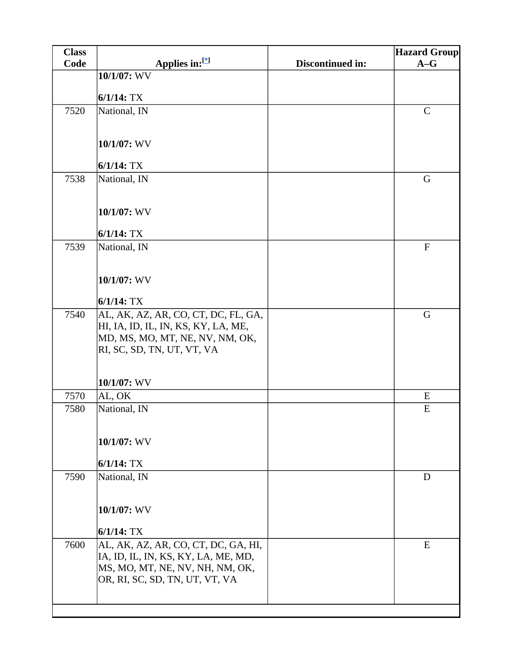| <b>Class</b> |                                     |                         | <b>Hazard Group</b> |
|--------------|-------------------------------------|-------------------------|---------------------|
| Code         | Applies in:[*]                      | <b>Discontinued in:</b> | $A-G$               |
|              | 10/1/07: WV                         |                         |                     |
|              | $6/1/14$ : TX                       |                         |                     |
| 7520         | National, IN                        |                         | $\mathsf{C}$        |
|              |                                     |                         |                     |
|              |                                     |                         |                     |
|              | 10/1/07: WV                         |                         |                     |
|              | $6/1/14$ : TX                       |                         |                     |
| 7538         | National, IN                        |                         | G                   |
|              |                                     |                         |                     |
|              |                                     |                         |                     |
|              | 10/1/07: WV                         |                         |                     |
|              | $6/1/14$ : TX                       |                         |                     |
| 7539         | National, IN                        |                         | ${\bf F}$           |
|              |                                     |                         |                     |
|              |                                     |                         |                     |
|              | 10/1/07: WV                         |                         |                     |
|              | $6/1/14$ : TX                       |                         |                     |
| 7540         | AL, AK, AZ, AR, CO, CT, DC, FL, GA, |                         | G                   |
|              | HI, IA, ID, IL, IN, KS, KY, LA, ME, |                         |                     |
|              | MD, MS, MO, MT, NE, NV, NM, OK,     |                         |                     |
|              | RI, SC, SD, TN, UT, VT, VA          |                         |                     |
|              |                                     |                         |                     |
|              | 10/1/07: WV                         |                         |                     |
| 7570         | AL, OK                              |                         | E                   |
| 7580         | National, IN                        |                         | ${\bf E}$           |
|              |                                     |                         |                     |
|              | 10/1/07: WV                         |                         |                     |
|              |                                     |                         |                     |
|              | $6/1/14$ : TX                       |                         |                     |
| 7590         | National, IN                        |                         | D                   |
|              |                                     |                         |                     |
|              | 10/1/07: WV                         |                         |                     |
|              | $6/1/14$ : TX                       |                         |                     |
| 7600         | AL, AK, AZ, AR, CO, CT, DC, GA, HI, |                         | ${\bf E}$           |
|              | IA, ID, IL, IN, KS, KY, LA, ME, MD, |                         |                     |
|              | MS, MO, MT, NE, NV, NH, NM, OK,     |                         |                     |
|              | OR, RI, SC, SD, TN, UT, VT, VA      |                         |                     |
|              |                                     |                         |                     |
|              |                                     |                         |                     |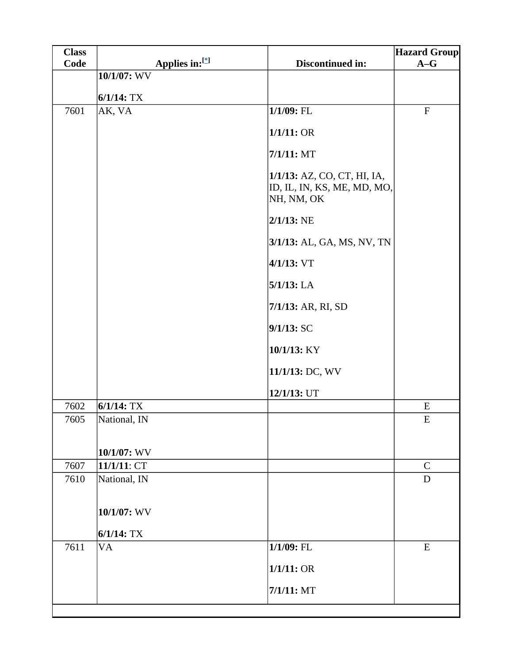| <b>Class</b> |                |                                                                          | <b>Hazard Group</b> |
|--------------|----------------|--------------------------------------------------------------------------|---------------------|
| Code         | Applies in:[*] | Discontinued in:                                                         | $A-G$               |
|              | 10/1/07: WV    |                                                                          |                     |
|              | $6/1/14$ : TX  |                                                                          |                     |
| 7601         | AK, VA         | 1/1/09: FL                                                               | ${\bf F}$           |
|              |                | 1/1/11:OR                                                                |                     |
|              |                | $7/1/11$ : MT                                                            |                     |
|              |                | 1/1/13: AZ, CO, CT, HI, IA,<br>ID, IL, IN, KS, ME, MD, MO,<br>NH, NM, OK |                     |
|              |                | $2/1/13$ : NE                                                            |                     |
|              |                | 3/1/13: AL, GA, MS, NV, TN                                               |                     |
|              |                | $4/1/13$ : VT                                                            |                     |
|              |                | $5/1/13$ : LA                                                            |                     |
|              |                | 7/1/13: AR, RI, SD                                                       |                     |
|              |                | 9/1/13:SC                                                                |                     |
|              |                | 10/1/13: KY                                                              |                     |
|              |                | 11/1/13: DC, WV                                                          |                     |
|              |                | 12/1/13: UT                                                              |                     |
| 7602         | $6/1/14$ : TX  |                                                                          | ${\bf E}$           |
| 7605         | National, IN   |                                                                          | ${\bf E}$           |
|              |                |                                                                          |                     |
|              | $10/1/07$ : WV |                                                                          |                     |
| 7607         | 11/1/11: CT    |                                                                          | $\mathbf C$         |
| 7610         | National, IN   |                                                                          | $\mathbf D$         |
|              | 10/1/07: WV    |                                                                          |                     |
|              | $6/1/14$ : TX  |                                                                          |                     |
| 7611         | <b>VA</b>      | $1/1/09$ : FL                                                            | ${\bf E}$           |
|              |                | 1/1/11:OR                                                                |                     |
|              |                | $7/1/11$ : MT                                                            |                     |
|              |                |                                                                          |                     |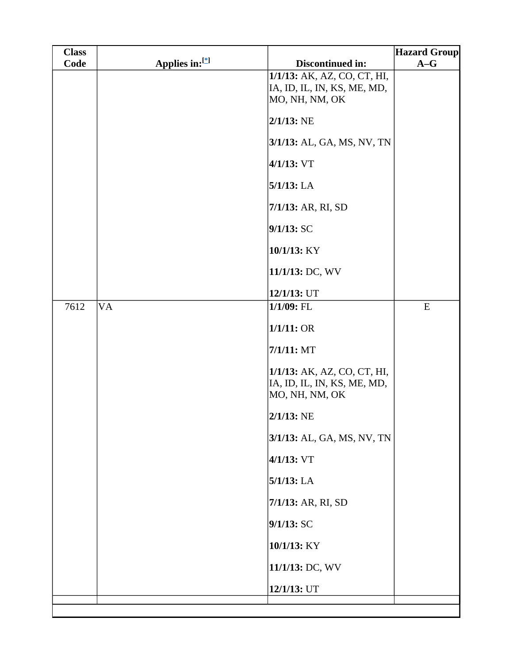| <b>Class</b> |                |                                                                              | <b>Hazard Group</b> |
|--------------|----------------|------------------------------------------------------------------------------|---------------------|
| Code         | Applies in:[*] | Discontinued in:                                                             | $A-G$               |
|              |                | 1/1/13: AK, AZ, CO, CT, HI,<br>IA, ID, IL, IN, KS, ME, MD,<br>MO, NH, NM, OK |                     |
|              |                | $2/1/13$ : NE                                                                |                     |
|              |                | 3/1/13: AL, GA, MS, NV, TN                                                   |                     |
|              |                | $4/1/13$ : VT                                                                |                     |
|              |                | $5/1/13$ : LA                                                                |                     |
|              |                | 7/1/13: AR, RI, SD                                                           |                     |
|              |                | 9/1/13: SC                                                                   |                     |
|              |                | 10/1/13: KY                                                                  |                     |
|              |                | 11/1/13: DC, WV                                                              |                     |
|              |                | 12/1/13: UT                                                                  |                     |
| 7612         | <b>VA</b>      | $1/1/09$ : FL                                                                | ${\bf E}$           |
|              |                | 1/1/11:OR                                                                    |                     |
|              |                | $7/1/11$ : MT                                                                |                     |
|              |                | 1/1/13: AK, AZ, CO, CT, HI,<br>IA, ID, IL, IN, KS, ME, MD,<br>MO, NH, NM, OK |                     |
|              |                | $2/1/13$ : NE                                                                |                     |
|              |                | 3/1/13: AL, GA, MS, NV, TN                                                   |                     |
|              |                | $4/1/13$ : VT                                                                |                     |
|              |                | $5/1/13$ : LA                                                                |                     |
|              |                | 7/1/13: AR, RI, SD                                                           |                     |
|              |                | 9/1/13: SC                                                                   |                     |
|              |                | 10/1/13: KY                                                                  |                     |
|              |                | 11/1/13: DC, WV                                                              |                     |
|              |                | 12/1/13: UT                                                                  |                     |
|              |                |                                                                              |                     |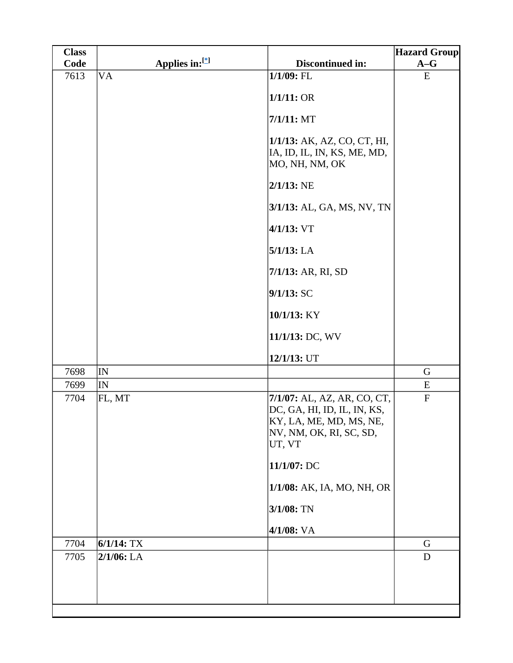| <b>Class</b> |                |                                                                                                                            | <b>Hazard Group</b> |
|--------------|----------------|----------------------------------------------------------------------------------------------------------------------------|---------------------|
| Code         | Applies in:[*] | Discontinued in:                                                                                                           | $A-G$               |
| 7613         | <b>VA</b>      | 1/1/09: FL                                                                                                                 | ${\bf E}$           |
|              |                | 1/1/11:OR                                                                                                                  |                     |
|              |                | $7/1/11$ : MT                                                                                                              |                     |
|              |                | 1/1/13: AK, AZ, CO, CT, HI,<br>IA, ID, IL, IN, KS, ME, MD,<br>MO, NH, NM, OK                                               |                     |
|              |                | $2/1/13$ : NE                                                                                                              |                     |
|              |                | 3/1/13: AL, GA, MS, NV, TN                                                                                                 |                     |
|              |                | $4/1/13$ : VT                                                                                                              |                     |
|              |                | $5/1/13$ : LA                                                                                                              |                     |
|              |                | 7/1/13: AR, RI, SD                                                                                                         |                     |
|              |                | 9/1/13: SC                                                                                                                 |                     |
|              |                | 10/1/13: KY                                                                                                                |                     |
|              |                | 11/1/13: DC, WV                                                                                                            |                     |
|              |                | 12/1/13: UT                                                                                                                |                     |
| 7698         | IN             |                                                                                                                            | G                   |
| 7699         | IN             |                                                                                                                            | E                   |
| 7704         | FL, MT         | 7/1/07: AL, AZ, AR, CO, CT,<br>DC, GA, HI, ID, IL, IN, KS,<br>KY, LA, ME, MD, MS, NE,<br>NV, NM, OK, RI, SC, SD,<br>UT, VT | ${\bf F}$           |
|              |                | 11/1/07: DC                                                                                                                |                     |
|              |                | 1/1/08: AK, IA, MO, NH, OR                                                                                                 |                     |
|              |                | 3/1/08: TN                                                                                                                 |                     |
|              |                | 4/1/08: VA                                                                                                                 |                     |
| 7704         | $6/1/14$ : TX  |                                                                                                                            | G                   |
| 7705         | $2/1/06$ : LA  |                                                                                                                            | $\mathbf D$         |
|              |                |                                                                                                                            |                     |
|              |                |                                                                                                                            |                     |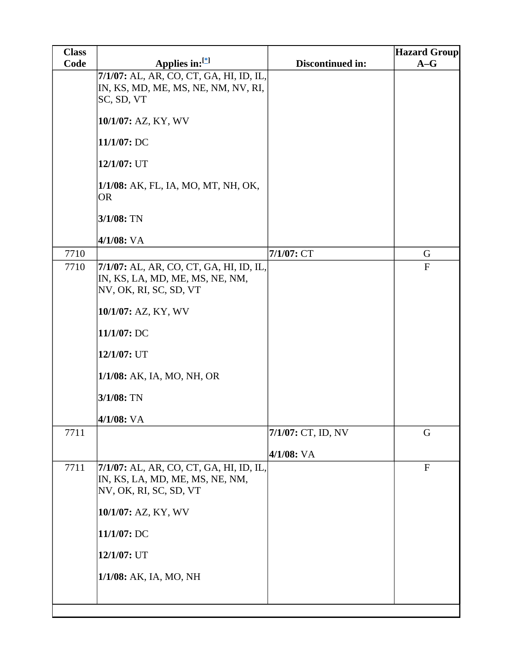| <b>Class</b> |                                                                                                                                                                                                                        |                                  | <b>Hazard Group</b> |
|--------------|------------------------------------------------------------------------------------------------------------------------------------------------------------------------------------------------------------------------|----------------------------------|---------------------|
| Code         | Applies in:[*]                                                                                                                                                                                                         | Discontinued in:                 | $A-G$               |
|              | 7/1/07: AL, AR, CO, CT, GA, HI, ID, IL,<br>IN, KS, MD, ME, MS, NE, NM, NV, RI,<br>SC, SD, VT<br>10/1/07: AZ, KY, WV<br>$11/1/07$ : DC<br>12/1/07: UT<br>1/1/08: AK, FL, IA, MO, MT, NH, OK,<br><b>OR</b><br>3/1/08: TN |                                  |                     |
| 7710         | $4/1/08$ : VA                                                                                                                                                                                                          | 7/1/07: CT                       | G                   |
| 7710         | 7/1/07: AL, AR, CO, CT, GA, HI, ID, IL,<br>IN, KS, LA, MD, ME, MS, NE, NM,<br>NV, OK, RI, SC, SD, VT<br>10/1/07: AZ, KY, WV<br>11/1/07: DC<br>12/1/07: UT<br>1/1/08: AK, IA, MO, NH, OR<br>$3/1/08$ : TN<br>4/1/08: VA |                                  | $\mathbf{F}$        |
| 7711         |                                                                                                                                                                                                                        | 7/1/07: CT, ID, NV<br>4/1/08: VA | G                   |
| 7711         | 7/1/07: AL, AR, CO, CT, GA, HI, ID, IL,<br>IN, KS, LA, MD, ME, MS, NE, NM,<br>NV, OK, RI, SC, SD, VT<br>10/1/07: AZ, KY, WV<br>$11/1/07$ : DC<br>12/1/07: UT<br>1/1/08: AK, IA, MO, NH                                 |                                  | $\mathbf{F}$        |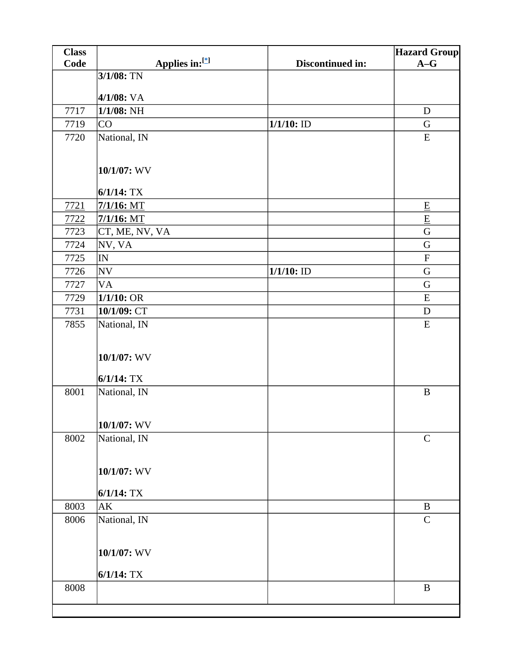| Code<br>$A-G$<br>Discontinued in:<br>3/1/08: TN<br>4/1/08: VA<br>$1/1/08$ : NH<br>7717<br>$\mathbf D$<br>$1/1/10$ : ID<br>7719<br>CO<br>G<br>National, IN<br>7720<br>${\bf E}$<br>10/1/07: WV<br>$6/1/14$ : TX<br>$7/1/16$ : MT<br>7721<br>$\underline{\mathbf{E}}$<br>$\underline{\mathbf{E}}$<br>$7/1/16$ : MT<br>7722<br>${\bf G}$<br>7723<br>CT, ME, NV, VA<br>$\mathbf G$<br>NV, VA<br>7724<br>7725<br>IN<br>$\mathbf F$<br>$1/1/10$ : ID<br>$\mathbf G$<br><b>NV</b><br>7726<br>7727<br><b>VA</b><br>G<br>1/1/10:OR<br>7729<br>${\bf E}$<br>10/1/09: CT<br>$\mathbf D$<br>7731<br>7855<br>National, IN<br>E<br>10/1/07: WV<br>$6/1/14$ : TX<br>8001<br>$\, {\bf B}$<br>National, IN<br>10/1/07: WV<br>8002<br>National, IN<br>$\mathbf C$<br>10/1/07: WV<br>$6/1/14$ : TX<br>8003<br>AK<br>$\bf{B}$<br>National, IN<br>8006<br>$\mathsf{C}$<br>10/1/07: WV<br>$6/1/14$ : TX<br>$8008\,$<br>$\, {\bf B}$ | <b>Class</b> |                | <b>Hazard Group</b> |
|---------------------------------------------------------------------------------------------------------------------------------------------------------------------------------------------------------------------------------------------------------------------------------------------------------------------------------------------------------------------------------------------------------------------------------------------------------------------------------------------------------------------------------------------------------------------------------------------------------------------------------------------------------------------------------------------------------------------------------------------------------------------------------------------------------------------------------------------------------------------------------------------------------------|--------------|----------------|---------------------|
|                                                                                                                                                                                                                                                                                                                                                                                                                                                                                                                                                                                                                                                                                                                                                                                                                                                                                                               |              | Applies in:[*] |                     |
|                                                                                                                                                                                                                                                                                                                                                                                                                                                                                                                                                                                                                                                                                                                                                                                                                                                                                                               |              |                |                     |
|                                                                                                                                                                                                                                                                                                                                                                                                                                                                                                                                                                                                                                                                                                                                                                                                                                                                                                               |              |                |                     |
|                                                                                                                                                                                                                                                                                                                                                                                                                                                                                                                                                                                                                                                                                                                                                                                                                                                                                                               |              |                |                     |
|                                                                                                                                                                                                                                                                                                                                                                                                                                                                                                                                                                                                                                                                                                                                                                                                                                                                                                               |              |                |                     |
|                                                                                                                                                                                                                                                                                                                                                                                                                                                                                                                                                                                                                                                                                                                                                                                                                                                                                                               |              |                |                     |
|                                                                                                                                                                                                                                                                                                                                                                                                                                                                                                                                                                                                                                                                                                                                                                                                                                                                                                               |              |                |                     |
|                                                                                                                                                                                                                                                                                                                                                                                                                                                                                                                                                                                                                                                                                                                                                                                                                                                                                                               |              |                |                     |
|                                                                                                                                                                                                                                                                                                                                                                                                                                                                                                                                                                                                                                                                                                                                                                                                                                                                                                               |              |                |                     |
|                                                                                                                                                                                                                                                                                                                                                                                                                                                                                                                                                                                                                                                                                                                                                                                                                                                                                                               |              |                |                     |
|                                                                                                                                                                                                                                                                                                                                                                                                                                                                                                                                                                                                                                                                                                                                                                                                                                                                                                               |              |                |                     |
|                                                                                                                                                                                                                                                                                                                                                                                                                                                                                                                                                                                                                                                                                                                                                                                                                                                                                                               |              |                |                     |
|                                                                                                                                                                                                                                                                                                                                                                                                                                                                                                                                                                                                                                                                                                                                                                                                                                                                                                               |              |                |                     |
|                                                                                                                                                                                                                                                                                                                                                                                                                                                                                                                                                                                                                                                                                                                                                                                                                                                                                                               |              |                |                     |
|                                                                                                                                                                                                                                                                                                                                                                                                                                                                                                                                                                                                                                                                                                                                                                                                                                                                                                               |              |                |                     |
|                                                                                                                                                                                                                                                                                                                                                                                                                                                                                                                                                                                                                                                                                                                                                                                                                                                                                                               |              |                |                     |
|                                                                                                                                                                                                                                                                                                                                                                                                                                                                                                                                                                                                                                                                                                                                                                                                                                                                                                               |              |                |                     |
|                                                                                                                                                                                                                                                                                                                                                                                                                                                                                                                                                                                                                                                                                                                                                                                                                                                                                                               |              |                |                     |
|                                                                                                                                                                                                                                                                                                                                                                                                                                                                                                                                                                                                                                                                                                                                                                                                                                                                                                               |              |                |                     |
|                                                                                                                                                                                                                                                                                                                                                                                                                                                                                                                                                                                                                                                                                                                                                                                                                                                                                                               |              |                |                     |
|                                                                                                                                                                                                                                                                                                                                                                                                                                                                                                                                                                                                                                                                                                                                                                                                                                                                                                               |              |                |                     |
|                                                                                                                                                                                                                                                                                                                                                                                                                                                                                                                                                                                                                                                                                                                                                                                                                                                                                                               |              |                |                     |
|                                                                                                                                                                                                                                                                                                                                                                                                                                                                                                                                                                                                                                                                                                                                                                                                                                                                                                               |              |                |                     |
|                                                                                                                                                                                                                                                                                                                                                                                                                                                                                                                                                                                                                                                                                                                                                                                                                                                                                                               |              |                |                     |
|                                                                                                                                                                                                                                                                                                                                                                                                                                                                                                                                                                                                                                                                                                                                                                                                                                                                                                               |              |                |                     |
|                                                                                                                                                                                                                                                                                                                                                                                                                                                                                                                                                                                                                                                                                                                                                                                                                                                                                                               |              |                |                     |
|                                                                                                                                                                                                                                                                                                                                                                                                                                                                                                                                                                                                                                                                                                                                                                                                                                                                                                               |              |                |                     |
|                                                                                                                                                                                                                                                                                                                                                                                                                                                                                                                                                                                                                                                                                                                                                                                                                                                                                                               |              |                |                     |
|                                                                                                                                                                                                                                                                                                                                                                                                                                                                                                                                                                                                                                                                                                                                                                                                                                                                                                               |              |                |                     |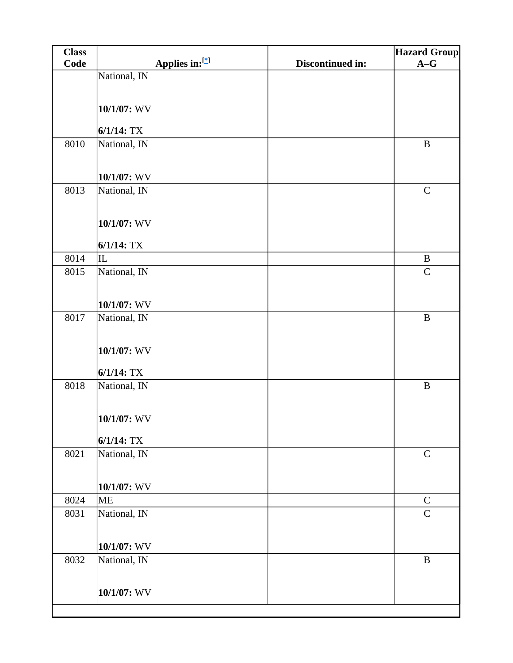| <b>Class</b> |                |                  | <b>Hazard Group</b> |
|--------------|----------------|------------------|---------------------|
| Code         | Applies in:[*] | Discontinued in: | $A-G$               |
|              | National, IN   |                  |                     |
|              |                |                  |                     |
|              | $10/1/07$ : WV |                  |                     |
|              |                |                  |                     |
|              | $6/1/14$ : TX  |                  |                     |
| 8010         | National, IN   |                  | $\, {\bf B}$        |
|              |                |                  |                     |
|              | 10/1/07: WV    |                  |                     |
| 8013         | National, IN   |                  | $\mathbf C$         |
|              |                |                  |                     |
|              |                |                  |                     |
|              | 10/1/07: WV    |                  |                     |
|              | $6/1/14$ : TX  |                  |                     |
| 8014         | IL             |                  | $\, {\bf B}$        |
| 8015         | National, IN   |                  | $\mathbf C$         |
|              |                |                  |                     |
|              | $10/1/07$ : WV |                  |                     |
| 8017         | National, IN   |                  | $\, {\bf B}$        |
|              |                |                  |                     |
|              |                |                  |                     |
|              | 10/1/07: WV    |                  |                     |
|              | $6/1/14$ : TX  |                  |                     |
| 8018         | National, IN   |                  | $\, {\bf B}$        |
|              |                |                  |                     |
|              |                |                  |                     |
|              | $10/1/07$ : WV |                  |                     |
|              | $6/1/14$ : TX  |                  |                     |
| 8021         | National, IN   |                  | $\mathbf C$         |
|              |                |                  |                     |
|              |                |                  |                     |
|              | 10/1/07: WV    |                  |                     |
| 8024         | <b>ME</b>      |                  | $\mathsf C$         |
| 8031         | National, IN   |                  | $\mathbf C$         |
|              |                |                  |                     |
|              | $10/1/07$ : WV |                  |                     |
| 8032         | National, IN   |                  | $\, {\bf B}$        |
|              |                |                  |                     |
|              | 10/1/07: WV    |                  |                     |
|              |                |                  |                     |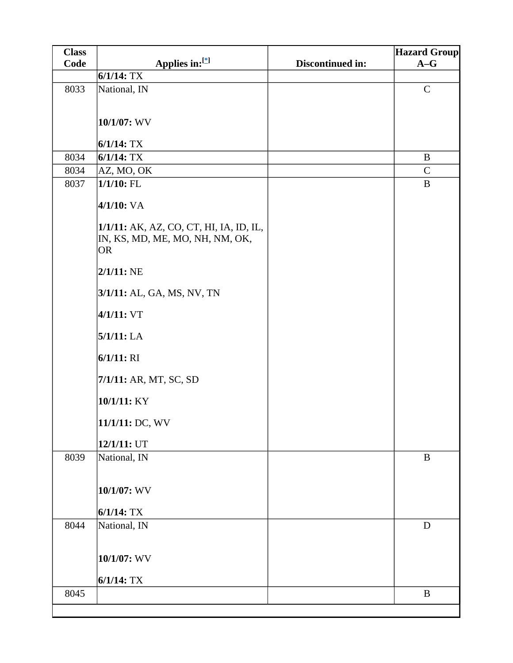| <b>Class</b> |                                         |                  | <b>Hazard Group</b> |
|--------------|-----------------------------------------|------------------|---------------------|
| Code         | Applies in:[*]                          | Discontinued in: | $A-G$               |
|              | $6/1/14$ : TX                           |                  |                     |
| 8033         | National, IN                            |                  | $\mathbf C$         |
|              |                                         |                  |                     |
|              | 10/1/07: WV                             |                  |                     |
|              |                                         |                  |                     |
|              | $6/1/14$ : TX                           |                  |                     |
| 8034         | $6/1/14$ : TX                           |                  | $\bf{B}$            |
| 8034         | AZ, MO, OK                              |                  | $\mathbf C$         |
| 8037         | $1/1/10$ : FL                           |                  | $\bf{B}$            |
|              | $4/1/10$ : VA                           |                  |                     |
|              | 1/1/11: AK, AZ, CO, CT, HI, IA, ID, IL, |                  |                     |
|              | IN, KS, MD, ME, MO, NH, NM, OK,         |                  |                     |
|              | <b>OR</b>                               |                  |                     |
|              | $2/1/11$ : NE                           |                  |                     |
|              | 3/1/11: AL, GA, MS, NV, TN              |                  |                     |
|              | 4/1/11: VT                              |                  |                     |
|              | 5/1/11: LA                              |                  |                     |
|              | 6/1/11: RI                              |                  |                     |
|              | 7/1/11: AR, MT, SC, SD                  |                  |                     |
|              | 10/1/11: KY                             |                  |                     |
|              | 11/1/11: DC, WV                         |                  |                     |
|              | 12/1/11: UT                             |                  |                     |
| 8039         | National, IN                            |                  | $\, {\bf B}$        |
|              | 10/1/07: WV                             |                  |                     |
|              |                                         |                  |                     |
| 8044         | $6/1/14$ : TX                           |                  | $\mathbf D$         |
|              | National, IN                            |                  |                     |
|              | 10/1/07: WV                             |                  |                     |
|              | $6/1/14$ : TX                           |                  |                     |
| 8045         |                                         |                  | $\bf{B}$            |
|              |                                         |                  |                     |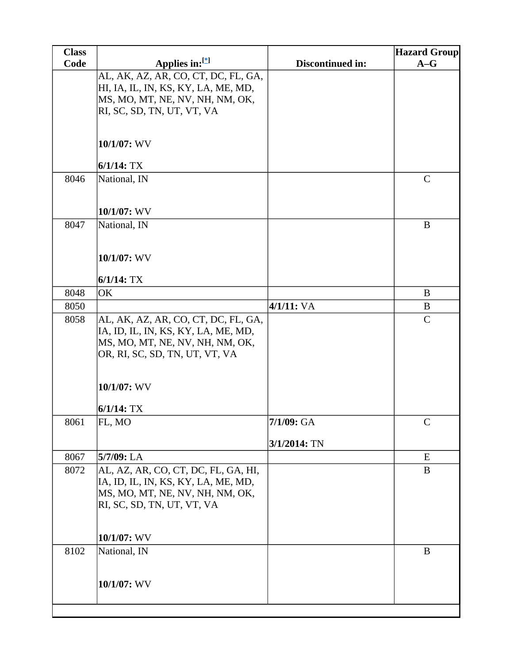| <b>Class</b> |                                                                   |                  | <b>Hazard Group</b> |
|--------------|-------------------------------------------------------------------|------------------|---------------------|
| Code         | Applies in:[*]                                                    | Discontinued in: | $A-G$               |
|              | AL, AK, AZ, AR, CO, CT, DC, FL, GA,                               |                  |                     |
|              | HI, IA, IL, IN, KS, KY, LA, ME, MD,                               |                  |                     |
|              | MS, MO, MT, NE, NV, NH, NM, OK,                                   |                  |                     |
|              | RI, SC, SD, TN, UT, VT, VA                                        |                  |                     |
|              |                                                                   |                  |                     |
|              | 10/1/07: WV                                                       |                  |                     |
|              | $6/1/14$ : TX                                                     |                  |                     |
| 8046         | National, IN                                                      |                  | $\mathbf C$         |
|              |                                                                   |                  |                     |
|              |                                                                   |                  |                     |
|              | 10/1/07: WV                                                       |                  |                     |
| 8047         | National, IN                                                      |                  | $\mathbf{B}$        |
|              |                                                                   |                  |                     |
|              | 10/1/07: WV                                                       |                  |                     |
|              |                                                                   |                  |                     |
|              | $6/1/14$ : TX                                                     |                  |                     |
| 8048         | OK                                                                |                  | B                   |
| 8050         |                                                                   | 4/1/11: VA       | B                   |
| 8058         | AL, AK, AZ, AR, CO, CT, DC, FL, GA,                               |                  | $\mathsf{C}$        |
|              | IA, ID, IL, IN, KS, KY, LA, ME, MD,                               |                  |                     |
|              | MS, MO, MT, NE, NV, NH, NM, OK,<br>OR, RI, SC, SD, TN, UT, VT, VA |                  |                     |
|              |                                                                   |                  |                     |
|              |                                                                   |                  |                     |
|              | 10/1/07: WV                                                       |                  |                     |
|              |                                                                   |                  |                     |
|              | $6/1/14$ : TX                                                     |                  |                     |
| 8061         | FL, MO                                                            | $7/1/09$ : GA    | $\mathsf{C}$        |
|              |                                                                   | 3/1/2014: TN     |                     |
| 8067         | 5/7/09: LA                                                        |                  | E                   |
| 8072         | AL, AZ, AR, CO, CT, DC, FL, GA, HI,                               |                  | B                   |
|              | IA, ID, IL, IN, KS, KY, LA, ME, MD,                               |                  |                     |
|              | MS, MO, MT, NE, NV, NH, NM, OK,                                   |                  |                     |
|              | RI, SC, SD, TN, UT, VT, VA                                        |                  |                     |
|              |                                                                   |                  |                     |
|              | $10/1/07$ : WV                                                    |                  |                     |
| 8102         | National, IN                                                      |                  | B                   |
|              |                                                                   |                  |                     |
|              |                                                                   |                  |                     |
|              | 10/1/07: WV                                                       |                  |                     |
|              |                                                                   |                  |                     |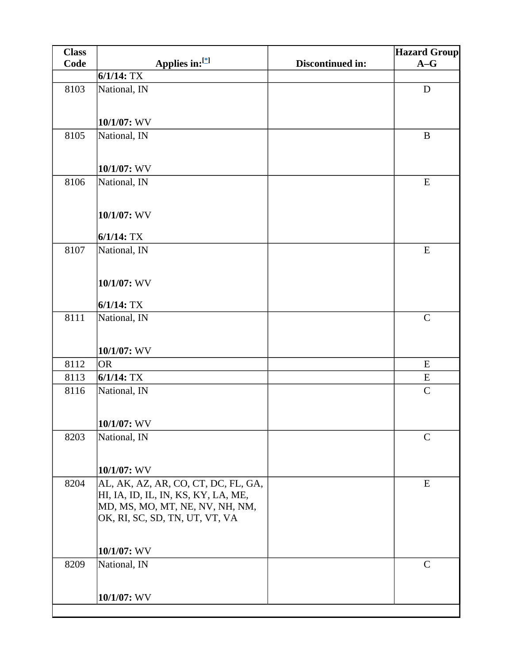| <b>Class</b> |                                                                   |                  | <b>Hazard Group</b> |
|--------------|-------------------------------------------------------------------|------------------|---------------------|
| <b>Code</b>  | Applies in:[*]                                                    | Discontinued in: | $A-G$               |
|              | $6/1/14$ : TX                                                     |                  |                     |
| 8103         | National, IN                                                      |                  | $\mathbf D$         |
|              |                                                                   |                  |                     |
|              | 10/1/07: WV                                                       |                  |                     |
| 8105         | National, IN                                                      |                  | $\bf{B}$            |
|              |                                                                   |                  |                     |
|              |                                                                   |                  |                     |
|              | 10/1/07: WV                                                       |                  |                     |
| 8106         | National, IN                                                      |                  | E                   |
|              |                                                                   |                  |                     |
|              | 10/1/07: WV                                                       |                  |                     |
|              | $6/1/14$ : TX                                                     |                  |                     |
| 8107         | National, IN                                                      |                  | E                   |
|              |                                                                   |                  |                     |
|              |                                                                   |                  |                     |
|              | 10/1/07: WV                                                       |                  |                     |
|              | $6/1/14$ : TX                                                     |                  |                     |
| 8111         | National, IN                                                      |                  | $\mathcal{C}$       |
|              |                                                                   |                  |                     |
|              | 10/1/07: WV                                                       |                  |                     |
| 8112         | <b>OR</b>                                                         |                  | ${\bf E}$           |
| 8113         | $6/1/14$ : TX                                                     |                  | E                   |
| 8116         | National, IN                                                      |                  | $\mathbf C$         |
|              |                                                                   |                  |                     |
|              |                                                                   |                  |                     |
| 8203         | 10/1/07: WV<br>National, IN                                       |                  | $\mathbf C$         |
|              |                                                                   |                  |                     |
|              |                                                                   |                  |                     |
|              | 10/1/07: WV                                                       |                  |                     |
| 8204         | AL, AK, AZ, AR, CO, CT, DC, FL, GA,                               |                  | E                   |
|              | HI, IA, ID, IL, IN, KS, KY, LA, ME,                               |                  |                     |
|              | MD, MS, MO, MT, NE, NV, NH, NM,<br>OK, RI, SC, SD, TN, UT, VT, VA |                  |                     |
|              |                                                                   |                  |                     |
|              |                                                                   |                  |                     |
|              | 10/1/07: WV                                                       |                  |                     |
| 8209         | National, IN                                                      |                  | $\mathcal{C}$       |
|              |                                                                   |                  |                     |
|              | 10/1/07: WV                                                       |                  |                     |
|              |                                                                   |                  |                     |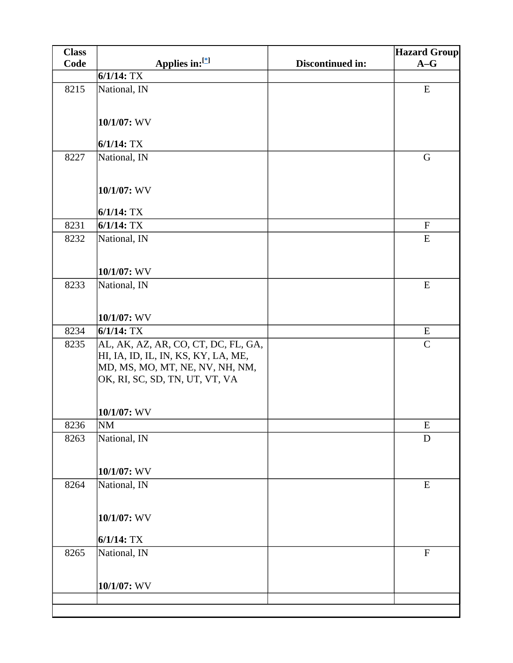| <b>Class</b> |                                                                                                                                                 |                  | <b>Hazard Group</b> |
|--------------|-------------------------------------------------------------------------------------------------------------------------------------------------|------------------|---------------------|
| Code         | Applies in:[*]                                                                                                                                  | Discontinued in: | $A-G$               |
|              | $6/1/14$ : TX                                                                                                                                   |                  |                     |
| 8215         | National, IN                                                                                                                                    |                  | ${\bf E}$           |
|              | 10/1/07: WV                                                                                                                                     |                  |                     |
|              | $6/1/14$ : TX                                                                                                                                   |                  |                     |
| 8227         | National, IN                                                                                                                                    |                  | G                   |
|              | 10/1/07: WV                                                                                                                                     |                  |                     |
|              | $6/1/14$ : TX                                                                                                                                   |                  |                     |
| 8231         | $6/1/14$ : TX                                                                                                                                   |                  | $\mathbf F$         |
| 8232         | National, IN                                                                                                                                    |                  | ${\bf E}$           |
|              | $10/1/07$ : WV                                                                                                                                  |                  |                     |
| 8233         | National, IN                                                                                                                                    |                  | ${\bf E}$           |
|              |                                                                                                                                                 |                  |                     |
|              | 10/1/07: WV                                                                                                                                     |                  |                     |
| 8234         | $6/1/14$ : TX                                                                                                                                   |                  | E                   |
| 8235         | AL, AK, AZ, AR, CO, CT, DC, FL, GA,<br>HI, IA, ID, IL, IN, KS, KY, LA, ME,<br>MD, MS, MO, MT, NE, NV, NH, NM,<br>OK, RI, SC, SD, TN, UT, VT, VA |                  | $\mathbf C$         |
|              | 10/1/07: WV                                                                                                                                     |                  |                     |
| 8236         | <b>NM</b>                                                                                                                                       |                  | ${\bf E}$           |
| 8263         | National, IN                                                                                                                                    |                  | D                   |
|              | 10/1/07: WV                                                                                                                                     |                  |                     |
| 8264         | National, IN                                                                                                                                    |                  | ${\bf E}$           |
|              |                                                                                                                                                 |                  |                     |
|              | 10/1/07: WV                                                                                                                                     |                  |                     |
|              | $6/1/14$ : TX                                                                                                                                   |                  |                     |
| 8265         | National, IN                                                                                                                                    |                  | $\mathbf{F}$        |
|              | 10/1/07: WV                                                                                                                                     |                  |                     |
|              |                                                                                                                                                 |                  |                     |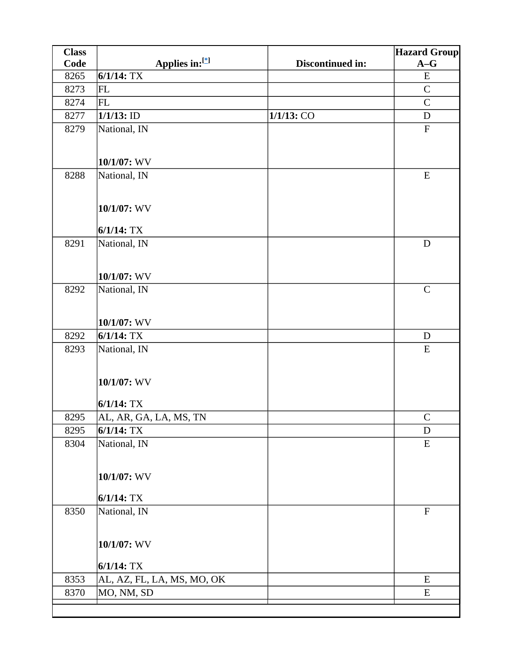| <b>Class</b> |                            |                  | <b>Hazard Group</b>       |
|--------------|----------------------------|------------------|---------------------------|
| Code         | Applies in:[*]             | Discontinued in: | $A-G$                     |
| 8265         | $6/1/14$ : TX              |                  | ${\bf E}$                 |
| 8273         | <b>FL</b>                  |                  | $\mathsf{C}$              |
| 8274         | FL                         |                  | $\mathcal{C}$             |
| 8277         | $1/1/13$ : ID              | 1/1/13: CO       | $\mathbf D$               |
| 8279         | National, IN               |                  | $\boldsymbol{\mathrm{F}}$ |
|              |                            |                  |                           |
|              | 10/1/07: WV                |                  |                           |
| 8288         | National, IN               |                  | E                         |
|              |                            |                  |                           |
|              |                            |                  |                           |
|              | 10/1/07: WV                |                  |                           |
|              | $6/1/14$ : TX              |                  |                           |
| 8291         | National, IN               |                  | ${\bf D}$                 |
|              |                            |                  |                           |
|              |                            |                  |                           |
|              | 10/1/07: WV                |                  |                           |
| 8292         | National, IN               |                  | $\mathcal{C}$             |
|              |                            |                  |                           |
|              | 10/1/07: WV                |                  |                           |
| 8292         | $6/1/14$ : TX              |                  | $\mathbf D$               |
| 8293         | National, IN               |                  | ${\bf E}$                 |
|              |                            |                  |                           |
|              | 10/1/07: WV                |                  |                           |
|              |                            |                  |                           |
|              | $6/1/14$ : TX              |                  |                           |
| 8295         | AL, AR, GA, LA, MS, TN     |                  | $\mathcal{C}$             |
| 8295         | $6/1/14$ : TX              |                  | $\mathbf D$               |
| 8304         | National, IN               |                  | E                         |
|              |                            |                  |                           |
|              | 10/1/07: WV                |                  |                           |
|              |                            |                  |                           |
|              | $6/1/14$ : TX              |                  |                           |
| 8350         | National, IN               |                  | $\overline{F}$            |
|              |                            |                  |                           |
|              | 10/1/07: WV                |                  |                           |
|              |                            |                  |                           |
|              | $6/1/14$ : TX              |                  |                           |
| 8353         | AL, AZ, FL, LA, MS, MO, OK |                  | E                         |
| 8370         | MO, NM, SD                 |                  | ${\bf E}$                 |
|              |                            |                  |                           |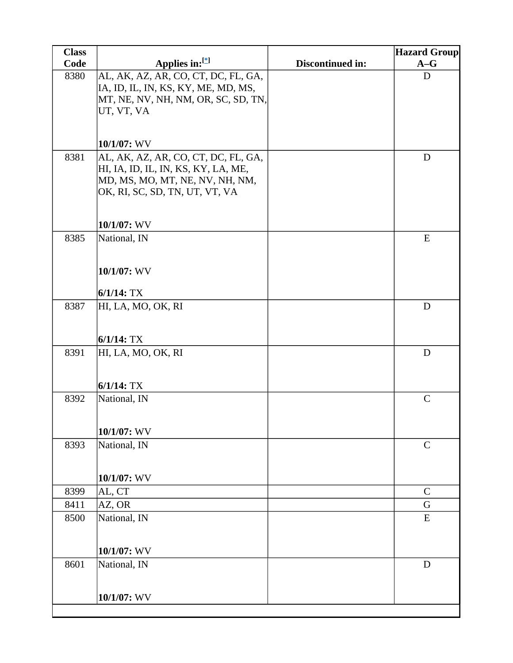| <b>Class</b> |                                                                   |                  | <b>Hazard Group</b> |
|--------------|-------------------------------------------------------------------|------------------|---------------------|
| Code         | Applies in: $[$                                                   | Discontinued in: | $A-G$               |
| 8380         | AL, AK, AZ, AR, CO, CT, DC, FL, GA,                               |                  | D                   |
|              | IA, ID, IL, IN, KS, KY, ME, MD, MS,                               |                  |                     |
|              | MT, NE, NV, NH, NM, OR, SC, SD, TN,<br>UT, VT, VA                 |                  |                     |
|              |                                                                   |                  |                     |
|              |                                                                   |                  |                     |
|              | 10/1/07: WV                                                       |                  |                     |
| 8381         | AL, AK, AZ, AR, CO, CT, DC, FL, GA,                               |                  | D                   |
|              | HI, IA, ID, IL, IN, KS, KY, LA, ME,                               |                  |                     |
|              | MD, MS, MO, MT, NE, NV, NH, NM,<br>OK, RI, SC, SD, TN, UT, VT, VA |                  |                     |
|              |                                                                   |                  |                     |
|              |                                                                   |                  |                     |
|              | $10/1/07$ : WV                                                    |                  |                     |
| 8385         | National, IN                                                      |                  | E                   |
|              |                                                                   |                  |                     |
|              | 10/1/07: WV                                                       |                  |                     |
|              |                                                                   |                  |                     |
|              | $6/1/14$ : TX                                                     |                  |                     |
| 8387         | HI, LA, MO, OK, RI                                                |                  | $\mathbf D$         |
|              |                                                                   |                  |                     |
|              | $6/1/14$ : TX                                                     |                  |                     |
| 8391         | HI, LA, MO, OK, RI                                                |                  | D                   |
|              |                                                                   |                  |                     |
|              |                                                                   |                  |                     |
|              | $6/1/14$ : TX                                                     |                  |                     |
| 8392         | National, IN                                                      |                  | $\mathcal{C}$       |
|              |                                                                   |                  |                     |
|              | $10/1/07$ : WV                                                    |                  |                     |
| 8393         | National, IN                                                      |                  | $\mathcal{C}$       |
|              |                                                                   |                  |                     |
|              | 10/1/07: WV                                                       |                  |                     |
| 8399         | AL, CT                                                            |                  | $\mathsf{C}$        |
| 8411         | $AZ$ , OR                                                         |                  | $\mathbf G$         |
| 8500         | National, IN                                                      |                  | E                   |
|              |                                                                   |                  |                     |
|              |                                                                   |                  |                     |
|              | 10/1/07: WV                                                       |                  |                     |
| 8601         | National, IN                                                      |                  | D                   |
|              |                                                                   |                  |                     |
|              | 10/1/07: WV                                                       |                  |                     |
|              |                                                                   |                  |                     |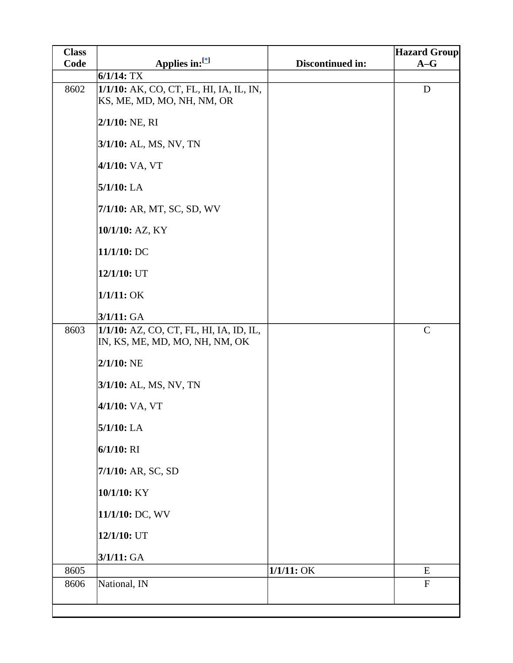| <b>Class</b> |                                                                           |                  | <b>Hazard Group</b> |
|--------------|---------------------------------------------------------------------------|------------------|---------------------|
| Code         | Applies in:[*]                                                            | Discontinued in: | $A-G$               |
|              | $6/1/14$ : TX                                                             |                  |                     |
| 8602         | 1/1/10: AK, CO, CT, FL, HI, IA, IL, IN,<br>KS, ME, MD, MO, NH, NM, OR     |                  | $\mathbf D$         |
|              | $2/1/10$ : NE, RI                                                         |                  |                     |
|              | 3/1/10: AL, MS, NV, TN                                                    |                  |                     |
|              | 4/1/10: VA, VT                                                            |                  |                     |
|              | $5/1/10$ : LA                                                             |                  |                     |
|              | 7/1/10: AR, MT, SC, SD, WV                                                |                  |                     |
|              | 10/1/10: AZ, KY                                                           |                  |                     |
|              | 11/1/10: DC                                                               |                  |                     |
|              | 12/1/10: UT                                                               |                  |                     |
|              | $1/1/11:$ OK                                                              |                  |                     |
|              | 3/1/11: GA                                                                |                  |                     |
| 8603         | 1/1/10: AZ, CO, CT, FL, HI, IA, ID, IL,<br>IN, KS, ME, MD, MO, NH, NM, OK |                  | $\mathbf C$         |
|              | $2/1/10$ : NE                                                             |                  |                     |
|              | 3/1/10: AL, MS, NV, TN                                                    |                  |                     |
|              | 4/1/10: VA, VT                                                            |                  |                     |
|              | $5/1/10$ : LA                                                             |                  |                     |
|              | $6/1/10$ : RI                                                             |                  |                     |
|              | 7/1/10: AR, SC, SD                                                        |                  |                     |
|              | 10/1/10: KY                                                               |                  |                     |
|              | 11/1/10: DC, WV                                                           |                  |                     |
|              | 12/1/10: UT<br>3/1/11: GA                                                 |                  |                     |
| 8605         |                                                                           | $1/1/11:$ OK     | E                   |
| 8606         | National, IN                                                              |                  | ${\bf F}$           |
|              |                                                                           |                  |                     |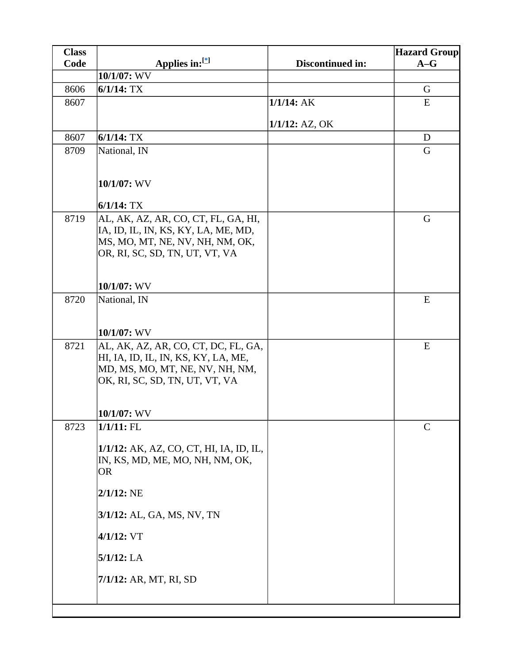| <b>Class</b> |                                                                   |                   | <b>Hazard Group</b> |
|--------------|-------------------------------------------------------------------|-------------------|---------------------|
| Code         | Applies in: $[$                                                   | Discontinued in:  | $A-G$               |
|              | 10/1/07: WV                                                       |                   |                     |
| 8606         | $6/1/14$ : TX                                                     |                   | G                   |
| 8607         |                                                                   | $1/1/14$ : AK     | E                   |
|              |                                                                   | $1/1/12$ : AZ, OK |                     |
| 8607         | $6/1/14$ : TX                                                     |                   | D                   |
| 8709         | National, IN                                                      |                   | G                   |
|              |                                                                   |                   |                     |
|              | 10/1/07: WV                                                       |                   |                     |
|              | $6/1/14$ : TX                                                     |                   |                     |
| 8719         | AL, AK, AZ, AR, CO, CT, FL, GA, HI,                               |                   | $\mathsf G$         |
|              | IA, ID, IL, IN, KS, KY, LA, ME, MD,                               |                   |                     |
|              | MS, MO, MT, NE, NV, NH, NM, OK,<br>OR, RI, SC, SD, TN, UT, VT, VA |                   |                     |
|              |                                                                   |                   |                     |
|              |                                                                   |                   |                     |
|              | $10/1/07$ : WV                                                    |                   |                     |
| 8720         | National, IN                                                      |                   | ${\bf E}$           |
|              |                                                                   |                   |                     |
|              | $10/1/07$ : WV                                                    |                   |                     |
| 8721         | AL, AK, AZ, AR, CO, CT, DC, FL, GA,                               |                   | E                   |
|              | HI, IA, ID, IL, IN, KS, KY, LA, ME,                               |                   |                     |
|              | MD, MS, MO, MT, NE, NV, NH, NM,<br>OK, RI, SC, SD, TN, UT, VT, VA |                   |                     |
|              |                                                                   |                   |                     |
|              |                                                                   |                   |                     |
|              | 10/1/07: WV                                                       |                   |                     |
| 8723         | $1/1/11$ : FL                                                     |                   | $\mathcal{C}$       |
|              | 1/1/12: AK, AZ, CO, CT, HI, IA, ID, IL,                           |                   |                     |
|              | IN, KS, MD, ME, MO, NH, NM, OK,                                   |                   |                     |
|              | <b>OR</b>                                                         |                   |                     |
|              | $2/1/12$ : NE                                                     |                   |                     |
|              | 3/1/12: AL, GA, MS, NV, TN                                        |                   |                     |
|              | $4/1/12$ : VT                                                     |                   |                     |
|              | $5/1/12$ : LA                                                     |                   |                     |
|              | 7/1/12: AR, MT, RI, SD                                            |                   |                     |
|              |                                                                   |                   |                     |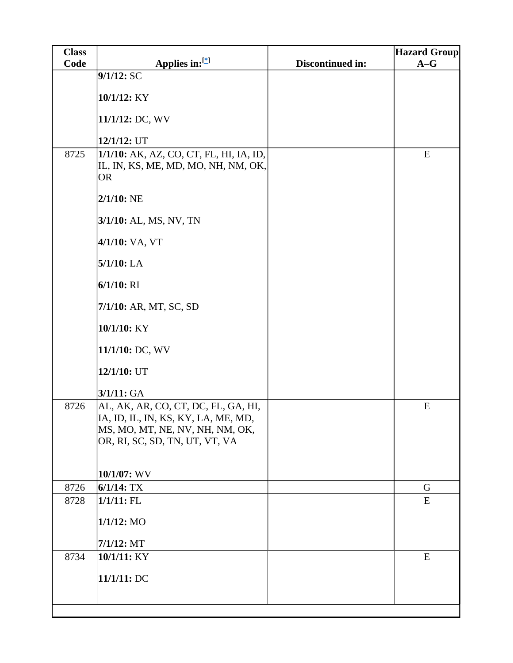| <b>Class</b> |                                                                                                                                                 |                  | <b>Hazard Group</b> |
|--------------|-------------------------------------------------------------------------------------------------------------------------------------------------|------------------|---------------------|
| Code         | Applies in:[*]                                                                                                                                  | Discontinued in: | $A-G$               |
|              | 9/1/12:SC                                                                                                                                       |                  |                     |
|              | 10/1/12: KY                                                                                                                                     |                  |                     |
|              | 11/1/12: DC, WV                                                                                                                                 |                  |                     |
|              | 12/1/12: UT                                                                                                                                     |                  |                     |
| 8725         | 1/1/10: AK, AZ, CO, CT, FL, HI, IA, ID,<br>IL, IN, KS, ME, MD, MO, NH, NM, OK,<br><b>OR</b>                                                     |                  | E                   |
|              | $2/1/10$ : NE                                                                                                                                   |                  |                     |
|              | 3/1/10: AL, MS, NV, TN                                                                                                                          |                  |                     |
|              | 4/1/10: VA, VT                                                                                                                                  |                  |                     |
|              | $5/1/10$ : LA                                                                                                                                   |                  |                     |
|              | $6/1/10$ : RI                                                                                                                                   |                  |                     |
|              | 7/1/10: AR, MT, SC, SD                                                                                                                          |                  |                     |
|              | 10/1/10: KY                                                                                                                                     |                  |                     |
|              | 11/1/10: DC, WV                                                                                                                                 |                  |                     |
|              | 12/1/10: UT                                                                                                                                     |                  |                     |
|              | 3/1/11: GA                                                                                                                                      |                  |                     |
| 8726         | AL, AK, AR, CO, CT, DC, FL, GA, HI,<br>IA, ID, IL, IN, KS, KY, LA, ME, MD,<br>MS, MO, MT, NE, NV, NH, NM, OK,<br>OR, RI, SC, SD, TN, UT, VT, VA |                  | E                   |
|              | 10/1/07: WV                                                                                                                                     |                  |                     |
| 8726         | $6/1/14$ : TX                                                                                                                                   |                  | G                   |
| 8728         | $1/1/11$ : FL                                                                                                                                   |                  | E                   |
|              | $1/1/12$ : MO                                                                                                                                   |                  |                     |
|              | 7/1/12: MT                                                                                                                                      |                  |                     |
| 8734         | 10/1/11: KY                                                                                                                                     |                  | E                   |
|              | 11/1/11:DC                                                                                                                                      |                  |                     |
|              |                                                                                                                                                 |                  |                     |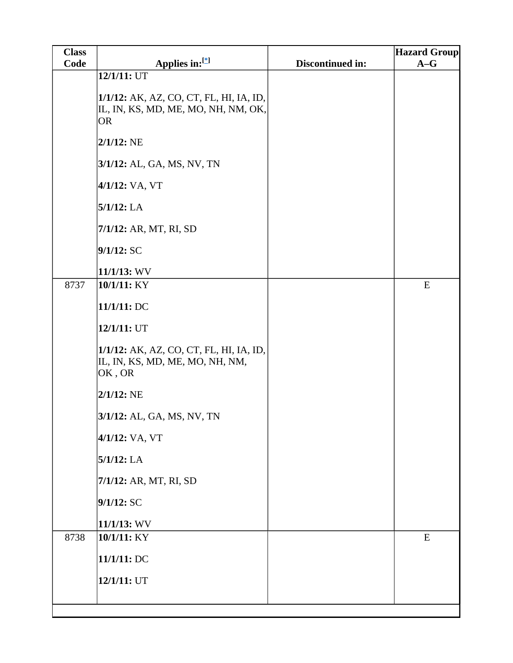| <b>Class</b> |                                                                                      |                  | <b>Hazard Group</b> |
|--------------|--------------------------------------------------------------------------------------|------------------|---------------------|
| Code         | Applies in:[*]                                                                       | Discontinued in: | $A-G$               |
|              | 12/1/11: UT<br>1/1/12: AK, AZ, CO, CT, FL, HI, IA, ID,                               |                  |                     |
|              | IL, IN, KS, MD, ME, MO, NH, NM, OK,<br>OR                                            |                  |                     |
|              | $2/1/12$ : NE                                                                        |                  |                     |
|              | 3/1/12: AL, GA, MS, NV, TN                                                           |                  |                     |
|              | 4/1/12: VA, VT                                                                       |                  |                     |
|              | 5/1/12: LA                                                                           |                  |                     |
|              | 7/1/12: AR, MT, RI, SD                                                               |                  |                     |
|              | 9/1/12:SC                                                                            |                  |                     |
|              | $11/1/13$ : WV                                                                       |                  |                     |
| 8737         | 10/1/11: KY                                                                          |                  | ${\bf E}$           |
|              | 11/1/11: DC                                                                          |                  |                     |
|              | 12/1/11: UT                                                                          |                  |                     |
|              | 1/1/12: AK, AZ, CO, CT, FL, HI, IA, ID,<br>IL, IN, KS, MD, ME, MO, NH, NM,<br>OK, OR |                  |                     |
|              | $2/1/12$ : NE                                                                        |                  |                     |
|              | 3/1/12: AL, GA, MS, NV, TN                                                           |                  |                     |
|              | 4/1/12: VA, VT                                                                       |                  |                     |
|              | $5/1/12$ : LA                                                                        |                  |                     |
|              | 7/1/12: AR, MT, RI, SD                                                               |                  |                     |
|              | 9/1/12:SC                                                                            |                  |                     |
|              | $11/1/13$ : WV                                                                       |                  |                     |
| 8738         | 10/1/11: KY                                                                          |                  | E                   |
|              | 11/1/11: DC                                                                          |                  |                     |
|              | 12/1/11: UT                                                                          |                  |                     |
|              |                                                                                      |                  |                     |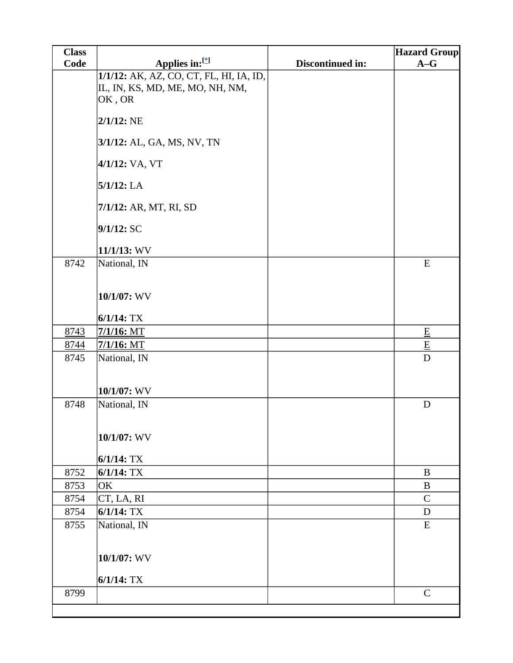| <b>Class</b> |                                                                                                       |                  | <b>Hazard Group</b>         |
|--------------|-------------------------------------------------------------------------------------------------------|------------------|-----------------------------|
| Code         | Applies in:[*]                                                                                        | Discontinued in: | $A-G$                       |
|              | 1/1/12: AK, AZ, CO, CT, FL, HI, IA, ID,<br>IL, IN, KS, MD, ME, MO, NH, NM,<br>OK, OR<br>$2/1/12$ : NE |                  |                             |
|              | 3/1/12: AL, GA, MS, NV, TN                                                                            |                  |                             |
|              | 4/1/12: VA, VT                                                                                        |                  |                             |
|              | $5/1/12$ : LA                                                                                         |                  |                             |
|              | 7/1/12: AR, MT, RI, SD                                                                                |                  |                             |
|              | 9/1/12:SC                                                                                             |                  |                             |
|              | 11/1/13: WV                                                                                           |                  |                             |
| 8742         | National, IN                                                                                          |                  | E                           |
|              | 10/1/07: WV                                                                                           |                  |                             |
|              | $6/1/14$ : TX                                                                                         |                  |                             |
| 8743         | $7/1/16$ : MT                                                                                         |                  | $\underline{\mathbf{E}}$    |
| 8744         | $7/1/16$ : MT                                                                                         |                  | $\underline{\underline{E}}$ |
| 8745         | National, IN                                                                                          |                  | $\mathbf D$                 |
|              | $10/1/07$ : WV                                                                                        |                  |                             |
| 8748         | National, IN<br>10/1/07: WV                                                                           |                  | D                           |
|              | $6/1/14$ : TX                                                                                         |                  |                             |
| 8752         | $6/1/14$ : TX                                                                                         |                  | $\bf{B}$                    |
| 8753         | OK                                                                                                    |                  | $\bf{B}$                    |
| 8754         | CT, LA, RI                                                                                            |                  | $\mathbf C$                 |
| 8754         | $6/1/14$ : TX                                                                                         |                  | D                           |
| 8755         | National, IN                                                                                          |                  | ${\bf E}$                   |
|              | 10/1/07: WV                                                                                           |                  |                             |
|              | $6/1/14$ : TX                                                                                         |                  |                             |
| 8799         |                                                                                                       |                  | $\mathsf{C}$                |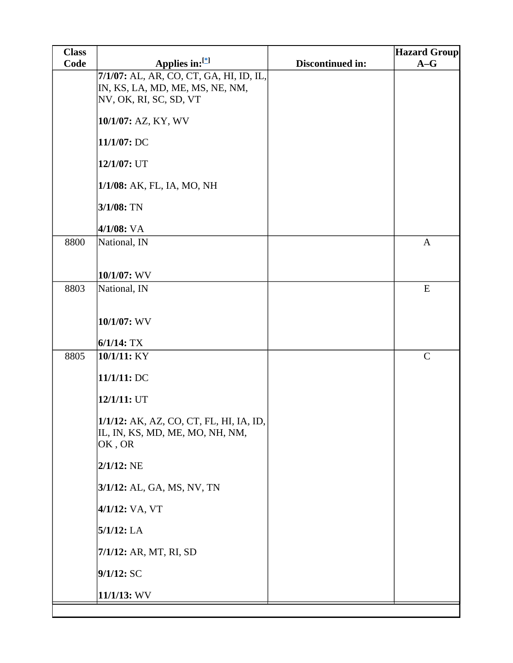| <b>Class</b> |                                                                                                                             |                  | <b>Hazard Group</b> |
|--------------|-----------------------------------------------------------------------------------------------------------------------------|------------------|---------------------|
| Code         | Applies in:[*]                                                                                                              | Discontinued in: | $A-G$               |
|              | 7/1/07: AL, AR, CO, CT, GA, HI, ID, IL,<br>IN, KS, LA, MD, ME, MS, NE, NM,<br>NV, OK, RI, SC, SD, VT<br>10/1/07: AZ, KY, WV |                  |                     |
|              |                                                                                                                             |                  |                     |
|              | 11/1/07: DC                                                                                                                 |                  |                     |
|              | 12/1/07: UT                                                                                                                 |                  |                     |
|              | 1/1/08: AK, FL, IA, MO, NH                                                                                                  |                  |                     |
|              | $3/1/08$ : TN                                                                                                               |                  |                     |
|              | 4/1/08: VA                                                                                                                  |                  |                     |
| 8800         | National, IN                                                                                                                |                  | $\mathbf{A}$        |
|              | 10/1/07: WV                                                                                                                 |                  |                     |
| 8803         | National, IN                                                                                                                |                  | ${\bf E}$           |
|              | 10/1/07: WV                                                                                                                 |                  |                     |
|              | $6/1/14$ : TX                                                                                                               |                  |                     |
| 8805         | 10/1/11: KY                                                                                                                 |                  | $\mathsf{C}$        |
|              | 11/1/11:DC                                                                                                                  |                  |                     |
|              | 12/1/11: UT                                                                                                                 |                  |                     |
|              | 1/1/12: AK, AZ, CO, CT, FL, HI, IA, ID,<br>IL, IN, KS, MD, ME, MO, NH, NM,<br>OK, OR                                        |                  |                     |
|              | $2/1/12$ : NE                                                                                                               |                  |                     |
|              | 3/1/12: AL, GA, MS, NV, TN                                                                                                  |                  |                     |
|              | 4/1/12: VA, VT                                                                                                              |                  |                     |
|              | $5/1/12$ : LA                                                                                                               |                  |                     |
|              | 7/1/12: AR, MT, RI, SD                                                                                                      |                  |                     |
|              | 9/1/12:SC                                                                                                                   |                  |                     |
|              | $11/1/13$ : WV                                                                                                              |                  |                     |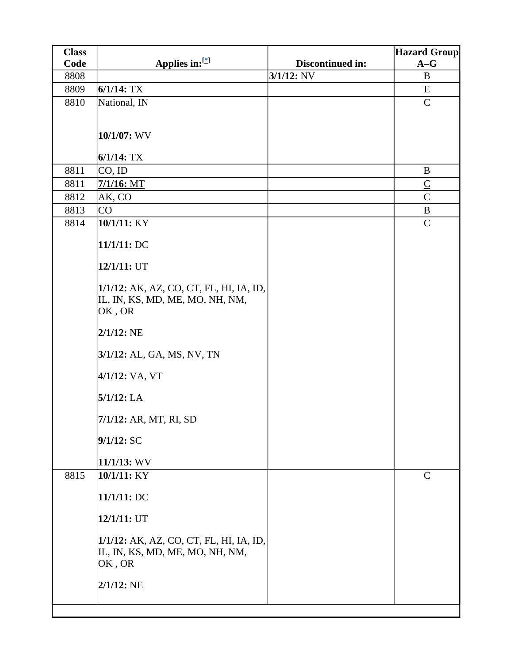| <b>Class</b> |                                                                                      |                  | <b>Hazard Group</b> |
|--------------|--------------------------------------------------------------------------------------|------------------|---------------------|
| Code         | Applies in: $[$                                                                      | Discontinued in: | $A-G$               |
| 8808         |                                                                                      | $3/1/12$ : NV    | B                   |
| 8809         | $6/1/14$ : TX                                                                        |                  | E                   |
| 8810         | National, IN                                                                         |                  | $\mathsf{C}$        |
|              |                                                                                      |                  |                     |
|              | 10/1/07: WV                                                                          |                  |                     |
|              |                                                                                      |                  |                     |
|              | $6/1/14$ : TX                                                                        |                  |                     |
| 8811         | $CO$ , ID                                                                            |                  | B                   |
| 8811         | $7/1/16$ : MT                                                                        |                  | $\underline{C}$     |
| 8812         | AK, CO                                                                               |                  | $\overline{C}$      |
| 8813         | CO                                                                                   |                  | $\bf{B}$            |
| 8814         | 10/1/11: KY                                                                          |                  | $\mathcal{C}$       |
|              | 11/1/11: DC                                                                          |                  |                     |
|              | 12/1/11: UT                                                                          |                  |                     |
|              | 1/1/12: AK, AZ, CO, CT, FL, HI, IA, ID,<br>IL, IN, KS, MD, ME, MO, NH, NM,<br>OK, OR |                  |                     |
|              | $2/1/12$ : NE                                                                        |                  |                     |
|              | 3/1/12: AL, GA, MS, NV, TN                                                           |                  |                     |
|              | 4/1/12: VA, VT                                                                       |                  |                     |
|              | $5/1/12$ : LA                                                                        |                  |                     |
|              | 7/1/12: AR, MT, RI, SD                                                               |                  |                     |
|              | 9/1/12:SC                                                                            |                  |                     |
|              | $11/1/13$ : WV                                                                       |                  |                     |
| 8815         | 10/1/11: KY                                                                          |                  | $\mathcal{C}$       |
|              | 11/1/11: DC                                                                          |                  |                     |
|              | 12/1/11: UT                                                                          |                  |                     |
|              | 1/1/12: AK, AZ, CO, CT, FL, HI, IA, ID,<br>IL, IN, KS, MD, ME, MO, NH, NM,<br>OK, OR |                  |                     |
|              | $2/1/12$ : NE                                                                        |                  |                     |
|              |                                                                                      |                  |                     |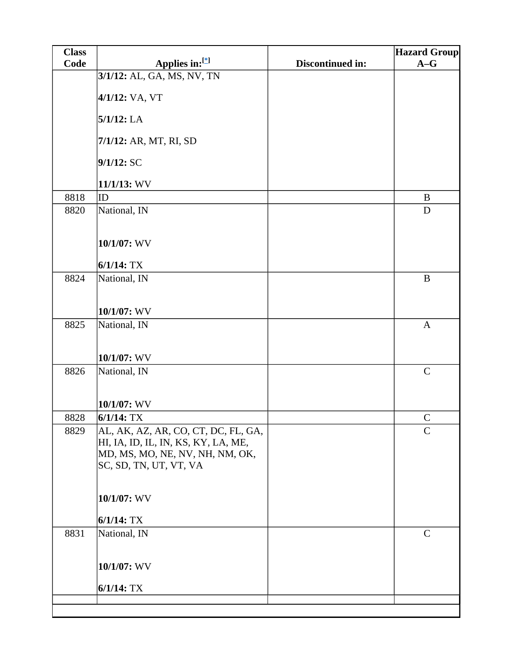| <b>Class</b> |                                                                                                                                         |                  | <b>Hazard Group</b> |
|--------------|-----------------------------------------------------------------------------------------------------------------------------------------|------------------|---------------------|
| Code         | Applies in:[*]                                                                                                                          | Discontinued in: | $A-G$               |
|              | 3/1/12: AL, GA, MS, NV, TN                                                                                                              |                  |                     |
|              | 4/1/12: VA, VT                                                                                                                          |                  |                     |
|              | $5/1/12$ : LA                                                                                                                           |                  |                     |
|              | 7/1/12: AR, MT, RI, SD                                                                                                                  |                  |                     |
|              | 9/1/12: SC                                                                                                                              |                  |                     |
|              | $11/1/13$ : WV                                                                                                                          |                  |                     |
| 8818         | ID                                                                                                                                      |                  | B                   |
| 8820         | National, IN                                                                                                                            |                  | D                   |
|              | 10/1/07: WV                                                                                                                             |                  |                     |
|              | $6/1/14$ : TX                                                                                                                           |                  |                     |
| 8824         | National, IN                                                                                                                            |                  | $\, {\bf B}$        |
|              | $10/1/07$ : WV                                                                                                                          |                  |                     |
| 8825         | National, IN                                                                                                                            |                  | $\mathbf{A}$        |
|              | $10/1/07$ : WV                                                                                                                          |                  |                     |
| 8826         | National, IN                                                                                                                            |                  | $\mathbf C$         |
|              | 10/1/07: WV                                                                                                                             |                  |                     |
| 8828         | $6/1/14$ : TX                                                                                                                           |                  | $\mathcal{C}$       |
| 8829         | AL, AK, AZ, AR, CO, CT, DC, FL, GA,<br>HI, IA, ID, IL, IN, KS, KY, LA, ME,<br>MD, MS, MO, NE, NV, NH, NM, OK,<br>SC, SD, TN, UT, VT, VA |                  | $\mathsf{C}$        |
|              | 10/1/07: WV                                                                                                                             |                  |                     |
|              | $6/1/14$ : TX                                                                                                                           |                  |                     |
| 8831         | National, IN                                                                                                                            |                  | $\mathbf C$         |
|              | 10/1/07: WV                                                                                                                             |                  |                     |
|              | $6/1/14$ : TX                                                                                                                           |                  |                     |
|              |                                                                                                                                         |                  |                     |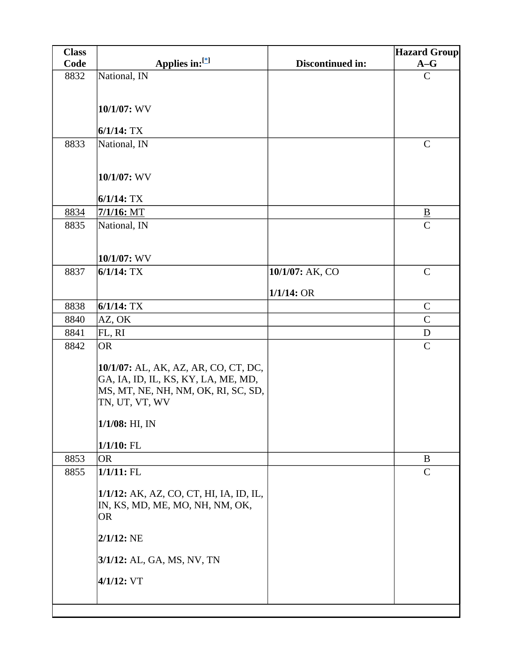| <b>Class</b> |                                         |                  | <b>Hazard Group</b> |
|--------------|-----------------------------------------|------------------|---------------------|
| Code         | Applies in:[*]                          | Discontinued in: | $A-G$               |
| 8832         | National, IN                            |                  | $\mathbf C$         |
|              |                                         |                  |                     |
|              | 10/1/07: WV                             |                  |                     |
|              |                                         |                  |                     |
|              | $6/1/14$ : TX                           |                  |                     |
| 8833         | National, IN                            |                  | $\mathbf C$         |
|              |                                         |                  |                     |
|              | 10/1/07: WV                             |                  |                     |
|              |                                         |                  |                     |
|              | $6/1/14$ : TX                           |                  |                     |
| 8834         | $7/1/16$ : MT                           |                  | $\overline{B}$      |
| 8835         | National, IN                            |                  | $\overline{C}$      |
|              |                                         |                  |                     |
|              | 10/1/07: WV                             |                  |                     |
| 8837         | $6/1/14$ : TX                           | 10/1/07: AK, CO  | $\mathbf C$         |
|              |                                         |                  |                     |
|              |                                         | $1/1/14$ : OR    |                     |
| 8838         | $6/1/14$ : TX                           |                  | $\mathbf C$         |
| 8840         | AZ, OK                                  |                  | $\mathcal{C}$       |
| 8841         | FL, RI                                  |                  | ${\bf D}$           |
| 8842         | <b>OR</b>                               |                  | $\mathbf C$         |
|              | 10/1/07: AL, AK, AZ, AR, CO, CT, DC,    |                  |                     |
|              | GA, IA, ID, IL, KS, KY, LA, ME, MD,     |                  |                     |
|              | MS, MT, NE, NH, NM, OK, RI, SC, SD,     |                  |                     |
|              | TN, UT, VT, WV                          |                  |                     |
|              | $1/1/08$ : HI, IN                       |                  |                     |
|              |                                         |                  |                     |
|              | $1/1/10$ : FL                           |                  |                     |
| 8853         | <b>OR</b>                               |                  | B                   |
| 8855         | $1/1/11$ : FL                           |                  | $\mathbf C$         |
|              | 1/1/12: AK, AZ, CO, CT, HI, IA, ID, IL, |                  |                     |
|              | IN, KS, MD, ME, MO, NH, NM, OK,         |                  |                     |
|              | <b>OR</b>                               |                  |                     |
|              | $2/1/12$ : NE                           |                  |                     |
|              |                                         |                  |                     |
|              | 3/1/12: AL, GA, MS, NV, TN              |                  |                     |
|              | $4/1/12$ : VT                           |                  |                     |
|              |                                         |                  |                     |
|              |                                         |                  |                     |
|              |                                         |                  |                     |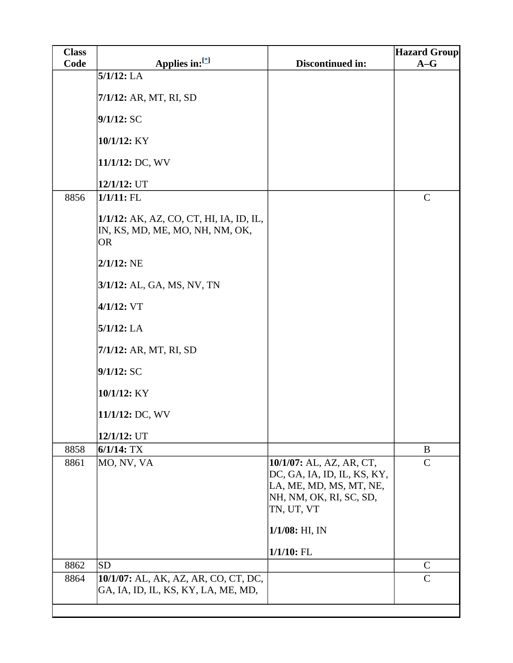| <b>Class</b> |                                                                                         |                                                                                                                             | <b>Hazard Group</b> |
|--------------|-----------------------------------------------------------------------------------------|-----------------------------------------------------------------------------------------------------------------------------|---------------------|
| Code         | Applies in:[*]                                                                          | Discontinued in:                                                                                                            | $A-G$               |
|              | $5/1/12$ : LA                                                                           |                                                                                                                             |                     |
|              | 7/1/12: AR, MT, RI, SD                                                                  |                                                                                                                             |                     |
|              | 9/1/12:SC                                                                               |                                                                                                                             |                     |
|              | 10/1/12: KY                                                                             |                                                                                                                             |                     |
|              | 11/1/12: DC, WV                                                                         |                                                                                                                             |                     |
|              | 12/1/12: UT                                                                             |                                                                                                                             |                     |
| 8856         | $1/1/11$ : FL                                                                           |                                                                                                                             | $\mathbf C$         |
|              | 1/1/12: AK, AZ, CO, CT, HI, IA, ID, IL,<br>IN, KS, MD, ME, MO, NH, NM, OK,<br><b>OR</b> |                                                                                                                             |                     |
|              | $2/1/12$ : NE                                                                           |                                                                                                                             |                     |
|              | 3/1/12: AL, GA, MS, NV, TN                                                              |                                                                                                                             |                     |
|              | $4/1/12$ : VT                                                                           |                                                                                                                             |                     |
|              | $5/1/12$ : LA                                                                           |                                                                                                                             |                     |
|              | 7/1/12: AR, MT, RI, SD                                                                  |                                                                                                                             |                     |
|              | $9/1/12$ : SC                                                                           |                                                                                                                             |                     |
|              | 10/1/12: KY                                                                             |                                                                                                                             |                     |
|              | 11/1/12: DC, WV                                                                         |                                                                                                                             |                     |
|              | 12/1/12: UT                                                                             |                                                                                                                             |                     |
| 8858         | $6/1/14$ : TX                                                                           |                                                                                                                             | B                   |
| 8861         | MO, NV, VA                                                                              | 10/1/07: AL, AZ, AR, CT,<br>DC, GA, IA, ID, IL, KS, KY,<br>LA, ME, MD, MS, MT, NE,<br>NH, NM, OK, RI, SC, SD,<br>TN, UT, VT | $\mathsf{C}$        |
|              |                                                                                         | $1/1/08$ : HI, IN                                                                                                           |                     |
|              |                                                                                         | $1/1/10$ : FL                                                                                                               |                     |
| 8862         | <b>SD</b>                                                                               |                                                                                                                             | $\mathcal{C}$       |
| 8864         | 10/1/07: AL, AK, AZ, AR, CO, CT, DC,<br>GA, IA, ID, IL, KS, KY, LA, ME, MD,             |                                                                                                                             | $\mathsf{C}$        |
|              |                                                                                         |                                                                                                                             |                     |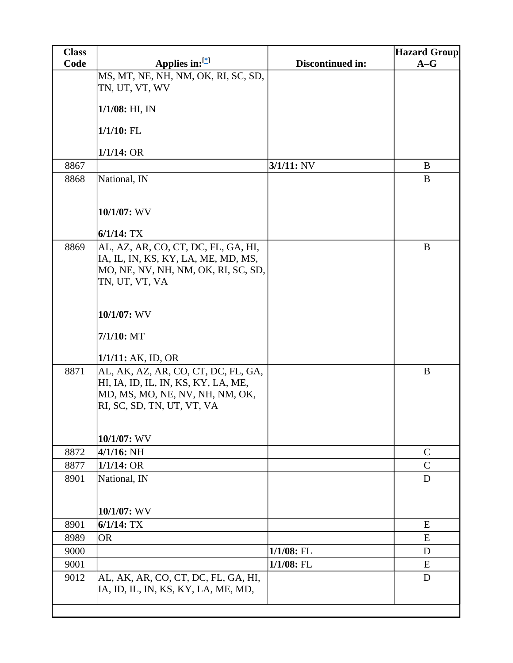| <b>Class</b> |                                     |                  | <b>Hazard Group</b> |
|--------------|-------------------------------------|------------------|---------------------|
| Code         | Applies in:[*]                      | Discontinued in: | $A-G$               |
|              | MS, MT, NE, NH, NM, OK, RI, SC, SD, |                  |                     |
|              | TN, UT, VT, WV                      |                  |                     |
|              | $1/1/08$ : HI, IN                   |                  |                     |
|              | $1/1/10$ : FL                       |                  |                     |
|              | $1/1/14$ : OR                       |                  |                     |
| 8867         |                                     | $3/1/11$ : NV    | B                   |
| 8868         | National, IN                        |                  | B                   |
|              |                                     |                  |                     |
|              | 10/1/07: WV                         |                  |                     |
|              | $6/1/14$ : TX                       |                  |                     |
| 8869         | AL, AZ, AR, CO, CT, DC, FL, GA, HI, |                  | B                   |
|              | IA, IL, IN, KS, KY, LA, ME, MD, MS, |                  |                     |
|              | MO, NE, NV, NH, NM, OK, RI, SC, SD, |                  |                     |
|              | TN, UT, VT, VA                      |                  |                     |
|              |                                     |                  |                     |
|              | 10/1/07: WV                         |                  |                     |
|              | $7/1/10$ : MT                       |                  |                     |
|              | $1/1/11$ : AK, ID, OR               |                  |                     |
| 8871         | AL, AK, AZ, AR, CO, CT, DC, FL, GA, |                  | B                   |
|              | HI, IA, ID, IL, IN, KS, KY, LA, ME, |                  |                     |
|              | MD, MS, MO, NE, NV, NH, NM, OK,     |                  |                     |
|              | RI, SC, SD, TN, UT, VT, VA          |                  |                     |
|              |                                     |                  |                     |
|              | 10/1/07: WV                         |                  |                     |
| 8872         | $4/1/16$ : NH                       |                  | $\mathsf{C}$        |
| 8877         | $1/1/14$ : OR                       |                  | $\overline{C}$      |
| 8901         | National, IN                        |                  | D                   |
|              |                                     |                  |                     |
|              |                                     |                  |                     |
|              | 10/1/07: WV                         |                  |                     |
| 8901         | $6/1/14$ : TX                       |                  | E                   |
| 8989         | <b>OR</b>                           |                  | E                   |
| 9000         |                                     | 1/1/08: FL       | D                   |
| 9001         |                                     | $1/1/08$ : FL    | E                   |
| 9012         | AL, AK, AR, CO, CT, DC, FL, GA, HI, |                  | D                   |
|              | IA, ID, IL, IN, KS, KY, LA, ME, MD, |                  |                     |
|              |                                     |                  |                     |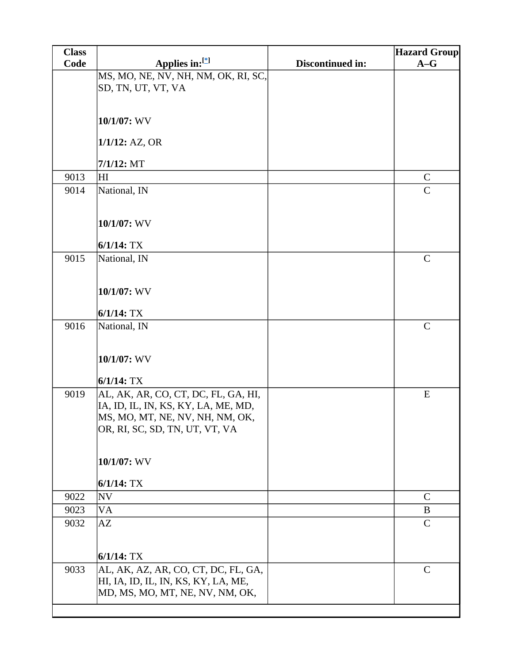| Code | Applies in: $[$<br>MS, MO, NE, NV, NH, NM, OK, RI, SC,                                                                                          | Discontinued in: | <b>Hazard Group</b><br>$A-G$ |
|------|-------------------------------------------------------------------------------------------------------------------------------------------------|------------------|------------------------------|
|      |                                                                                                                                                 |                  |                              |
|      | SD, TN, UT, VT, VA                                                                                                                              |                  |                              |
|      | 10/1/07: WV                                                                                                                                     |                  |                              |
|      |                                                                                                                                                 |                  |                              |
|      | $1/1/12$ : AZ, OR                                                                                                                               |                  |                              |
|      | $7/1/12$ : MT                                                                                                                                   |                  |                              |
| 9013 | HI                                                                                                                                              |                  | $\mathbf C$                  |
| 9014 | National, IN                                                                                                                                    |                  | $\mathcal{C}$                |
|      | 10/1/07: WV                                                                                                                                     |                  |                              |
|      | $6/1/14$ : TX                                                                                                                                   |                  |                              |
| 9015 | National, IN                                                                                                                                    |                  | $\mathbf C$                  |
|      | 10/1/07: WV                                                                                                                                     |                  |                              |
|      | $6/1/14$ : TX                                                                                                                                   |                  |                              |
| 9016 | National, IN                                                                                                                                    |                  | $\mathbf C$                  |
|      | 10/1/07: WV                                                                                                                                     |                  |                              |
|      | $6/1/14$ : TX                                                                                                                                   |                  |                              |
| 9019 | AL, AK, AR, CO, CT, DC, FL, GA, HI,<br>IA, ID, IL, IN, KS, KY, LA, ME, MD,<br>MS, MO, MT, NE, NV, NH, NM, OK,<br>OR, RI, SC, SD, TN, UT, VT, VA |                  | ${\bf E}$                    |
|      | 10/1/07: WV                                                                                                                                     |                  |                              |
|      | $6/1/14$ : TX                                                                                                                                   |                  |                              |
| 9022 | <b>NV</b>                                                                                                                                       |                  | $\mathbf C$                  |
| 9023 | VA                                                                                                                                              |                  | B                            |
| 9032 | AZ                                                                                                                                              |                  | $\mathsf{C}$                 |
|      | $6/1/14$ : TX                                                                                                                                   |                  |                              |
| 9033 | AL, AK, AZ, AR, CO, CT, DC, FL, GA,<br>HI, IA, ID, IL, IN, KS, KY, LA, ME,<br>MD, MS, MO, MT, NE, NV, NM, OK,                                   |                  | $\mathsf{C}$                 |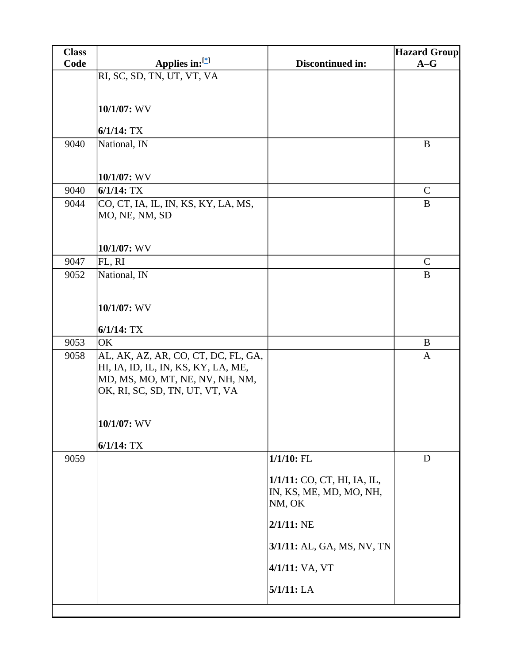| <b>Class</b> |                                                                            |                                   | <b>Hazard Group</b> |
|--------------|----------------------------------------------------------------------------|-----------------------------------|---------------------|
| Code         | Applies in:[*]                                                             | Discontinued in:                  | $A-G$               |
|              | RI, SC, SD, TN, UT, VT, VA                                                 |                                   |                     |
|              |                                                                            |                                   |                     |
|              | 10/1/07: WV                                                                |                                   |                     |
|              |                                                                            |                                   |                     |
|              | $6/1/14$ : TX                                                              |                                   |                     |
| 9040         | National, IN                                                               |                                   | $\bf{B}$            |
|              |                                                                            |                                   |                     |
|              | 10/1/07: WV                                                                |                                   |                     |
| 9040         | $6/1/14$ : TX                                                              |                                   | $\mathbf C$         |
| 9044         | CO, CT, IA, IL, IN, KS, KY, LA, MS,                                        |                                   | B                   |
|              | MO, NE, NM, SD                                                             |                                   |                     |
|              |                                                                            |                                   |                     |
|              |                                                                            |                                   |                     |
|              | 10/1/07: WV                                                                |                                   |                     |
| 9047         | FL, RI                                                                     |                                   | $\mathbf C$         |
| 9052         | National, IN                                                               |                                   | $\bf{B}$            |
|              |                                                                            |                                   |                     |
|              | 10/1/07: WV                                                                |                                   |                     |
|              |                                                                            |                                   |                     |
|              | $6/1/14$ : TX                                                              |                                   |                     |
| 9053         | OK                                                                         |                                   | $\bf{B}$            |
| 9058         | AL, AK, AZ, AR, CO, CT, DC, FL, GA,<br>HI, IA, ID, IL, IN, KS, KY, LA, ME, |                                   | $\mathbf{A}$        |
|              | MD, MS, MO, MT, NE, NV, NH, NM,                                            |                                   |                     |
|              | OK, RI, SC, SD, TN, UT, VT, VA                                             |                                   |                     |
|              |                                                                            |                                   |                     |
|              |                                                                            |                                   |                     |
|              | 10/1/07: WV                                                                |                                   |                     |
|              | $6/1/14$ : TX                                                              |                                   |                     |
| 9059         |                                                                            | $1/1/10$ : FL                     | D                   |
|              |                                                                            |                                   |                     |
|              |                                                                            | 1/1/11: CO, CT, HI, IA, IL,       |                     |
|              |                                                                            | IN, KS, ME, MD, MO, NH,<br>NM, OK |                     |
|              |                                                                            |                                   |                     |
|              |                                                                            | $2/1/11$ : NE                     |                     |
|              |                                                                            | 3/1/11: AL, GA, MS, NV, TN        |                     |
|              |                                                                            | 4/1/11: VA, VT                    |                     |
|              |                                                                            | 5/1/11: LA                        |                     |
|              |                                                                            |                                   |                     |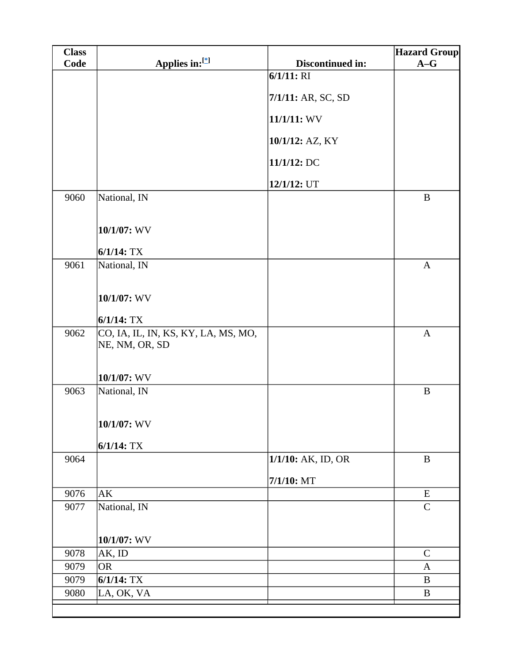| <b>Class</b> |                                                       |                    | <b>Hazard Group</b> |
|--------------|-------------------------------------------------------|--------------------|---------------------|
| Code         | Applies in:[*]                                        | Discontinued in:   | $A-G$               |
|              |                                                       | $6/1/11$ : RI      |                     |
|              |                                                       | 7/1/11: AR, SC, SD |                     |
|              |                                                       | 11/1/11: WV        |                     |
|              |                                                       | 10/1/12: AZ, KY    |                     |
|              |                                                       | 11/1/12: DC        |                     |
|              |                                                       | 12/1/12: UT        |                     |
| 9060         | National, IN                                          |                    | $\, {\bf B}$        |
|              | 10/1/07: WV                                           |                    |                     |
|              | $6/1/14$ : TX                                         |                    |                     |
| 9061         | National, IN                                          |                    | $\mathbf{A}$        |
|              | 10/1/07: WV                                           |                    |                     |
|              | $6/1/14$ : TX                                         |                    |                     |
| 9062         | CO, IA, IL, IN, KS, KY, LA, MS, MO,<br>NE, NM, OR, SD |                    | $\mathbf{A}$        |
|              | 10/1/07: WV                                           |                    |                     |
| 9063         | National, IN                                          |                    | $\bf{B}$            |
|              | $10/1/07$ : WV                                        |                    |                     |
|              | $6/1/14$ : TX                                         |                    |                     |
| 9064         |                                                       | 1/1/10: AK, ID, OR | $\, {\bf B}$        |
|              |                                                       | 7/1/10: MT         |                     |
| 9076         | AK                                                    |                    | ${\bf E}$           |
| 9077         | National, IN                                          |                    | $\mathcal{C}$       |
|              |                                                       |                    |                     |
|              | 10/1/07: WV                                           |                    |                     |
| 9078         | AK, ID                                                |                    | $\mathcal{C}$       |
| 9079         | <b>OR</b>                                             |                    | A                   |
| 9079         | $6/1/14$ : TX                                         |                    | B                   |
| 9080         | LA, OK, VA                                            |                    | $\bf{B}$            |
|              |                                                       |                    |                     |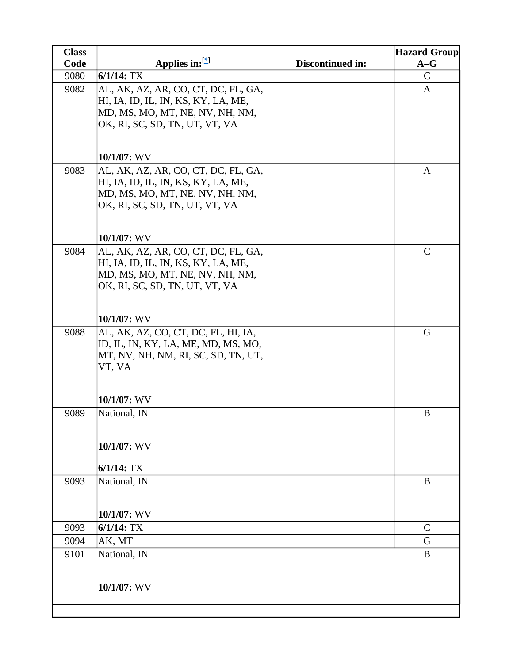| <b>Class</b> |                                                                                                                                                 |                  | <b>Hazard Group</b> |
|--------------|-------------------------------------------------------------------------------------------------------------------------------------------------|------------------|---------------------|
| Code         | Applies in: $[$                                                                                                                                 | Discontinued in: | $A-G$               |
| 9080         | $6/1/14$ : TX                                                                                                                                   |                  | $\mathsf{C}$        |
| 9082         | AL, AK, AZ, AR, CO, CT, DC, FL, GA,<br>HI, IA, ID, IL, IN, KS, KY, LA, ME,<br>MD, MS, MO, MT, NE, NV, NH, NM,<br>OK, RI, SC, SD, TN, UT, VT, VA |                  | $\mathbf{A}$        |
|              | 10/1/07: WV                                                                                                                                     |                  |                     |
| 9083         | AL, AK, AZ, AR, CO, CT, DC, FL, GA,<br>HI, IA, ID, IL, IN, KS, KY, LA, ME,<br>MD, MS, MO, MT, NE, NV, NH, NM,<br>OK, RI, SC, SD, TN, UT, VT, VA |                  | $\mathbf{A}$        |
|              | 10/1/07: WV                                                                                                                                     |                  |                     |
| 9084         | AL, AK, AZ, AR, CO, CT, DC, FL, GA,<br>HI, IA, ID, IL, IN, KS, KY, LA, ME,<br>MD, MS, MO, MT, NE, NV, NH, NM,<br>OK, RI, SC, SD, TN, UT, VT, VA |                  | $\mathbf C$         |
|              | 10/1/07: WV                                                                                                                                     |                  |                     |
| 9088         | AL, AK, AZ, CO, CT, DC, FL, HI, IA,<br>ID, IL, IN, KY, LA, ME, MD, MS, MO,<br>MT, NV, NH, NM, RI, SC, SD, TN, UT,<br>VT, VA                     |                  | G                   |
|              | 10/1/07: WV                                                                                                                                     |                  |                     |
| 9089         | National, IN                                                                                                                                    |                  | $\bf{B}$            |
|              | 10/1/07: WV                                                                                                                                     |                  |                     |
|              | $6/1/14$ : TX                                                                                                                                   |                  |                     |
| 9093         | National, IN                                                                                                                                    |                  | $\bf{B}$            |
|              | 10/1/07: WV                                                                                                                                     |                  |                     |
| 9093         | $6/1/14$ : TX                                                                                                                                   |                  | $\mathsf{C}$        |
| 9094         | AK, MT                                                                                                                                          |                  | G                   |
| 9101         | National, IN                                                                                                                                    |                  | $\bf{B}$            |
|              | 10/1/07: WV                                                                                                                                     |                  |                     |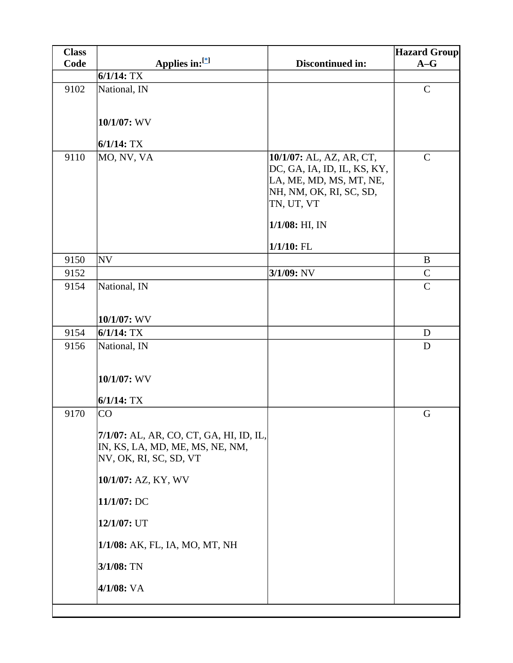| <b>Class</b> |                                                                                                      |                                                                                                                                                  | <b>Hazard Group</b> |
|--------------|------------------------------------------------------------------------------------------------------|--------------------------------------------------------------------------------------------------------------------------------------------------|---------------------|
| Code         | Applies in:[*]                                                                                       | Discontinued in:                                                                                                                                 | $A-G$               |
|              | $6/1/14$ : TX                                                                                        |                                                                                                                                                  |                     |
| 9102         | National, IN                                                                                         |                                                                                                                                                  | $\mathbf C$         |
|              | 10/1/07: WV                                                                                          |                                                                                                                                                  |                     |
|              | $6/1/14$ : TX                                                                                        |                                                                                                                                                  |                     |
| 9110         | MO, NV, VA                                                                                           | 10/1/07: AL, AZ, AR, CT,<br>DC, GA, IA, ID, IL, KS, KY,<br>LA, ME, MD, MS, MT, NE,<br>NH, NM, OK, RI, SC, SD,<br>TN, UT, VT<br>$1/1/08$ : HI, IN | $\mathcal{C}$       |
|              |                                                                                                      |                                                                                                                                                  |                     |
|              |                                                                                                      | $1/1/10$ : FL                                                                                                                                    |                     |
| 9150         | <b>NV</b>                                                                                            |                                                                                                                                                  | $\, {\bf B}$        |
| 9152         |                                                                                                      | $3/1/09$ : NV                                                                                                                                    | $\mathbf C$         |
| 9154         | National, IN                                                                                         |                                                                                                                                                  | $\mathbf C$         |
|              | 10/1/07: WV                                                                                          |                                                                                                                                                  |                     |
| 9154         | $6/1/14$ : TX                                                                                        |                                                                                                                                                  | D                   |
| 9156         | National, IN<br>10/1/07: WV                                                                          |                                                                                                                                                  | D                   |
|              | $6/1/14$ : TX                                                                                        |                                                                                                                                                  |                     |
| 9170         | CO                                                                                                   |                                                                                                                                                  | G                   |
|              | 7/1/07: AL, AR, CO, CT, GA, HI, ID, IL,<br>IN, KS, LA, MD, ME, MS, NE, NM,<br>NV, OK, RI, SC, SD, VT |                                                                                                                                                  |                     |
|              | 10/1/07: AZ, KY, WV                                                                                  |                                                                                                                                                  |                     |
|              | 11/1/07: DC                                                                                          |                                                                                                                                                  |                     |
|              | 12/1/07: UT                                                                                          |                                                                                                                                                  |                     |
|              | 1/1/08: AK, FL, IA, MO, MT, NH                                                                       |                                                                                                                                                  |                     |
|              | 3/1/08: TN                                                                                           |                                                                                                                                                  |                     |
|              | 4/1/08: VA                                                                                           |                                                                                                                                                  |                     |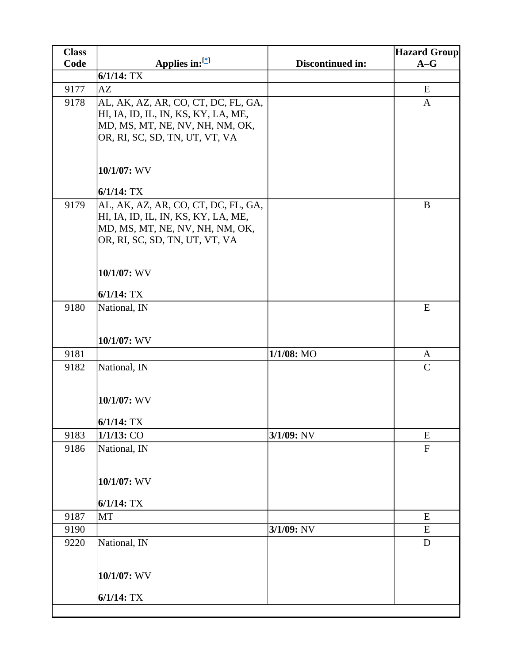| <b>Class</b> |                                                                                                                                                                                 |                  | <b>Hazard Group</b> |
|--------------|---------------------------------------------------------------------------------------------------------------------------------------------------------------------------------|------------------|---------------------|
| Code         | Applies in:[*]                                                                                                                                                                  | Discontinued in: | $A-G$               |
|              | $6/1/14$ : TX                                                                                                                                                                   |                  |                     |
| 9177         | AZ                                                                                                                                                                              |                  | E                   |
| 9178         | AL, AK, AZ, AR, CO, CT, DC, FL, GA,<br>HI, IA, ID, IL, IN, KS, KY, LA, ME,<br>MD, MS, MT, NE, NV, NH, NM, OK,<br>OR, RI, SC, SD, TN, UT, VT, VA                                 |                  | A                   |
|              | 10/1/07: WV<br>$6/1/14$ : TX                                                                                                                                                    |                  |                     |
| 9179         | AL, AK, AZ, AR, CO, CT, DC, FL, GA,<br>HI, IA, ID, IL, IN, KS, KY, LA, ME,<br>MD, MS, MT, NE, NV, NH, NM, OK,<br>OR, RI, SC, SD, TN, UT, VT, VA<br>10/1/07: WV<br>$6/1/14$ : TX |                  | $\bf{B}$            |
| 9180         | National, IN<br>10/1/07: WV                                                                                                                                                     |                  | E                   |
| 9181         |                                                                                                                                                                                 | 1/1/08: MO       | A                   |
| 9182         | National, IN                                                                                                                                                                    |                  | $\mathcal{C}$       |
|              | 10/1/07: WV<br>$6/1/14$ : TX                                                                                                                                                    |                  |                     |
| 9183         | 1/1/13: CO                                                                                                                                                                      | 3/1/09: NV       | E                   |
| 9186         | National, IN<br>10/1/07: WV<br>$6/1/14$ : TX                                                                                                                                    |                  | $\mathbf F$         |
| 9187         | <b>MT</b>                                                                                                                                                                       |                  | ${\bf E}$           |
| 9190         |                                                                                                                                                                                 | 3/1/09: NV       | E                   |
| 9220         | National, IN<br>10/1/07: WV                                                                                                                                                     |                  | $\mathbf D$         |
|              |                                                                                                                                                                                 |                  |                     |
|              | $6/1/14$ : TX                                                                                                                                                                   |                  |                     |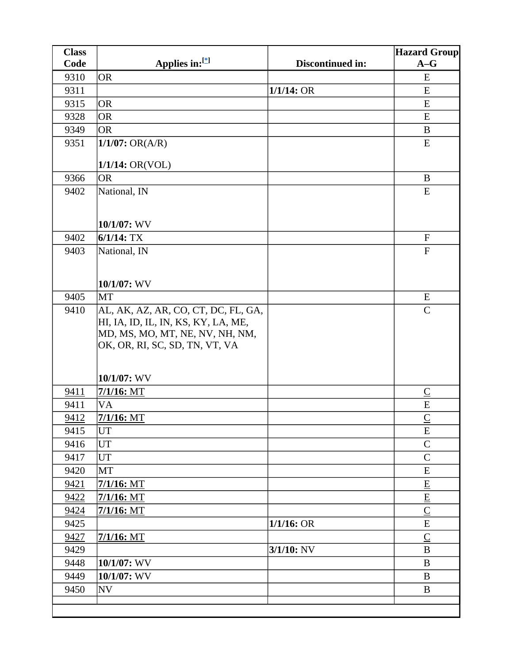| <b>Class</b> |                                                                            |                  | <b>Hazard Group</b>         |
|--------------|----------------------------------------------------------------------------|------------------|-----------------------------|
| Code         | Applies in:[*]                                                             | Discontinued in: | $A-G$                       |
| 9310         | <b>OR</b>                                                                  |                  | E                           |
| 9311         |                                                                            | $1/1/14$ : OR    | E                           |
| 9315         | <b>OR</b>                                                                  |                  | E                           |
| 9328         | <b>OR</b>                                                                  |                  | E                           |
| 9349         | <b>OR</b>                                                                  |                  | $\bf{B}$                    |
| 9351         | $1/1/07$ : OR(A/R)                                                         |                  | E                           |
|              | $1/1/14$ : OR(VOL)                                                         |                  |                             |
| 9366         | <b>OR</b>                                                                  |                  | B                           |
| 9402         | National, IN                                                               |                  | E                           |
|              |                                                                            |                  |                             |
|              |                                                                            |                  |                             |
|              | 10/1/07: WV                                                                |                  |                             |
| 9402         | $6/1/14$ : TX                                                              |                  | ${\bf F}$                   |
| 9403         | National, IN                                                               |                  | ${\bf F}$                   |
|              |                                                                            |                  |                             |
|              | $10/1/07$ : WV                                                             |                  |                             |
| 9405         | MT                                                                         |                  | E                           |
| 9410         |                                                                            |                  | $\mathcal{C}$               |
|              | AL, AK, AZ, AR, CO, CT, DC, FL, GA,<br>HI, IA, ID, IL, IN, KS, KY, LA, ME, |                  |                             |
|              | MD, MS, MO, MT, NE, NV, NH, NM,                                            |                  |                             |
|              | OK, OR, RI, SC, SD, TN, VT, VA                                             |                  |                             |
|              |                                                                            |                  |                             |
|              |                                                                            |                  |                             |
|              | $10/1/07$ : WV                                                             |                  |                             |
| 9411         | $7/1/16$ : MT                                                              |                  | $\overline{\mathsf{C}}$     |
| 9411         | VA                                                                         |                  | ${\bf E}$                   |
| 9412         | $7/1/16$ : MT                                                              |                  | $\underline{C}$             |
| 9415         | <b>UT</b>                                                                  |                  | E                           |
| 9416         | <b>UT</b>                                                                  |                  | $\mathsf{C}$                |
| 9417         | UT                                                                         |                  | $\mathbf C$                 |
| 9420         | MT                                                                         |                  | E                           |
| 9421         | $7/1/16$ : MT                                                              |                  | $\underline{\mathbf{E}}$    |
| 9422         | $7/1/16$ : MT                                                              |                  | $\underline{\mathbf{E}}$    |
| 9424         | $7/1/16$ : MT                                                              |                  | $\underline{C}$             |
| 9425         |                                                                            | $1/1/16$ : OR    | ${\bf E}$                   |
| 9427         | $7/1/16$ : MT                                                              |                  | $\underline{\underline{C}}$ |
| 9429         |                                                                            | $3/1/10$ : NV    | $\, {\bf B}$                |
| 9448         | $10/1/07$ : WV                                                             |                  | B                           |
| 9449         | $10/1/07$ : WV                                                             |                  | $\bf{B}$                    |
| 9450         | <b>NV</b>                                                                  |                  | B                           |
|              |                                                                            |                  |                             |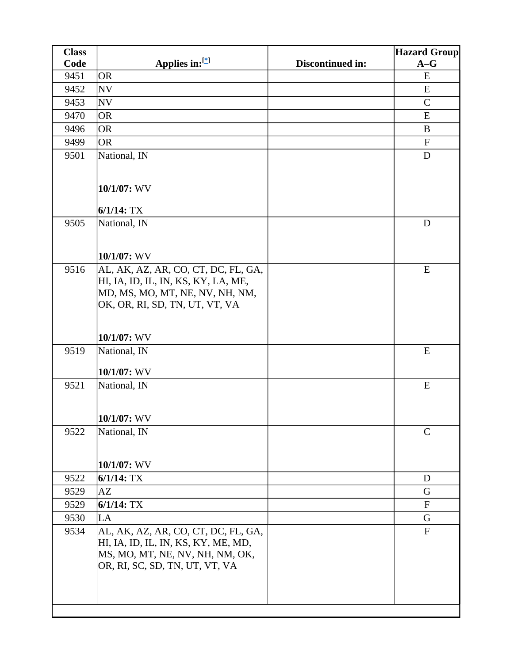| <b>Class</b> |                                     |                  | <b>Hazard Group</b> |
|--------------|-------------------------------------|------------------|---------------------|
| Code         | Applies in:[*]                      | Discontinued in: | $A-G$               |
| 9451         | <b>OR</b>                           |                  | E                   |
| 9452         | <b>NV</b>                           |                  | E                   |
| 9453         | <b>NV</b>                           |                  | $\mathsf{C}$        |
| 9470         | <b>OR</b>                           |                  | E                   |
| 9496         | <b>OR</b>                           |                  | B                   |
| 9499         | <b>OR</b>                           |                  | $\mathbf F$         |
| 9501         | National, IN                        |                  | D                   |
|              |                                     |                  |                     |
|              | 10/1/07: WV                         |                  |                     |
|              | $6/1/14$ : TX                       |                  |                     |
| 9505         | National, IN                        |                  | D                   |
|              |                                     |                  |                     |
|              | 10/1/07: WV                         |                  |                     |
| 9516         | AL, AK, AZ, AR, CO, CT, DC, FL, GA, |                  | E                   |
|              | HI, IA, ID, IL, IN, KS, KY, LA, ME, |                  |                     |
|              | MD, MS, MO, MT, NE, NV, NH, NM,     |                  |                     |
|              | OK, OR, RI, SD, TN, UT, VT, VA      |                  |                     |
|              |                                     |                  |                     |
|              |                                     |                  |                     |
|              | $10/1/07$ : WV                      |                  | E                   |
| 9519         | National, IN                        |                  |                     |
|              | 10/1/07: WV                         |                  |                     |
| 9521         | National, IN                        |                  | E                   |
|              |                                     |                  |                     |
|              |                                     |                  |                     |
|              | 10/1/07: WV                         |                  |                     |
| 9522         | National, IN                        |                  | $\mathsf{C}$        |
|              |                                     |                  |                     |
|              | $10/1/07$ : WV                      |                  |                     |
| 9522         | $6/1/14$ : TX                       |                  | D                   |
| 9529         | AZ                                  |                  | G                   |
| 9529         | $6/1/14$ : TX                       |                  | $\mathbf F$         |
| 9530         | LA                                  |                  | G                   |
| 9534         | AL, AK, AZ, AR, CO, CT, DC, FL, GA, |                  | $\mathbf F$         |
|              | HI, IA, ID, IL, IN, KS, KY, ME, MD, |                  |                     |
|              | MS, MO, MT, NE, NV, NH, NM, OK,     |                  |                     |
|              | OR, RI, SC, SD, TN, UT, VT, VA      |                  |                     |
|              |                                     |                  |                     |
|              |                                     |                  |                     |
|              |                                     |                  |                     |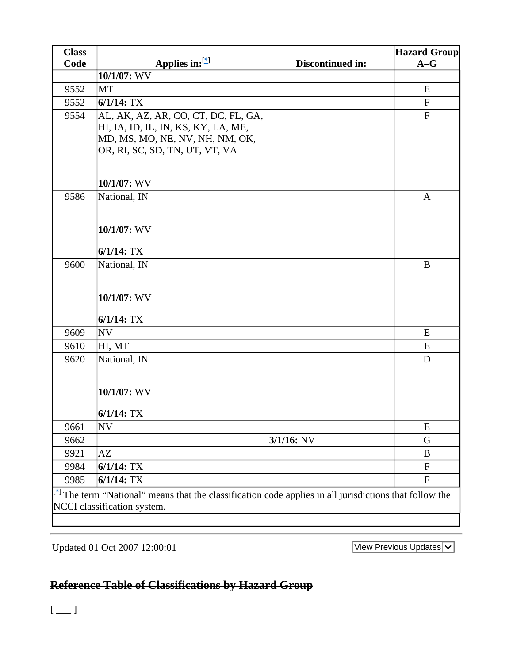| <b>Class</b>                                                                                                                             |                                     |                  | <b>Hazard Group</b> |
|------------------------------------------------------------------------------------------------------------------------------------------|-------------------------------------|------------------|---------------------|
| Code                                                                                                                                     | Applies in:[*]                      | Discontinued in: | $A-G$               |
|                                                                                                                                          | 10/1/07: WV                         |                  |                     |
| 9552                                                                                                                                     | <b>MT</b>                           |                  | E                   |
| 9552                                                                                                                                     | $6/1/14$ : TX                       |                  | $\mathbf F$         |
| 9554                                                                                                                                     | AL, AK, AZ, AR, CO, CT, DC, FL, GA, |                  | $\mathbf{F}$        |
|                                                                                                                                          | HI, IA, ID, IL, IN, KS, KY, LA, ME, |                  |                     |
|                                                                                                                                          | MD, MS, MO, NE, NV, NH, NM, OK,     |                  |                     |
|                                                                                                                                          | OR, RI, SC, SD, TN, UT, VT, VA      |                  |                     |
|                                                                                                                                          |                                     |                  |                     |
|                                                                                                                                          | 10/1/07: WV                         |                  |                     |
| 9586                                                                                                                                     | National, IN                        |                  | $\mathbf{A}$        |
|                                                                                                                                          |                                     |                  |                     |
|                                                                                                                                          |                                     |                  |                     |
|                                                                                                                                          | 10/1/07: WV                         |                  |                     |
|                                                                                                                                          | $6/1/14$ : TX                       |                  |                     |
| 9600                                                                                                                                     | National, IN                        |                  | $\bf{B}$            |
|                                                                                                                                          |                                     |                  |                     |
|                                                                                                                                          |                                     |                  |                     |
|                                                                                                                                          | 10/1/07: WV                         |                  |                     |
|                                                                                                                                          | $6/1/14$ : TX                       |                  |                     |
| 9609                                                                                                                                     | <b>NV</b>                           |                  | E                   |
| 9610                                                                                                                                     | HI, MT                              |                  | ${\bf E}$           |
| 9620                                                                                                                                     | National, IN                        |                  | D                   |
|                                                                                                                                          |                                     |                  |                     |
|                                                                                                                                          |                                     |                  |                     |
|                                                                                                                                          | 10/1/07: WV                         |                  |                     |
|                                                                                                                                          | $6/1/14$ : TX                       |                  |                     |
| 9661                                                                                                                                     | <b>NV</b>                           |                  | E                   |
| 9662                                                                                                                                     |                                     | 3/1/16: NV       | G                   |
| 9921                                                                                                                                     | AZ                                  |                  | $\bf{B}$            |
| 9984                                                                                                                                     | $6/1/14$ : TX                       |                  | $\mathbf F$         |
| 9985                                                                                                                                     | $6/1/14$ : TX                       |                  | ${\bf F}$           |
| $[$ <sup><math>\uparrow</math></sup> The term "National" means that the classification code applies in all jurisdictions that follow the |                                     |                  |                     |
|                                                                                                                                          | NCCI classification system.         |                  |                     |
|                                                                                                                                          |                                     |                  |                     |

Updated 01 Oct 2007 12:00:01

View Previous Updates  $\overline{\smile}$ 

## **Reference Table of Classifications by Hazard Group**

 $[$   $\overline{\phantom{a}}$   $]$